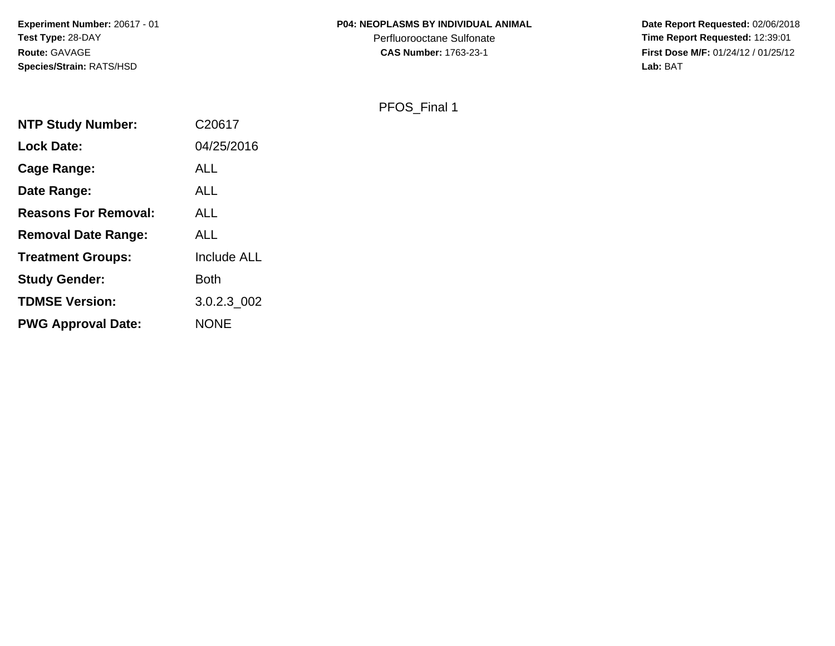#### **P04: NEOPLASMS BY INDIVIDUAL ANIMAL**

Perfluorooctane Sulfonate<br>CAS Number: 1763-23-1

 **Date Report Requested:** 02/06/2018 **Time Report Requested:** 12:39:01 **First Dose M/F:** 01/24/12 / 01/25/12<br>Lab: BAT **Lab:** BAT

PFOS\_Final 1

| <b>NTP Study Number:</b>    | C20617             |
|-----------------------------|--------------------|
| <b>Lock Date:</b>           | 04/25/2016         |
| Cage Range:                 | <b>ALL</b>         |
| Date Range:                 | ALL                |
| <b>Reasons For Removal:</b> | <b>ALL</b>         |
| <b>Removal Date Range:</b>  | <b>ALL</b>         |
| <b>Treatment Groups:</b>    | <b>Include ALL</b> |
| <b>Study Gender:</b>        | Both               |
| <b>TDMSE Version:</b>       | 3.0.2.3 002        |
| <b>PWG Approval Date:</b>   | <b>NONE</b>        |
|                             |                    |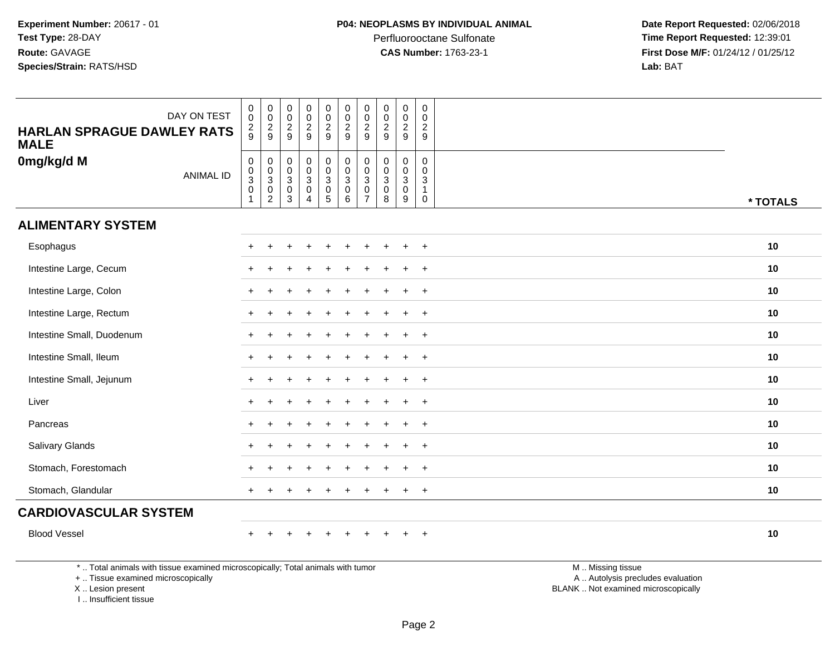**Date Report Requested:** 02/06/2018 **Time Report Requested:** 12:39:01 **First Dose M/F:** 01/24/12 / 01/25/12<br>**Lab:** BAT **Lab:** BAT

| <b>HARLAN SPRAGUE DAWLEY RATS</b><br><b>MALE</b>                                | DAY ON TEST      | $\boldsymbol{0}$<br>$\overline{0}$<br>$\frac{2}{9}$ | $\pmb{0}$<br>$\overline{0}$<br>$\frac{2}{9}$                      | $\mathbf 0$<br>$\ddot{\mathbf{0}}$<br>$\frac{2}{9}$            | $\pmb{0}$<br>$\frac{0}{2}$                                       | $\mathsf{O}\xspace$<br>$\mathsf{O}\xspace$<br>$\frac{2}{9}$                                     | $\mathbf 0$<br>$\overline{0}$<br>$\frac{2}{9}$ | $\pmb{0}$<br>$\mathbf 0$<br>$\overline{2}$<br>$9\,$                       | $\pmb{0}$<br>$\pmb{0}$<br>$\overline{2}$<br>$\overline{9}$   | $\mathbf 0$<br>$\mathsf{O}\xspace$<br>$\overline{2}$<br>9 | $\mathbf 0$<br>$\Omega$<br>$\overline{2}$<br>9                |                   |          |
|---------------------------------------------------------------------------------|------------------|-----------------------------------------------------|-------------------------------------------------------------------|----------------------------------------------------------------|------------------------------------------------------------------|-------------------------------------------------------------------------------------------------|------------------------------------------------|---------------------------------------------------------------------------|--------------------------------------------------------------|-----------------------------------------------------------|---------------------------------------------------------------|-------------------|----------|
| 0mg/kg/d M                                                                      | <b>ANIMAL ID</b> | $\pmb{0}$<br>$\frac{0}{3}$<br>$\mathbf{1}$          | 0<br>$\pmb{0}$<br>$\overline{3}$<br>$\mathsf 0$<br>$\overline{2}$ | $\mathbf 0$<br>$\begin{array}{c} 0 \\ 3 \\ 0 \\ 3 \end{array}$ | $\begin{matrix} 0 \\ 0 \\ 3 \\ 0 \end{matrix}$<br>$\overline{4}$ | $\begin{smallmatrix} 0\\0 \end{smallmatrix}$<br>$\overline{3}$<br>$\mathbf 0$<br>$\overline{5}$ | $_{\rm 0}^{\rm 0}$<br>$\frac{3}{0}$<br>6       | $\mathbf 0$<br>$\mathbf 0$<br>$\sqrt{3}$<br>$\mathbf 0$<br>$\overline{7}$ | $\pmb{0}$<br>$\mathbf 0$<br>$\mathbf{3}$<br>$\mathbf 0$<br>8 | 0<br>$\mathbf 0$<br>$\mathbf{3}$<br>$\mathbf 0$<br>9      | $\mathsf{O}\xspace$<br>0<br>$\mathbf{3}$<br>$\mathbf{1}$<br>0 |                   | * TOTALS |
| <b>ALIMENTARY SYSTEM</b>                                                        |                  |                                                     |                                                                   |                                                                |                                                                  |                                                                                                 |                                                |                                                                           |                                                              |                                                           |                                                               |                   |          |
| Esophagus                                                                       |                  |                                                     |                                                                   |                                                                |                                                                  |                                                                                                 |                                                |                                                                           |                                                              |                                                           | $\ddot{}$                                                     |                   | 10       |
| Intestine Large, Cecum                                                          |                  |                                                     |                                                                   |                                                                |                                                                  |                                                                                                 |                                                |                                                                           |                                                              | $\ddot{}$                                                 | $\ddot{}$                                                     |                   | 10       |
| Intestine Large, Colon                                                          |                  |                                                     |                                                                   |                                                                |                                                                  |                                                                                                 |                                                |                                                                           |                                                              | $\ddot{}$                                                 | $\overline{+}$                                                |                   | 10       |
| Intestine Large, Rectum                                                         |                  |                                                     |                                                                   |                                                                |                                                                  |                                                                                                 |                                                |                                                                           |                                                              |                                                           | $\overline{+}$                                                |                   | 10       |
| Intestine Small, Duodenum                                                       |                  |                                                     |                                                                   |                                                                |                                                                  |                                                                                                 |                                                |                                                                           |                                                              |                                                           | $\overline{+}$                                                |                   | 10       |
| Intestine Small, Ileum                                                          |                  |                                                     |                                                                   |                                                                |                                                                  |                                                                                                 |                                                |                                                                           |                                                              | $\div$                                                    | $+$                                                           |                   | 10       |
| Intestine Small, Jejunum                                                        |                  |                                                     |                                                                   |                                                                |                                                                  |                                                                                                 |                                                |                                                                           |                                                              | $\ddot{}$                                                 | $\ddot{}$                                                     |                   | 10       |
| Liver                                                                           |                  |                                                     |                                                                   |                                                                |                                                                  |                                                                                                 |                                                |                                                                           |                                                              |                                                           | $+$                                                           |                   | 10       |
| Pancreas                                                                        |                  |                                                     |                                                                   |                                                                |                                                                  |                                                                                                 |                                                |                                                                           |                                                              |                                                           | $+$                                                           |                   | 10       |
| Salivary Glands                                                                 |                  |                                                     |                                                                   |                                                                |                                                                  |                                                                                                 |                                                |                                                                           |                                                              |                                                           | $+$                                                           |                   | 10       |
| Stomach, Forestomach                                                            |                  |                                                     |                                                                   |                                                                |                                                                  |                                                                                                 |                                                |                                                                           |                                                              | $\ddot{}$                                                 | $+$                                                           |                   | 10       |
| Stomach, Glandular                                                              |                  |                                                     |                                                                   |                                                                |                                                                  |                                                                                                 |                                                |                                                                           |                                                              | $\ddot{}$                                                 | $+$                                                           |                   | 10       |
| <b>CARDIOVASCULAR SYSTEM</b>                                                    |                  |                                                     |                                                                   |                                                                |                                                                  |                                                                                                 |                                                |                                                                           |                                                              |                                                           |                                                               |                   |          |
| <b>Blood Vessel</b>                                                             |                  |                                                     |                                                                   |                                                                | $\div$                                                           | $\div$                                                                                          | $\ddot{}$                                      |                                                                           |                                                              | $\ddot{}$                                                 | $+$                                                           |                   | 10       |
| *  Total animals with tissue examined microscopically; Total animals with tumor |                  |                                                     |                                                                   |                                                                |                                                                  |                                                                                                 |                                                |                                                                           |                                                              |                                                           |                                                               | M  Missing tissue |          |

+ .. Tissue examined microscopically

X .. Lesion present

I .. Insufficient tissue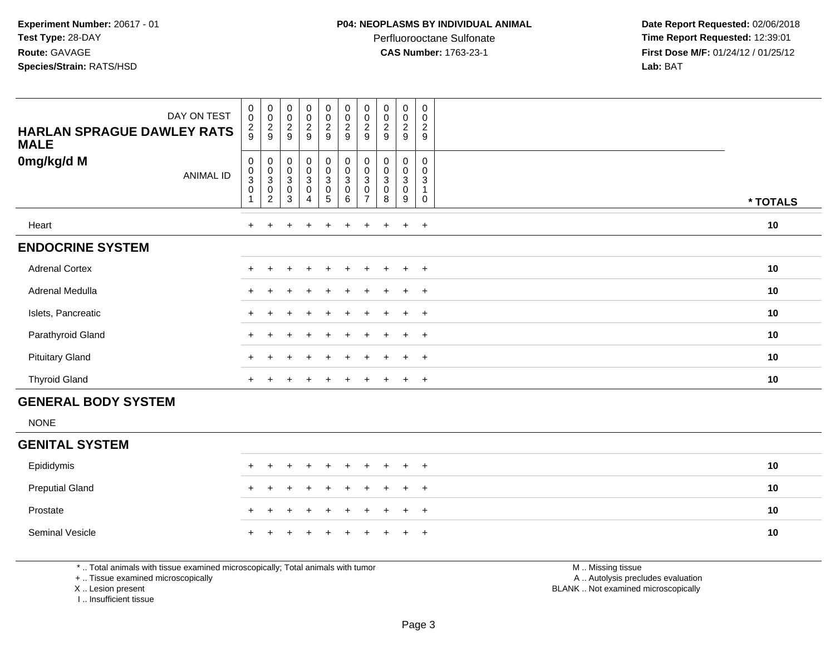Perfluorooctane Sulfonate<br>CAS Number: 1763-23-1

 **Date Report Requested:** 02/06/2018 **Time Report Requested:** 12:39:01 **First Dose M/F:** 01/24/12 / 01/25/12<br>**Lab:** BAT **Lab:** BAT

| DAY ON TEST<br><b>HARLAN SPRAGUE DAWLEY RATS</b><br><b>MALE</b> | 0<br>$\pmb{0}$<br>$\frac{2}{9}$    | $_{\rm 0}^{\rm 0}$<br>$\frac{2}{9}$                                            | $\begin{smallmatrix} 0\\0 \end{smallmatrix}$<br>$\frac{2}{9}$              | $\begin{smallmatrix}0\0\0\end{smallmatrix}$<br>$\frac{2}{9}$ | 00029                                                     | 00029                                                                   | 00029                                                           | $_{\rm 0}^{\rm 0}$<br>$\frac{2}{9}$                 | $\begin{smallmatrix}0\0\0\end{smallmatrix}$<br>$\overline{\mathbf{c}}$<br>9 | 0<br>$\mathbf 0$<br>$\boldsymbol{2}$<br>9 |          |
|-----------------------------------------------------------------|------------------------------------|--------------------------------------------------------------------------------|----------------------------------------------------------------------------|--------------------------------------------------------------|-----------------------------------------------------------|-------------------------------------------------------------------------|-----------------------------------------------------------------|-----------------------------------------------------|-----------------------------------------------------------------------------|-------------------------------------------|----------|
| 0mg/kg/d M<br><b>ANIMAL ID</b>                                  | 0<br>$\pmb{0}$<br>3<br>$\mathbf 0$ | $\begin{smallmatrix}0\\0\\3\end{smallmatrix}$<br>$\pmb{0}$<br>$\boldsymbol{2}$ | $\pmb{0}$<br>$\begin{smallmatrix}0\0\3\end{smallmatrix}$<br>$\pmb{0}$<br>3 | $\mathbf 0$<br>$\pmb{0}$<br>3<br>$\boldsymbol{0}$<br>4       | $_{\rm 0}^{\rm 0}$<br>$\ensuremath{\mathsf{3}}$<br>0<br>5 | $\begin{smallmatrix}0\\0\end{smallmatrix}$<br>3<br>$\pmb{0}$<br>$\,6\,$ | $\begin{smallmatrix} 0\\0 \end{smallmatrix}$<br>$\sqrt{3}$<br>0 | $\begin{matrix} 0 \\ 0 \\ 3 \end{matrix}$<br>0<br>8 | 0<br>$\pmb{0}$<br>3<br>0<br>9                                               | 0<br>0<br>3<br>0                          | * TOTALS |
| Heart                                                           | $+$                                |                                                                                |                                                                            | $\div$                                                       | $+$                                                       | $\ddot{}$                                                               | $\pm$                                                           | $\pm$                                               | $\ddot{}$                                                                   | $+$                                       | 10       |
| <b>ENDOCRINE SYSTEM</b>                                         |                                    |                                                                                |                                                                            |                                                              |                                                           |                                                                         |                                                                 |                                                     |                                                                             |                                           |          |
| <b>Adrenal Cortex</b>                                           |                                    |                                                                                |                                                                            |                                                              |                                                           |                                                                         |                                                                 |                                                     | $\div$                                                                      | $+$                                       | 10       |
| Adrenal Medulla                                                 |                                    |                                                                                |                                                                            |                                                              |                                                           |                                                                         |                                                                 |                                                     | $\ddot{}$                                                                   | $\overline{+}$                            | 10       |
| Islets, Pancreatic                                              |                                    |                                                                                |                                                                            | $\div$                                                       | $+$                                                       | $+$                                                                     | $+$                                                             | $+$                                                 | $+$                                                                         | $+$                                       | 10       |
| Parathyroid Gland                                               | $+$                                |                                                                                |                                                                            | $\div$                                                       | $+$                                                       | $+$                                                                     | $\pm$                                                           | $\pm$                                               | $\pm$                                                                       | $+$                                       | 10       |
| <b>Pituitary Gland</b>                                          |                                    |                                                                                |                                                                            |                                                              | $\pm$                                                     |                                                                         |                                                                 | $\pm$                                               | $\pm$                                                                       | $+$                                       | 10       |
| <b>Thyroid Gland</b>                                            | $\pm$                              |                                                                                |                                                                            | $\div$                                                       | $\ddot{}$                                                 | $\ddot{}$                                                               | $\pm$                                                           | $+$                                                 | $\ddot{}$                                                                   | $+$                                       | 10       |
| <b>GENERAL BODY SYSTEM</b>                                      |                                    |                                                                                |                                                                            |                                                              |                                                           |                                                                         |                                                                 |                                                     |                                                                             |                                           |          |

NONE

## **GENITAL SYSTEM**

| Epididymis             |  | + + + + + + + + + + |  |  |  |  | 10 |
|------------------------|--|---------------------|--|--|--|--|----|
| <b>Preputial Gland</b> |  | + + + + + + + + + + |  |  |  |  | 10 |
| Prostate               |  | + + + + + + + + + + |  |  |  |  | 10 |
| Seminal Vesicle        |  | + + + + + + + + + + |  |  |  |  | 10 |

\* .. Total animals with tissue examined microscopically; Total animals with tumor

+ .. Tissue examined microscopically

X .. Lesion present

I .. Insufficient tissue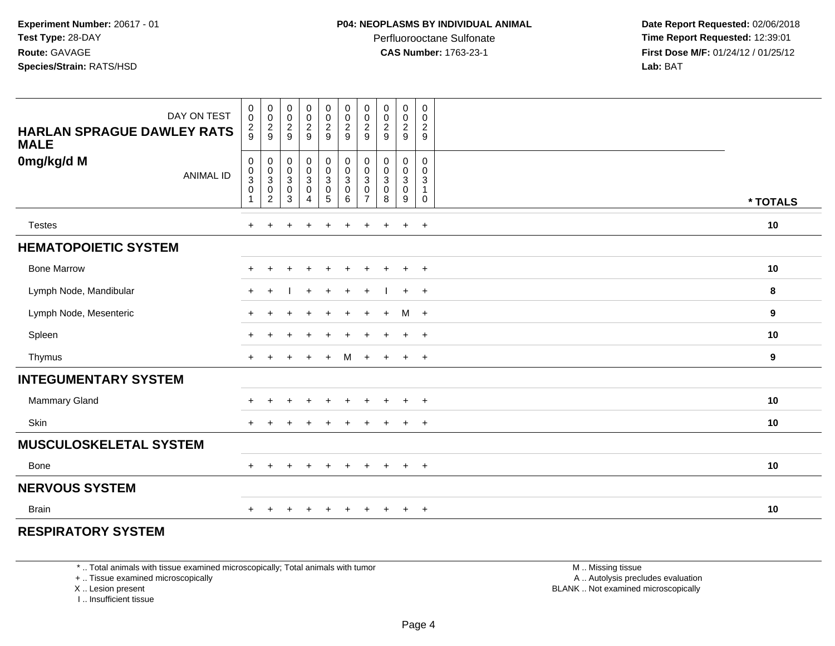Perfluorooctane Sulfonate<br>CAS Number: 1763-23-1

 **Date Report Requested:** 02/06/2018 **Time Report Requested:** 12:39:01 **First Dose M/F:** 01/24/12 / 01/25/12<br>**Lab:** BAT **Lab:** BAT

| DAY ON TEST<br><b>HARLAN SPRAGUE DAWLEY RATS</b><br><b>MALE</b> | $\pmb{0}$<br>$\pmb{0}$<br>$\frac{2}{9}$ | $\begin{array}{c} 0 \\ 0 \\ 2 \\ 9 \end{array}$      | $\begin{array}{c} 0 \\ 0 \\ 2 \\ 9 \end{array}$                   | $\begin{array}{c} 0 \\ 0 \\ 2 \\ 9 \end{array}$                   | $\pmb{0}$<br>$\frac{0}{2}$                                     | $\begin{array}{c} 0 \\ 0 \\ 2 \\ 9 \end{array}$                      | $\pmb{0}$<br>$\begin{smallmatrix} 0\\2\\9 \end{smallmatrix}$ | $\begin{array}{c} 0 \\ 0 \\ 2 \\ 9 \end{array}$                           | $\pmb{0}$<br>$\frac{0}{2}$                                                | $\pmb{0}$<br>$\mathbf 0$<br>$\overline{2}$<br>9                 |          |
|-----------------------------------------------------------------|-----------------------------------------|------------------------------------------------------|-------------------------------------------------------------------|-------------------------------------------------------------------|----------------------------------------------------------------|----------------------------------------------------------------------|--------------------------------------------------------------|---------------------------------------------------------------------------|---------------------------------------------------------------------------|-----------------------------------------------------------------|----------|
| 0mg/kg/d M<br><b>ANIMAL ID</b>                                  | 0<br>$\frac{0}{3}$<br>$\mathbf 0$       | $\begin{array}{c} 0 \\ 0 \\ 3 \\ 0 \\ 2 \end{array}$ | $\begin{smallmatrix}0\\0\\3\end{smallmatrix}$<br>$\mathsf 0$<br>3 | $\begin{smallmatrix} 0\\0\\3 \end{smallmatrix}$<br>$\pmb{0}$<br>4 | $\begin{smallmatrix}0\\0\\3\end{smallmatrix}$<br>$\frac{0}{5}$ | $\pmb{0}$<br>$\ddot{\mathbf{0}}$<br>$\overline{3}$<br>$\pmb{0}$<br>6 | 0<br>$\pmb{0}$<br>$\sqrt{3}$<br>$\pmb{0}$<br>$\overline{7}$  | $\begin{smallmatrix}0\\0\\3\end{smallmatrix}$<br>$\mathsf{O}\xspace$<br>8 | 0<br>$\mathbf 0$<br>$\ensuremath{\mathsf{3}}$<br>$\mathsf{O}\xspace$<br>9 | 0<br>$\mathbf 0$<br>$\mathbf{3}$<br>$\mathbf{1}$<br>$\mathbf 0$ | * TOTALS |
| <b>Testes</b>                                                   | $+$                                     | $+$                                                  | $\ddot{}$                                                         | $+$                                                               | $\ddot{}$                                                      | $+$                                                                  | $+$                                                          | $+$                                                                       | $+$                                                                       | $+$                                                             | 10       |
| <b>HEMATOPOIETIC SYSTEM</b>                                     |                                         |                                                      |                                                                   |                                                                   |                                                                |                                                                      |                                                              |                                                                           |                                                                           |                                                                 |          |
| <b>Bone Marrow</b>                                              | $\pm$                                   |                                                      | ÷                                                                 | $\div$                                                            | $\pm$                                                          | $\ddot{}$                                                            | $\pm$                                                        | $\overline{+}$                                                            | $+$                                                                       | $+$                                                             | 10       |
| Lymph Node, Mandibular                                          | $+$                                     | $+$                                                  |                                                                   | $+$                                                               | $\ddot{}$                                                      | $+$                                                                  | $+$                                                          |                                                                           | $+$                                                                       | $+$                                                             | 8        |
| Lymph Node, Mesenteric                                          | $\ddot{}$                               |                                                      |                                                                   |                                                                   |                                                                | $\ddot{}$                                                            | $+$                                                          | $+$                                                                       | M                                                                         | $+$                                                             | 9        |
| Spleen                                                          | $+$                                     |                                                      |                                                                   |                                                                   |                                                                | $\div$                                                               |                                                              | $\overline{+}$                                                            | $+$                                                                       | $+$                                                             | 10       |
| Thymus                                                          | $+$                                     |                                                      |                                                                   | $\ddot{+}$                                                        | $\ddot{}$                                                      | M                                                                    | $+$                                                          | $+$                                                                       | $+$                                                                       | $+$                                                             | 9        |
| <b>INTEGUMENTARY SYSTEM</b>                                     |                                         |                                                      |                                                                   |                                                                   |                                                                |                                                                      |                                                              |                                                                           |                                                                           |                                                                 |          |
| Mammary Gland                                                   | $\pm$                                   | $\pm$                                                | ÷                                                                 | $\overline{+}$                                                    | $\ddot{}$                                                      | $\ddot{}$                                                            | $\pm$                                                        | $\overline{+}$                                                            | $+$                                                                       | $+$                                                             | 10       |
| Skin                                                            | $+$                                     | $\pm$                                                | $\div$                                                            | $\ddot{}$                                                         |                                                                | $\ddot{}$                                                            | $\ddot{}$                                                    | $\overline{+}$                                                            | $+$                                                                       | $+$                                                             | 10       |
| <b>MUSCULOSKELETAL SYSTEM</b>                                   |                                         |                                                      |                                                                   |                                                                   |                                                                |                                                                      |                                                              |                                                                           |                                                                           |                                                                 |          |
| Bone                                                            | $+$                                     | $\pm$                                                | $\pm$                                                             | $\ddot{}$                                                         | $+$                                                            | $+$                                                                  | $\ddot{}$                                                    | $+$                                                                       | $+$                                                                       | $+$                                                             | 10       |
| <b>NERVOUS SYSTEM</b>                                           |                                         |                                                      |                                                                   |                                                                   |                                                                |                                                                      |                                                              |                                                                           |                                                                           |                                                                 |          |
| <b>Brain</b>                                                    | $\pm$                                   |                                                      |                                                                   |                                                                   |                                                                |                                                                      |                                                              |                                                                           | $\ddot{}$                                                                 | $+$                                                             | 10       |

### **RESPIRATORY SYSTEM**

\* .. Total animals with tissue examined microscopically; Total animals with tumor

+ .. Tissue examined microscopically

X .. Lesion present

I .. Insufficient tissue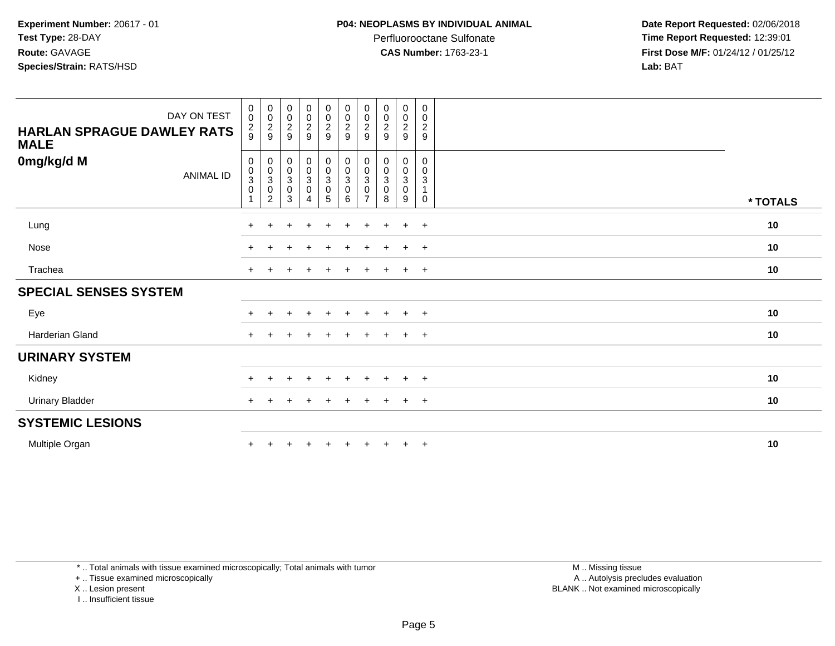Perfluorooctane Sulfonate<br>CAS Number: 1763-23-1

 **Date Report Requested:** 02/06/2018 **Time Report Requested:** 12:39:01 **First Dose M/F:** 01/24/12 / 01/25/12<br>**Lab:** BAT **Lab:** BAT

| DAY ON TEST<br><b>HARLAN SPRAGUE DAWLEY RATS</b><br><b>MALE</b> | $_{\rm 0}^{\rm 0}$<br>$\frac{2}{9}$                          | $\begin{smallmatrix}0\\0\end{smallmatrix}$<br>$\frac{2}{9}$                  | $_{\rm 0}^{\rm 0}$<br>$\frac{2}{9}$         | $\begin{array}{c} 0 \\ 0 \\ 2 \\ 9 \end{array}$     | $_{\rm 0}^{\rm 0}$<br>$\frac{2}{9}$ | $\begin{matrix} 0 \\ 0 \\ 2 \\ 9 \end{matrix}$ | $_{\rm 0}^{\rm 0}$<br>$\sqrt{2}$<br>9                   | $\pmb{0}$<br>$\pmb{0}$<br>$\boldsymbol{2}$<br>9 | $\boldsymbol{0}$<br>$\mathbf 0$<br>$\frac{2}{9}$     | $\pmb{0}$<br>0<br>$\boldsymbol{2}$<br>9    |          |
|-----------------------------------------------------------------|--------------------------------------------------------------|------------------------------------------------------------------------------|---------------------------------------------|-----------------------------------------------------|-------------------------------------|------------------------------------------------|---------------------------------------------------------|-------------------------------------------------|------------------------------------------------------|--------------------------------------------|----------|
| 0mg/kg/d M<br><b>ANIMAL ID</b>                                  | $\mathbf 0$<br>$\begin{smallmatrix}0\\3\\0\end{smallmatrix}$ | $\begin{smallmatrix}0\\0\\3\end{smallmatrix}$<br>$\pmb{0}$<br>$\overline{2}$ | $\,0\,$<br>$_{3}^{\rm 0}$<br>$\pmb{0}$<br>3 | $\begin{matrix} 0 \\ 0 \\ 3 \end{matrix}$<br>0<br>4 | 0<br>0<br>0<br>0<br>5<br>5          | $0$<br>$0$<br>$0$<br>$0$<br>$6$                | 0<br>$\pmb{0}$<br>$\overline{3}$<br>0<br>$\overline{7}$ | 0<br>$\pmb{0}$<br>3<br>0<br>8                   | 0<br>$\mathbf 0$<br>$\mathbf{3}$<br>$\mathbf 0$<br>9 | 0<br>0<br>3<br>$\mathbf{1}$<br>$\mathbf 0$ | * TOTALS |
| Lung                                                            |                                                              |                                                                              |                                             | $\ddot{}$                                           | $+$                                 | $\div$                                         | $\pm$                                                   | $\pm$                                           | $\ddot{+}$                                           | $+$                                        | 10       |
| Nose                                                            | $\pm$                                                        |                                                                              |                                             |                                                     |                                     |                                                |                                                         |                                                 | $\ddot{}$                                            | $+$                                        | 10       |
| Trachea                                                         |                                                              |                                                                              |                                             |                                                     | ÷.                                  |                                                |                                                         |                                                 | $\pm$                                                | $+$                                        | 10       |
| <b>SPECIAL SENSES SYSTEM</b>                                    |                                                              |                                                                              |                                             |                                                     |                                     |                                                |                                                         |                                                 |                                                      |                                            |          |
| Eye                                                             |                                                              |                                                                              |                                             | $\div$                                              | ÷                                   |                                                |                                                         |                                                 | $\pm$                                                | $+$                                        | 10       |
| Harderian Gland                                                 | $+$                                                          |                                                                              |                                             | $\ddot{}$                                           | $\ddot{}$                           | $+$                                            | $+$                                                     | $+$                                             | $+$                                                  | $+$                                        | 10       |
| <b>URINARY SYSTEM</b>                                           |                                                              |                                                                              |                                             |                                                     |                                     |                                                |                                                         |                                                 |                                                      |                                            |          |
| Kidney                                                          |                                                              |                                                                              |                                             |                                                     |                                     |                                                |                                                         |                                                 |                                                      | $+$                                        | 10       |
| <b>Urinary Bladder</b>                                          | $+$                                                          |                                                                              |                                             | $\div$                                              | $\ddot{}$                           | $\pm$                                          | $\pm$                                                   | $\pm$                                           | $\ddot{}$                                            | $+$                                        | 10       |
| <b>SYSTEMIC LESIONS</b>                                         |                                                              |                                                                              |                                             |                                                     |                                     |                                                |                                                         |                                                 |                                                      |                                            |          |
| Multiple Organ                                                  |                                                              |                                                                              |                                             |                                                     |                                     |                                                |                                                         |                                                 | $+$                                                  | $+$                                        | 10       |

\* .. Total animals with tissue examined microscopically; Total animals with tumor

+ .. Tissue examined microscopically

X .. Lesion present

I .. Insufficient tissue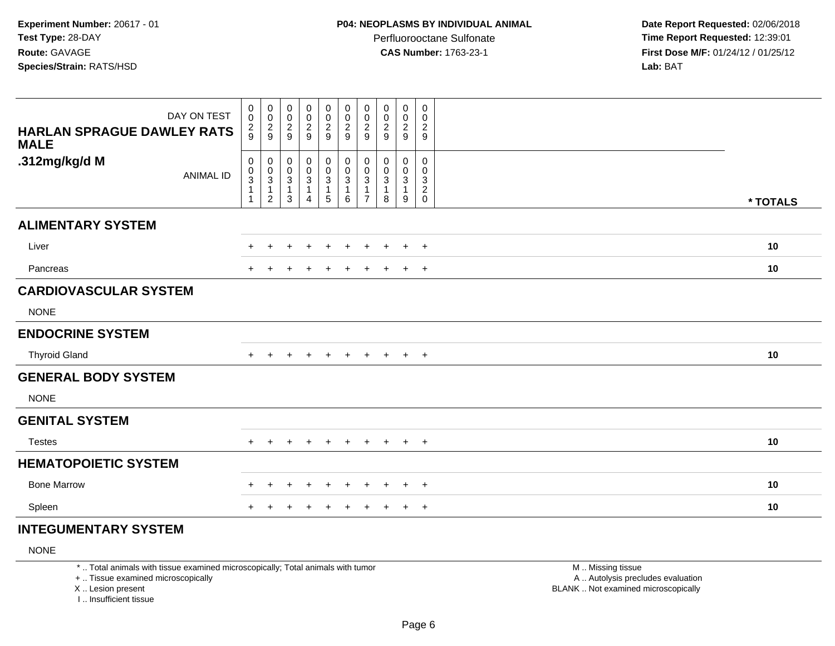**Date Report Requested:** 02/06/2018 **Time Report Requested:** 12:39:01 **First Dose M/F:** 01/24/12 / 01/25/12<br>**Lab:** BAT **Lab:** BAT

| DAY ON TEST<br><b>HARLAN SPRAGUE DAWLEY RATS</b><br><b>MALE</b> | $\begin{smallmatrix}0\0\0\end{smallmatrix}$<br>$\frac{2}{9}$ | 00029                                                                | $\begin{array}{c} 0 \\ 0 \\ 2 \\ 9 \end{array}$                     | $_{\rm 0}^{\rm 0}$<br>$\frac{2}{9}$                          | 0<br>$\pmb{0}$<br>$\frac{2}{9}$          | $\pmb{0}$<br>$\pmb{0}$<br>$\frac{2}{9}$                            | $\mathbf 0$<br>$\pmb{0}$<br>$\frac{2}{9}$                 | $\pmb{0}$<br>0<br>$\overline{\mathbf{c}}$<br>$9\,$ | $\pmb{0}$<br>$\frac{0}{2}$                       | 0<br>$\mathbf 0$<br>$\sqrt{2}$<br>9  |          |
|-----------------------------------------------------------------|--------------------------------------------------------------|----------------------------------------------------------------------|---------------------------------------------------------------------|--------------------------------------------------------------|------------------------------------------|--------------------------------------------------------------------|-----------------------------------------------------------|----------------------------------------------------|--------------------------------------------------|--------------------------------------|----------|
| .312mg/kg/d M<br><b>ANIMAL ID</b>                               | $\pmb{0}$<br>$_{3}^{\rm 0}$<br>$\mathbf{1}$<br>$\mathbf{1}$  | $\pmb{0}$<br>$_{3}^{\rm 0}$<br>$\overline{\mathbf{1}}$<br>$\sqrt{2}$ | $\boldsymbol{0}$<br>$\begin{array}{c} 0 \\ 3 \\ 1 \end{array}$<br>3 | $\pmb{0}$<br>$\frac{0}{3}$<br>$\mathbf{1}$<br>$\overline{4}$ | 0<br>$_{3}^{\rm 0}$<br>$\mathbf{1}$<br>5 | $\begin{smallmatrix}0\\0\\3\end{smallmatrix}$<br>$\mathbf{1}$<br>6 | $\mathbf 0$<br>$\pmb{0}$<br>$\mathsf 3$<br>$\overline{7}$ | 0<br>0<br>$\ensuremath{\mathsf{3}}$<br>8           | $\pmb{0}$<br>$_{3}^{\rm 0}$<br>$\mathbf{1}$<br>9 | 0<br>0<br>$\sqrt{3}$<br>$^2_{\rm 0}$ | * TOTALS |
| <b>ALIMENTARY SYSTEM</b>                                        |                                                              |                                                                      |                                                                     |                                                              |                                          |                                                                    |                                                           |                                                    |                                                  |                                      |          |
| Liver                                                           | $+$                                                          | $\pm$                                                                | $\ddot{}$                                                           | $\ddot{}$                                                    | $+$                                      | $+$                                                                | $+$                                                       | $\ddot{}$                                          | $+$                                              | $+$                                  | 10       |
| Pancreas                                                        | $+$                                                          | $\pm$                                                                | $\pm$                                                               | $\pm$                                                        | $\ddot{}$                                | $\ddot{}$                                                          | $\pm$                                                     | $+$                                                | $+$                                              | $+$                                  | 10       |
| <b>CARDIOVASCULAR SYSTEM</b>                                    |                                                              |                                                                      |                                                                     |                                                              |                                          |                                                                    |                                                           |                                                    |                                                  |                                      |          |
| <b>NONE</b>                                                     |                                                              |                                                                      |                                                                     |                                                              |                                          |                                                                    |                                                           |                                                    |                                                  |                                      |          |
| <b>ENDOCRINE SYSTEM</b>                                         |                                                              |                                                                      |                                                                     |                                                              |                                          |                                                                    |                                                           |                                                    |                                                  |                                      |          |
| <b>Thyroid Gland</b>                                            | $+$                                                          | $+$                                                                  | $+$                                                                 | $\ddot{}$                                                    | $+$                                      | $+$                                                                | $+$                                                       | $+$                                                |                                                  | $+$ $+$                              | 10       |
| <b>GENERAL BODY SYSTEM</b>                                      |                                                              |                                                                      |                                                                     |                                                              |                                          |                                                                    |                                                           |                                                    |                                                  |                                      |          |
| <b>NONE</b>                                                     |                                                              |                                                                      |                                                                     |                                                              |                                          |                                                                    |                                                           |                                                    |                                                  |                                      |          |
| <b>GENITAL SYSTEM</b>                                           |                                                              |                                                                      |                                                                     |                                                              |                                          |                                                                    |                                                           |                                                    |                                                  |                                      |          |
| <b>Testes</b>                                                   | $+$                                                          |                                                                      |                                                                     |                                                              |                                          |                                                                    | $\pm$                                                     | $+$                                                | $\pm$                                            | $+$                                  | 10       |
| <b>HEMATOPOIETIC SYSTEM</b>                                     |                                                              |                                                                      |                                                                     |                                                              |                                          |                                                                    |                                                           |                                                    |                                                  |                                      |          |
| <b>Bone Marrow</b>                                              |                                                              | ÷.                                                                   | $\pm$                                                               | $\pm$                                                        | $\ddot{}$                                | $\pm$                                                              | $\pm$                                                     | $\pm$                                              | $+$                                              | $+$                                  | 10       |
| Spleen                                                          |                                                              |                                                                      | $\pm$                                                               | +                                                            | $\ddot{}$                                | $\ddot{}$                                                          | $\pm$                                                     | $\ddot{}$                                          | $+$                                              | $+$                                  | 10       |

# **INTEGUMENTARY SYSTEM**

NONE

\* .. Total animals with tissue examined microscopically; Total animals with tumor

+ .. Tissue examined microscopically

X .. Lesion present

I .. Insufficient tissue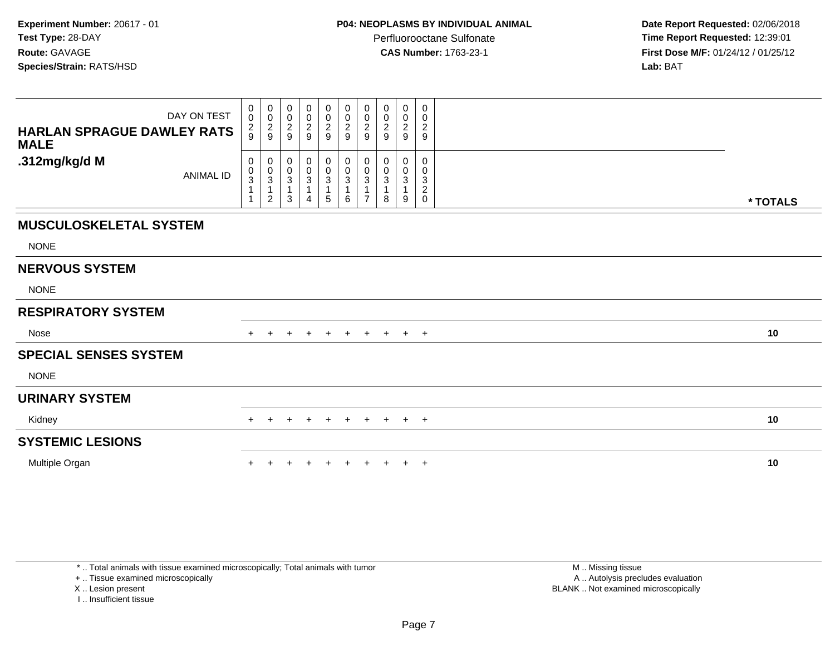| DAY ON TEST<br><b>HARLAN SPRAGUE DAWLEY RATS</b><br><b>MALE</b> | $\pmb{0}$<br>$\mathsf{O}\xspace$<br>$\frac{2}{9}$ | $\pmb{0}$<br>$\mathsf{O}\xspace$<br>$\frac{2}{9}$ | 0<br>0<br>$\overline{c}$<br>9 | $_{\rm 0}^{\rm 0}$<br>$\frac{2}{9}$                | 0<br>$\pmb{0}$<br>$\sqrt{2}$<br>$\boldsymbol{9}$ | $\pmb{0}$<br>$\pmb{0}$<br>$\overline{c}$<br>9      | 0<br>0<br>$\overline{\mathbf{c}}$<br>9 | 0<br>0<br>$\overline{c}$<br>9 | $\pmb{0}$<br>$\pmb{0}$<br>$\sqrt{2}$<br>$\boldsymbol{9}$ | 0<br>0<br>$\overline{c}$<br>$\boldsymbol{9}$ |          |
|-----------------------------------------------------------------|---------------------------------------------------|---------------------------------------------------|-------------------------------|----------------------------------------------------|--------------------------------------------------|----------------------------------------------------|----------------------------------------|-------------------------------|----------------------------------------------------------|----------------------------------------------|----------|
| .312mg/kg/d M<br><b>ANIMAL ID</b>                               | 0<br>$_{3}^{\rm 0}$<br>$\mathbf{1}$               | 0<br>$_{3}^{\rm 0}$<br>1<br>$\overline{c}$        | 0<br>0<br>$\sqrt{3}$<br>3     | $\begin{smallmatrix}0\\0\\3\end{smallmatrix}$<br>4 | 0<br>$\frac{0}{3}$<br>$\mathbf{1}$<br>5          | 0<br>$\pmb{0}$<br>$\mathbf 3$<br>$\mathbf{1}$<br>6 | 0<br>$\pmb{0}$<br>3<br>$\overline{7}$  | 0<br>0<br>3<br>8              | 0<br>$\pmb{0}$<br>$\overline{3}$<br>9                    | 0<br>0<br>3<br>$\sqrt{2}$<br>0               | * TOTALS |
| <b>MUSCULOSKELETAL SYSTEM</b>                                   |                                                   |                                                   |                               |                                                    |                                                  |                                                    |                                        |                               |                                                          |                                              |          |
| <b>NONE</b>                                                     |                                                   |                                                   |                               |                                                    |                                                  |                                                    |                                        |                               |                                                          |                                              |          |
| <b>NERVOUS SYSTEM</b>                                           |                                                   |                                                   |                               |                                                    |                                                  |                                                    |                                        |                               |                                                          |                                              |          |
| <b>NONE</b>                                                     |                                                   |                                                   |                               |                                                    |                                                  |                                                    |                                        |                               |                                                          |                                              |          |
| <b>RESPIRATORY SYSTEM</b>                                       |                                                   |                                                   |                               |                                                    |                                                  |                                                    |                                        |                               |                                                          |                                              |          |
| Nose                                                            | $+$                                               |                                                   |                               | $\pm$                                              | $+$                                              | $+$                                                | $+$                                    | $+$                           |                                                          | $+$ $+$                                      | 10       |
| <b>SPECIAL SENSES SYSTEM</b>                                    |                                                   |                                                   |                               |                                                    |                                                  |                                                    |                                        |                               |                                                          |                                              |          |
| <b>NONE</b>                                                     |                                                   |                                                   |                               |                                                    |                                                  |                                                    |                                        |                               |                                                          |                                              |          |
| <b>URINARY SYSTEM</b>                                           |                                                   |                                                   |                               |                                                    |                                                  |                                                    |                                        |                               |                                                          |                                              |          |
| Kidney                                                          |                                                   | $\pm$                                             | $\pm$                         | $+$                                                | $+$                                              | $+$                                                | $+$                                    | $+$                           |                                                          | $+$ $+$                                      | 10       |
| <b>SYSTEMIC LESIONS</b>                                         |                                                   |                                                   |                               |                                                    |                                                  |                                                    |                                        |                               |                                                          |                                              |          |
| Multiple Organ                                                  |                                                   |                                                   |                               |                                                    |                                                  |                                                    |                                        |                               | $\ddot{}$                                                | $+$                                          | 10       |

\* .. Total animals with tissue examined microscopically; Total animals with tumor

+ .. Tissue examined microscopically

X .. Lesion present

I .. Insufficient tissue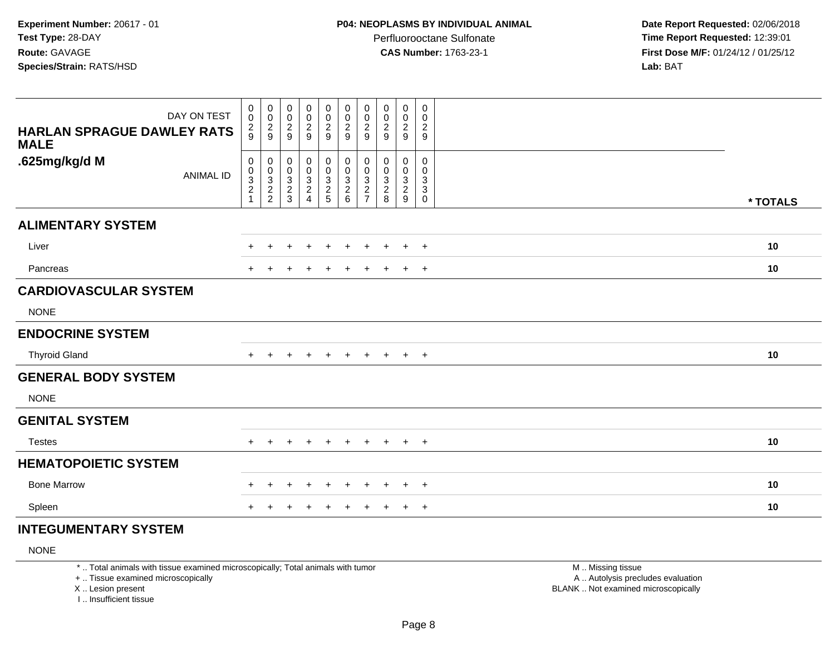**Date Report Requested:** 02/06/2018 **Time Report Requested:** 12:39:01 **First Dose M/F:** 01/24/12 / 01/25/12<br>**Lab:** BAT **Lab:** BAT

| DAY ON TEST<br><b>HARLAN SPRAGUE DAWLEY RATS</b><br><b>MALE</b> | $\mathbf 0$<br>$\pmb{0}$<br>$\frac{2}{9}$ | $\boldsymbol{0}$<br>$\frac{0}{2}$                            | $\mathbf 0$<br>$\pmb{0}$<br>$\frac{2}{9}$ | 00029                                   | $\mathbf 0$<br>$\frac{0}{2}$    | 0<br>$\pmb{0}$<br>$\overline{c}$<br>$\overline{9}$                   | 0<br>$\pmb{0}$<br>$\frac{2}{9}$                                      | 0<br>$\pmb{0}$<br>$\overline{c}$<br>9               | 0<br>$\pmb{0}$<br>$\overline{c}$<br>9                                | $\mathbf 0$<br>$\mathbf 0$<br>$\overline{c}$<br>9                         |          |
|-----------------------------------------------------------------|-------------------------------------------|--------------------------------------------------------------|-------------------------------------------|-----------------------------------------|---------------------------------|----------------------------------------------------------------------|----------------------------------------------------------------------|-----------------------------------------------------|----------------------------------------------------------------------|---------------------------------------------------------------------------|----------|
| .625mg/kg/d M<br><b>ANIMAL ID</b>                               | $\pmb{0}$<br>0<br>$\frac{3}{2}$           | $\pmb{0}$<br>$\begin{array}{c} 0 \\ 3 \\ 2 \\ 2 \end{array}$ | $\mathbf 0$<br>$\pmb{0}$<br>$\frac{3}{2}$ | $\pmb{0}$<br>$\pmb{0}$<br>$\frac{3}{2}$ | 0<br>$\pmb{0}$<br>$\frac{3}{2}$ | $\pmb{0}$<br>$\pmb{0}$<br>$\ensuremath{\mathsf{3}}$<br>$\frac{2}{6}$ | $\pmb{0}$<br>$\pmb{0}$<br>$\ensuremath{\mathsf{3}}$<br>$\frac{2}{7}$ | 0<br>0<br>$\ensuremath{\mathsf{3}}$<br>$_{\rm 8}^2$ | $\pmb{0}$<br>$\pmb{0}$<br>$\ensuremath{\mathsf{3}}$<br>$\frac{2}{9}$ | 0<br>$\mathbf 0$<br>3<br>$\ensuremath{\mathsf{3}}$<br>$\ddot{\mathbf{0}}$ | * TOTALS |
| <b>ALIMENTARY SYSTEM</b>                                        |                                           |                                                              |                                           |                                         |                                 |                                                                      |                                                                      |                                                     |                                                                      |                                                                           |          |
| Liver                                                           | $+$                                       | $\pm$                                                        | $\div$                                    | $\pm$                                   | $\overline{+}$                  | $\pm$                                                                | $\pm$                                                                | $+$                                                 | $+$                                                                  | $+$                                                                       | 10       |
| Pancreas                                                        | $+$                                       |                                                              | +                                         | $\pm$                                   | $\ddot{}$                       | $\div$                                                               | $\ddot{}$                                                            | $+$                                                 | $+$                                                                  | $+$                                                                       | 10       |
| <b>CARDIOVASCULAR SYSTEM</b>                                    |                                           |                                                              |                                           |                                         |                                 |                                                                      |                                                                      |                                                     |                                                                      |                                                                           |          |
| <b>NONE</b>                                                     |                                           |                                                              |                                           |                                         |                                 |                                                                      |                                                                      |                                                     |                                                                      |                                                                           |          |
| <b>ENDOCRINE SYSTEM</b>                                         |                                           |                                                              |                                           |                                         |                                 |                                                                      |                                                                      |                                                     |                                                                      |                                                                           |          |
| <b>Thyroid Gland</b>                                            | $+$                                       | $+$                                                          | $\ddot{}$                                 | $+$                                     | $+$                             | $+$                                                                  | $+$                                                                  | $+$                                                 | $+$ $+$                                                              |                                                                           | 10       |
| <b>GENERAL BODY SYSTEM</b>                                      |                                           |                                                              |                                           |                                         |                                 |                                                                      |                                                                      |                                                     |                                                                      |                                                                           |          |
| <b>NONE</b>                                                     |                                           |                                                              |                                           |                                         |                                 |                                                                      |                                                                      |                                                     |                                                                      |                                                                           |          |
| <b>GENITAL SYSTEM</b>                                           |                                           |                                                              |                                           |                                         |                                 |                                                                      |                                                                      |                                                     |                                                                      |                                                                           |          |
| <b>Testes</b>                                                   |                                           |                                                              |                                           |                                         |                                 |                                                                      |                                                                      | $\pm$                                               | $+$                                                                  | $+$                                                                       | 10       |
| <b>HEMATOPOIETIC SYSTEM</b>                                     |                                           |                                                              |                                           |                                         |                                 |                                                                      |                                                                      |                                                     |                                                                      |                                                                           |          |
| <b>Bone Marrow</b>                                              | $+$                                       | $\pm$                                                        | $+$                                       | $\ddot{}$                               | $+$                             | $\ddot{}$                                                            | $\pm$                                                                | $\pm$                                               | $+$                                                                  | $+$                                                                       | 10       |
| Spleen                                                          |                                           |                                                              |                                           |                                         | ÷                               |                                                                      |                                                                      | ÷.                                                  | $\ddot{}$                                                            | $+$                                                                       | 10       |

# **INTEGUMENTARY SYSTEM**

NONE

\* .. Total animals with tissue examined microscopically; Total animals with tumor

+ .. Tissue examined microscopically

X .. Lesion present

I .. Insufficient tissue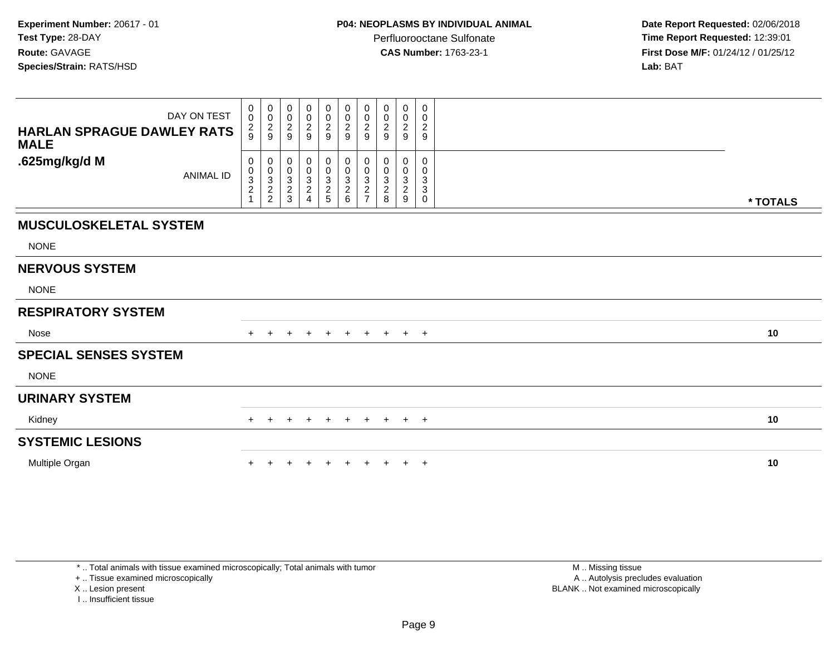**Date Report Requested:** 02/06/2018 **Time Report Requested:** 12:39:01 **First Dose M/F:** 01/24/12 / 01/25/12<br>**Lab:** BAT **Lab:** BAT

| DAY ON TEST<br><b>HARLAN SPRAGUE DAWLEY RATS</b><br><b>MALE</b> | 0<br>$\pmb{0}$<br>$\frac{2}{9}$                   | 0<br>$\mathbf 0$<br>$\frac{2}{9}$                 | 0<br>0<br>$\sqrt{2}$<br>9                                               | $_{\rm 0}^{\rm 0}$<br>$\overline{\mathbf{c}}$<br>9                       | $\mathbf 0$<br>$\ddot{\mathbf{0}}$<br>$\frac{2}{9}$ | 0<br>$\pmb{0}$<br>$\overline{c}$<br>9                                | 0<br>$\mathbf 0$<br>$\overline{\mathbf{c}}$<br>9         | 0<br>0<br>$\boldsymbol{2}$<br>9      | 0<br>0<br>$\overline{c}$<br>9      | 0<br>0<br>$\overline{c}$<br>9                            |          |
|-----------------------------------------------------------------|---------------------------------------------------|---------------------------------------------------|-------------------------------------------------------------------------|--------------------------------------------------------------------------|-----------------------------------------------------|----------------------------------------------------------------------|----------------------------------------------------------|--------------------------------------|------------------------------------|----------------------------------------------------------|----------|
| .625mg/kg/d M<br><b>ANIMAL ID</b>                               | 0<br>$\pmb{0}$<br>$\frac{3}{2}$<br>$\overline{1}$ | 0<br>$\pmb{0}$<br>$\frac{3}{2}$<br>$\overline{c}$ | 0<br>0<br>$\ensuremath{\mathsf{3}}$<br>$\boldsymbol{2}$<br>$\mathbf{3}$ | 0<br>$\begin{smallmatrix} 0\\ 3\\ 2 \end{smallmatrix}$<br>$\overline{4}$ | $\mathbf 0$<br>$\pmb{0}$<br>$\frac{3}{2}$           | 0<br>$\pmb{0}$<br>$\mathbf{3}$<br>$\boldsymbol{2}$<br>$6\phantom{a}$ | 0<br>0<br>3<br>$\overline{\mathbf{c}}$<br>$\overline{ }$ | 0<br>0<br>3<br>$\boldsymbol{2}$<br>8 | 0<br>0<br>3<br>$\overline{c}$<br>9 | 0<br>0<br>3<br>$\ensuremath{\mathsf{3}}$<br>$\mathsf{O}$ | * TOTALS |
| <b>MUSCULOSKELETAL SYSTEM</b>                                   |                                                   |                                                   |                                                                         |                                                                          |                                                     |                                                                      |                                                          |                                      |                                    |                                                          |          |
| <b>NONE</b>                                                     |                                                   |                                                   |                                                                         |                                                                          |                                                     |                                                                      |                                                          |                                      |                                    |                                                          |          |
| <b>NERVOUS SYSTEM</b>                                           |                                                   |                                                   |                                                                         |                                                                          |                                                     |                                                                      |                                                          |                                      |                                    |                                                          |          |
| <b>NONE</b>                                                     |                                                   |                                                   |                                                                         |                                                                          |                                                     |                                                                      |                                                          |                                      |                                    |                                                          |          |
| <b>RESPIRATORY SYSTEM</b>                                       |                                                   |                                                   |                                                                         |                                                                          |                                                     |                                                                      |                                                          |                                      |                                    |                                                          |          |
| Nose                                                            | $+$                                               |                                                   | $+$                                                                     | $+$                                                                      | $+$                                                 | $+$                                                                  | $+$                                                      | $+$                                  | $+$ $+$                            |                                                          | 10       |
| <b>SPECIAL SENSES SYSTEM</b>                                    |                                                   |                                                   |                                                                         |                                                                          |                                                     |                                                                      |                                                          |                                      |                                    |                                                          |          |
| <b>NONE</b>                                                     |                                                   |                                                   |                                                                         |                                                                          |                                                     |                                                                      |                                                          |                                      |                                    |                                                          |          |
| <b>URINARY SYSTEM</b>                                           |                                                   |                                                   |                                                                         |                                                                          |                                                     |                                                                      |                                                          |                                      |                                    |                                                          |          |
| Kidney                                                          | $+$                                               | $+$                                               | $+$                                                                     | $+$                                                                      | $+$                                                 | $+$                                                                  |                                                          |                                      | $+$ $+$ $+$ $+$                    |                                                          | 10       |
| <b>SYSTEMIC LESIONS</b>                                         |                                                   |                                                   |                                                                         |                                                                          |                                                     |                                                                      |                                                          |                                      |                                    |                                                          |          |
| Multiple Organ                                                  |                                                   |                                                   |                                                                         |                                                                          |                                                     |                                                                      |                                                          |                                      | $+$                                | $+$                                                      | 10       |

\* .. Total animals with tissue examined microscopically; Total animals with tumor

+ .. Tissue examined microscopically

X .. Lesion present

I .. Insufficient tissue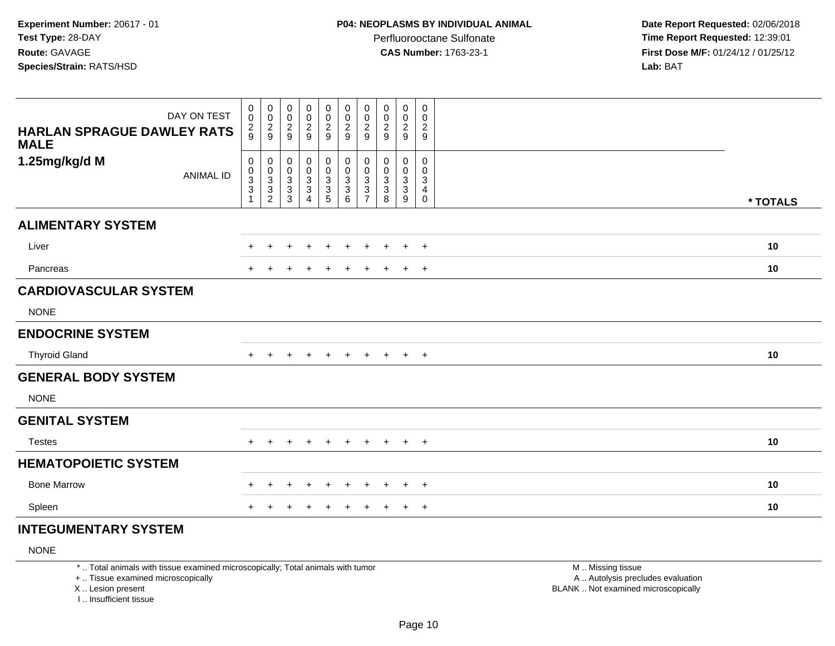**Date Report Requested:** 02/06/2018 **Time Report Requested:** 12:39:01 **First Dose M/F:** 01/24/12 / 01/25/12<br>**Lab:** BAT **Lab:** BAT

| DAY ON TEST<br><b>HARLAN SPRAGUE DAWLEY RATS</b><br><b>MALE</b> | $\begin{smallmatrix}0\\0\end{smallmatrix}$<br>$\frac{2}{9}$ | 00029                                                   | $_{\rm 0}^{\rm 0}$<br>$\frac{2}{9}$                                                       | $_{\rm 0}^{\rm 0}$<br>$\frac{2}{9}$                          | $\pmb{0}$<br>$\pmb{0}$<br>$\frac{2}{9}$                      | $\pmb{0}$<br>$\pmb{0}$<br>$\frac{2}{9}$                        | $\pmb{0}$<br>$\pmb{0}$<br>$\frac{2}{9}$                                                    | 0<br>$\pmb{0}$<br>$\overline{\mathbf{c}}$<br>9                              | $\pmb{0}$<br>$\pmb{0}$<br>$\frac{2}{9}$                                       | $\boldsymbol{0}$<br>$\mathbf 0$<br>$\frac{2}{9}$                         |          |
|-----------------------------------------------------------------|-------------------------------------------------------------|---------------------------------------------------------|-------------------------------------------------------------------------------------------|--------------------------------------------------------------|--------------------------------------------------------------|----------------------------------------------------------------|--------------------------------------------------------------------------------------------|-----------------------------------------------------------------------------|-------------------------------------------------------------------------------|--------------------------------------------------------------------------|----------|
| 1.25mg/kg/d M<br><b>ANIMAL ID</b>                               | 0<br>0<br>$\frac{3}{3}$<br>$\overline{1}$                   | $\pmb{0}$<br>$\begin{array}{c} 0 \\ 3 \\ 2 \end{array}$ | $\mathbf 0$<br>0<br>$\ensuremath{\mathsf{3}}$<br>$\ensuremath{\mathsf{3}}$<br>$\mathsf 3$ | $\mathbf 0$<br>$\pmb{0}$<br>$\mathsf 3$<br>$\mathbf{3}$<br>4 | 0<br>$\pmb{0}$<br>$\ensuremath{\mathsf{3}}$<br>$\frac{3}{5}$ | 0<br>$\pmb{0}$<br>$\ensuremath{\mathsf{3}}$<br>$\sqrt{3}$<br>6 | $\pmb{0}$<br>0<br>$\ensuremath{\mathsf{3}}$<br>$\ensuremath{\mathsf{3}}$<br>$\overline{7}$ | 0<br>0<br>$\ensuremath{\mathsf{3}}$<br>$\ensuremath{\mathsf{3}}$<br>$\bf 8$ | $\pmb{0}$<br>0<br>$\ensuremath{\mathsf{3}}$<br>$\sqrt{3}$<br>$\boldsymbol{9}$ | $\mathbf 0$<br>$\mathbf 0$<br>3<br>$\overline{4}$<br>$\mathsf{O}\xspace$ | * TOTALS |
| <b>ALIMENTARY SYSTEM</b>                                        |                                                             |                                                         |                                                                                           |                                                              |                                                              |                                                                |                                                                                            |                                                                             |                                                                               |                                                                          |          |
| Liver                                                           | $+$                                                         | $\ddot{}$                                               | +                                                                                         | $\ddot{}$                                                    | $\ddot{}$                                                    | $\ddot{}$                                                      | $\ddot{}$                                                                                  | $+$                                                                         | $+$                                                                           | $+$                                                                      | 10       |
| Pancreas                                                        | $+$                                                         |                                                         |                                                                                           |                                                              | $\ddot{}$                                                    | $\div$                                                         | $\div$                                                                                     | $+$                                                                         | $+$                                                                           | $+$                                                                      | 10       |
| <b>CARDIOVASCULAR SYSTEM</b>                                    |                                                             |                                                         |                                                                                           |                                                              |                                                              |                                                                |                                                                                            |                                                                             |                                                                               |                                                                          |          |
| <b>NONE</b>                                                     |                                                             |                                                         |                                                                                           |                                                              |                                                              |                                                                |                                                                                            |                                                                             |                                                                               |                                                                          |          |
| <b>ENDOCRINE SYSTEM</b>                                         |                                                             |                                                         |                                                                                           |                                                              |                                                              |                                                                |                                                                                            |                                                                             |                                                                               |                                                                          |          |
| <b>Thyroid Gland</b>                                            | $+$                                                         | $+$                                                     | $\ddot{}$                                                                                 | $\overline{+}$                                               | $+$                                                          | $+$                                                            | $+$                                                                                        | $+$                                                                         | $+$ $+$                                                                       |                                                                          | 10       |
| <b>GENERAL BODY SYSTEM</b>                                      |                                                             |                                                         |                                                                                           |                                                              |                                                              |                                                                |                                                                                            |                                                                             |                                                                               |                                                                          |          |
| <b>NONE</b>                                                     |                                                             |                                                         |                                                                                           |                                                              |                                                              |                                                                |                                                                                            |                                                                             |                                                                               |                                                                          |          |
| <b>GENITAL SYSTEM</b>                                           |                                                             |                                                         |                                                                                           |                                                              |                                                              |                                                                |                                                                                            |                                                                             |                                                                               |                                                                          |          |
| <b>Testes</b>                                                   |                                                             | $\div$                                                  |                                                                                           |                                                              |                                                              |                                                                | ÷                                                                                          | $+$                                                                         | $+$                                                                           | $+$                                                                      | 10       |
| <b>HEMATOPOIETIC SYSTEM</b>                                     |                                                             |                                                         |                                                                                           |                                                              |                                                              |                                                                |                                                                                            |                                                                             |                                                                               |                                                                          |          |
| <b>Bone Marrow</b>                                              | ÷.                                                          | $\ddot{}$                                               | $+$                                                                                       | $\ddot{}$                                                    | $+$                                                          | $\ddot{}$                                                      | $\pm$                                                                                      | $\pm$                                                                       | $+$                                                                           | $+$                                                                      | 10       |
| Spleen                                                          |                                                             |                                                         |                                                                                           |                                                              | $\pm$                                                        | $\pm$                                                          |                                                                                            | ÷.                                                                          | $+$                                                                           | $+$                                                                      | 10       |

# **INTEGUMENTARY SYSTEM**

NONE

\* .. Total animals with tissue examined microscopically; Total animals with tumor

+ .. Tissue examined microscopically

X .. Lesion present

I .. Insufficient tissue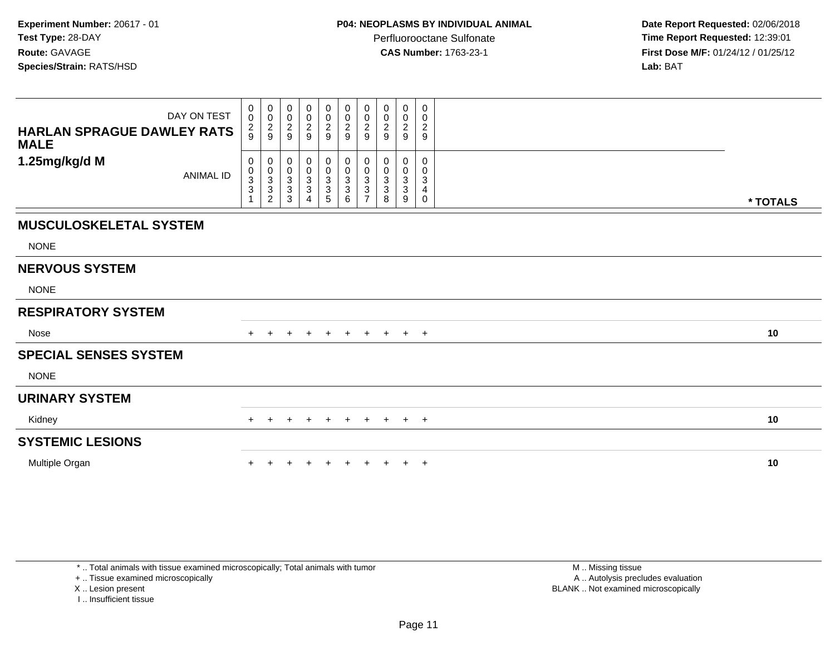**Date Report Requested:** 02/06/2018 **Time Report Requested:** 12:39:01 **First Dose M/F:** 01/24/12 / 01/25/12<br>**Lab:** BAT

| DAY ON TEST<br>HARLAN SPRAGUE DAWLEY RATS<br><b>MALE</b> | 0<br>$\ddot{\mathbf{0}}$<br>$\frac{2}{9}$ | $_{\rm 0}^{\rm 0}$<br>$\frac{2}{9}$                                | $_{\rm 0}^{\rm 0}$<br>$\frac{2}{9}$ | $\pmb{0}$<br>$\overline{0}$<br>$\frac{2}{9}$   | 0<br>$\mathsf{O}\xspace$<br>$\frac{2}{9}$                    | 0<br>$\ddot{\mathbf{0}}$<br>$\frac{2}{9}$                           | $\pmb{0}$<br>$\pmb{0}$<br>$\overline{c}$<br>9                 | 0<br>0<br>$\overline{c}$<br>9                 | $\mathbf 0$<br>$\boldsymbol{0}$<br>$\overline{c}$<br>9 | 0<br>0<br>$\sqrt{2}$<br>9 |          |
|----------------------------------------------------------|-------------------------------------------|--------------------------------------------------------------------|-------------------------------------|------------------------------------------------|--------------------------------------------------------------|---------------------------------------------------------------------|---------------------------------------------------------------|-----------------------------------------------|--------------------------------------------------------|---------------------------|----------|
| 1.25mg/kg/d M<br><b>ANIMAL ID</b>                        | 0<br>$\frac{0}{3}$<br>$\mathbf{1}$        | 0<br>$\begin{smallmatrix}0\3\3\end{smallmatrix}$<br>$\overline{2}$ | 0<br>$\frac{0}{3}$<br>3             | $\pmb{0}$<br>$_{3}^{\rm 0}$<br>$\sqrt{3}$<br>4 | 0<br>$\begin{smallmatrix} 0 \ 3 \end{smallmatrix}$<br>3<br>5 | $\pmb{0}$<br>$_{3}^{\rm 0}$<br>$\ensuremath{\mathsf{3}}$<br>$\,6\,$ | 0<br>$\pmb{0}$<br>$\sqrt{3}$<br>$\mathbf 3$<br>$\overline{7}$ | 0<br>0<br>$\ensuremath{\mathsf{3}}$<br>3<br>8 | 0<br>$\pmb{0}$<br>$\mathbf{3}$<br>$\mathbf{3}$<br>9    | 0<br>0<br>3<br>4<br>0     | * TOTALS |
| <b>MUSCULOSKELETAL SYSTEM</b>                            |                                           |                                                                    |                                     |                                                |                                                              |                                                                     |                                                               |                                               |                                                        |                           |          |
| <b>NONE</b>                                              |                                           |                                                                    |                                     |                                                |                                                              |                                                                     |                                                               |                                               |                                                        |                           |          |
| <b>NERVOUS SYSTEM</b>                                    |                                           |                                                                    |                                     |                                                |                                                              |                                                                     |                                                               |                                               |                                                        |                           |          |
| <b>NONE</b>                                              |                                           |                                                                    |                                     |                                                |                                                              |                                                                     |                                                               |                                               |                                                        |                           |          |
| <b>RESPIRATORY SYSTEM</b>                                |                                           |                                                                    |                                     |                                                |                                                              |                                                                     |                                                               |                                               |                                                        |                           |          |
| Nose                                                     | $+$                                       |                                                                    |                                     | $\pm$                                          | $+$                                                          | $+$                                                                 | $+$                                                           | $+$                                           | $+$                                                    | $+$                       | 10       |
| <b>SPECIAL SENSES SYSTEM</b>                             |                                           |                                                                    |                                     |                                                |                                                              |                                                                     |                                                               |                                               |                                                        |                           |          |
| <b>NONE</b>                                              |                                           |                                                                    |                                     |                                                |                                                              |                                                                     |                                                               |                                               |                                                        |                           |          |
| <b>URINARY SYSTEM</b>                                    |                                           |                                                                    |                                     |                                                |                                                              |                                                                     |                                                               |                                               |                                                        |                           |          |
| Kidney                                                   | $+$                                       | $\pm$                                                              | $\pm$                               | $\pm$                                          | $+$                                                          | $+$                                                                 | $+$                                                           | $+$                                           | $+$ $+$                                                |                           | 10       |
| <b>SYSTEMIC LESIONS</b>                                  |                                           |                                                                    |                                     |                                                |                                                              |                                                                     |                                                               |                                               |                                                        |                           |          |
| Multiple Organ                                           |                                           |                                                                    |                                     |                                                | $+$                                                          | $+$                                                                 | $+$                                                           | $+$                                           | $+$ $+$                                                |                           | 10       |

\* .. Total animals with tissue examined microscopically; Total animals with tumor

+ .. Tissue examined microscopically

X .. Lesion present

I .. Insufficient tissue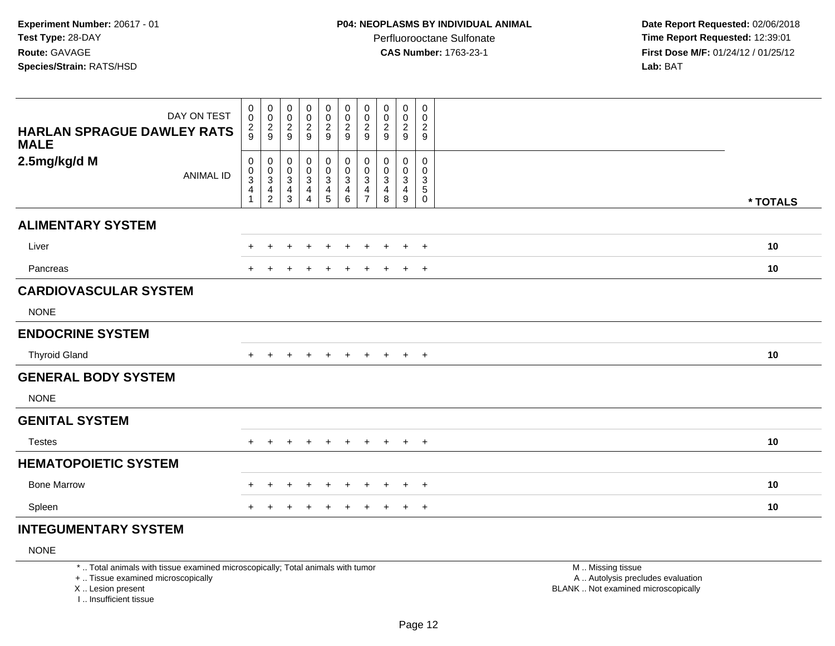**Date Report Requested:** 02/06/2018 **Time Report Requested:** 12:39:01 **First Dose M/F:** 01/24/12 / 01/25/12<br>**Lab:** BAT **Lab:** BAT

| DAY ON TEST<br><b>HARLAN SPRAGUE DAWLEY RATS</b><br><b>MALE</b> | 0<br>$\pmb{0}$<br>$\frac{2}{9}$              | $\boldsymbol{0}$<br>$\frac{0}{2}$                                 | 0<br>$\mathsf 0$<br>$\frac{2}{9}$ | $\pmb{0}$<br>$\frac{0}{2}$                                                 | 0<br>$\frac{0}{2}$                                 | $\pmb{0}$<br>$\frac{0}{2}$                                    | $\pmb{0}$<br>$\frac{0}{2}$                                     | 0<br>$\begin{smallmatrix} 0\\2\\9 \end{smallmatrix}$                           | $\pmb{0}$<br>$\pmb{0}$<br>$\frac{2}{9}$           | 0<br>$\mathbf 0$<br>$\frac{2}{9}$                                          |          |  |
|-----------------------------------------------------------------|----------------------------------------------|-------------------------------------------------------------------|-----------------------------------|----------------------------------------------------------------------------|----------------------------------------------------|---------------------------------------------------------------|----------------------------------------------------------------|--------------------------------------------------------------------------------|---------------------------------------------------|----------------------------------------------------------------------------|----------|--|
| 2.5mg/kg/d M<br><b>ANIMAL ID</b>                                | $\pmb{0}$<br>$\frac{0}{3}$<br>$\overline{4}$ | $\,0\,$<br>$\frac{0}{3}$<br>$\overline{\mathbf{4}}$<br>$\sqrt{2}$ | 0<br>$\pmb{0}$<br>3<br>4<br>3     | $\pmb{0}$<br>$\pmb{0}$<br>$\ensuremath{\mathsf{3}}$<br>4<br>$\overline{A}$ | 0<br>$\frac{0}{3}$<br>$\overline{\mathbf{4}}$<br>5 | $\pmb{0}$<br>$\pmb{0}$<br>$\ensuremath{\mathsf{3}}$<br>4<br>6 | $\pmb{0}$<br>$\frac{0}{3}$<br>$\overline{4}$<br>$\overline{ }$ | $\mathbf 0$<br>$\mathbf 0$<br>$\ensuremath{\mathsf{3}}$<br>$\overline{4}$<br>8 | $\pmb{0}$<br>$\mathbf 0$<br>$\mathbf 3$<br>4<br>9 | 0<br>$\mathbf 0$<br>$\ensuremath{\mathsf{3}}$<br>$\sqrt{5}$<br>$\mathbf 0$ | * TOTALS |  |
| <b>ALIMENTARY SYSTEM</b>                                        |                                              |                                                                   |                                   |                                                                            |                                                    |                                                               |                                                                |                                                                                |                                                   |                                                                            |          |  |
| Liver                                                           | $+$                                          | +                                                                 | +                                 | $\ddot{}$                                                                  | $\ddot{}$                                          | $\ddot{}$                                                     | $\ddot{}$                                                      | $\ddot{}$                                                                      |                                                   | $+$ $+$                                                                    | 10       |  |
| Pancreas                                                        | $+$                                          |                                                                   |                                   |                                                                            | $\ddot{}$                                          | $\ddot{}$                                                     | $\ddot{}$                                                      | $\ddot{}$                                                                      | $+$                                               | $+$                                                                        | 10       |  |
| <b>CARDIOVASCULAR SYSTEM</b>                                    |                                              |                                                                   |                                   |                                                                            |                                                    |                                                               |                                                                |                                                                                |                                                   |                                                                            |          |  |
| <b>NONE</b>                                                     |                                              |                                                                   |                                   |                                                                            |                                                    |                                                               |                                                                |                                                                                |                                                   |                                                                            |          |  |
| <b>ENDOCRINE SYSTEM</b>                                         |                                              |                                                                   |                                   |                                                                            |                                                    |                                                               |                                                                |                                                                                |                                                   |                                                                            |          |  |
| <b>Thyroid Gland</b>                                            | $+$                                          | $\pm$                                                             | +                                 | $\ddot{}$                                                                  | $\ddot{}$                                          | $+$                                                           | $+$                                                            | $+$                                                                            |                                                   | $+$ $+$                                                                    | 10       |  |
| <b>GENERAL BODY SYSTEM</b>                                      |                                              |                                                                   |                                   |                                                                            |                                                    |                                                               |                                                                |                                                                                |                                                   |                                                                            |          |  |
| <b>NONE</b>                                                     |                                              |                                                                   |                                   |                                                                            |                                                    |                                                               |                                                                |                                                                                |                                                   |                                                                            |          |  |
| <b>GENITAL SYSTEM</b>                                           |                                              |                                                                   |                                   |                                                                            |                                                    |                                                               |                                                                |                                                                                |                                                   |                                                                            |          |  |
| <b>Testes</b>                                                   |                                              |                                                                   | ÷                                 | $\div$                                                                     | $\pm$                                              | $+$                                                           | $+$                                                            | $+$                                                                            | $+$                                               | $+$                                                                        | 10       |  |
| <b>HEMATOPOIETIC SYSTEM</b>                                     |                                              |                                                                   |                                   |                                                                            |                                                    |                                                               |                                                                |                                                                                |                                                   |                                                                            |          |  |
| <b>Bone Marrow</b>                                              | $+$                                          |                                                                   | $\ddot{}$                         | $\ddot{}$                                                                  | $\ddot{}$                                          | $\ddot{}$                                                     | $\ddot{}$                                                      | $\pm$                                                                          | $\pm$                                             | $+$                                                                        | 10       |  |
| Spleen                                                          | $+$                                          |                                                                   | $\pm$                             |                                                                            | $\ddot{}$                                          | $\ddot{}$                                                     | $\ddot{}$                                                      | $\pm$                                                                          | $\ddot{}$                                         | $+$                                                                        | 10       |  |

# **INTEGUMENTARY SYSTEM**

NONE

\* .. Total animals with tissue examined microscopically; Total animals with tumor

+ .. Tissue examined microscopically

X .. Lesion present

I .. Insufficient tissue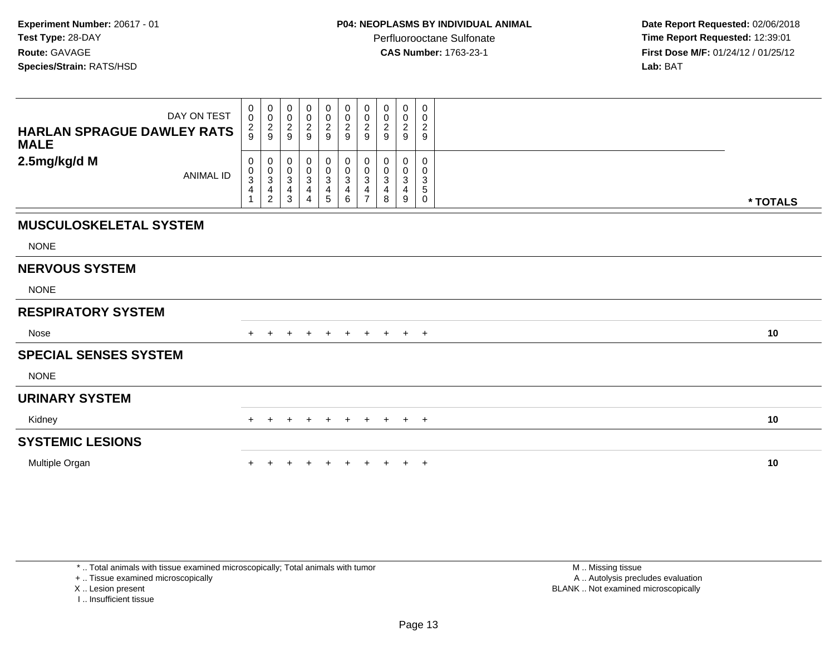**Date Report Requested:** 02/06/2018 **Time Report Requested:** 12:39:01 **First Dose M/F:** 01/24/12 / 01/25/12<br>**Lab:** BAT **Lab:** BAT

| DAY ON TEST<br><b>HARLAN SPRAGUE DAWLEY RATS</b><br><b>MALE</b> | $\mathbf 0$<br>$\ddot{\mathbf{0}}$<br>$\frac{2}{9}$ | 0<br>$\ddot{\mathbf{0}}$<br>$\frac{2}{9}$  | 0<br>0<br>$\sqrt{2}$<br>9      | $\mathbf 0$<br>$\ddot{\mathbf{0}}$<br>$\frac{2}{9}$ | 0<br>$\pmb{0}$<br>$\frac{2}{9}$ | 0<br>$\mathbf 0$<br>$\overline{c}$<br>9 | 0<br>$\pmb{0}$<br>$\overline{\mathbf{c}}$<br>9      | 0<br>0<br>$\frac{2}{9}$                       | 0<br>$\pmb{0}$<br>$\boldsymbol{2}$<br>9 | 0<br>$\mathbf 0$<br>$\frac{2}{9}$                   |          |
|-----------------------------------------------------------------|-----------------------------------------------------|--------------------------------------------|--------------------------------|-----------------------------------------------------|---------------------------------|-----------------------------------------|-----------------------------------------------------|-----------------------------------------------|-----------------------------------------|-----------------------------------------------------|----------|
| 2.5mg/kg/d M<br><b>ANIMAL ID</b>                                | 0<br>$_{3}^{\rm 0}$<br>$\overline{4}$               | 0<br>$_{3}^{\rm 0}$<br>4<br>$\overline{c}$ | 0<br>0<br>$\sqrt{3}$<br>4<br>3 | $\boldsymbol{0}$<br>$_{3}^{\rm 0}$<br>4<br>4        | 0<br>$_{3}^{\rm 0}$<br>4<br>5   | 0<br>$\pmb{0}$<br>3<br>4<br>6           | 0<br>$\pmb{0}$<br>$\sqrt{3}$<br>4<br>$\overline{7}$ | 0<br>0<br>$\ensuremath{\mathsf{3}}$<br>4<br>8 | 0<br>$\pmb{0}$<br>$\sqrt{3}$<br>4<br>9  | 0<br>0<br>$\mathsf 3$<br>$\,$ 5 $\,$<br>$\mathbf 0$ | * TOTALS |
| <b>MUSCULOSKELETAL SYSTEM</b>                                   |                                                     |                                            |                                |                                                     |                                 |                                         |                                                     |                                               |                                         |                                                     |          |
| <b>NONE</b>                                                     |                                                     |                                            |                                |                                                     |                                 |                                         |                                                     |                                               |                                         |                                                     |          |
| <b>NERVOUS SYSTEM</b>                                           |                                                     |                                            |                                |                                                     |                                 |                                         |                                                     |                                               |                                         |                                                     |          |
| <b>NONE</b>                                                     |                                                     |                                            |                                |                                                     |                                 |                                         |                                                     |                                               |                                         |                                                     |          |
| <b>RESPIRATORY SYSTEM</b>                                       |                                                     |                                            |                                |                                                     |                                 |                                         |                                                     |                                               |                                         |                                                     |          |
| Nose                                                            |                                                     | $\pm$                                      | $\pm$                          | $\pm$                                               | $+$                             | $+$                                     | $+$                                                 | $+$                                           | $+$                                     | $+$                                                 | 10       |
| <b>SPECIAL SENSES SYSTEM</b>                                    |                                                     |                                            |                                |                                                     |                                 |                                         |                                                     |                                               |                                         |                                                     |          |
| <b>NONE</b>                                                     |                                                     |                                            |                                |                                                     |                                 |                                         |                                                     |                                               |                                         |                                                     |          |
| <b>URINARY SYSTEM</b>                                           |                                                     |                                            |                                |                                                     |                                 |                                         |                                                     |                                               |                                         |                                                     |          |
| Kidney                                                          | $+$                                                 | $\pm$                                      | $\pm$                          | $\pm$                                               | $+$                             | $+$                                     | $+$                                                 | $+$                                           | $+$ $+$                                 |                                                     | 10       |
| <b>SYSTEMIC LESIONS</b>                                         |                                                     |                                            |                                |                                                     |                                 |                                         |                                                     |                                               |                                         |                                                     |          |
| Multiple Organ                                                  |                                                     |                                            |                                |                                                     | $+$                             | $+$                                     | $+$                                                 | $+$                                           | $+$                                     | $+$                                                 | 10       |

\* .. Total animals with tissue examined microscopically; Total animals with tumor

+ .. Tissue examined microscopically

X .. Lesion present

I .. Insufficient tissue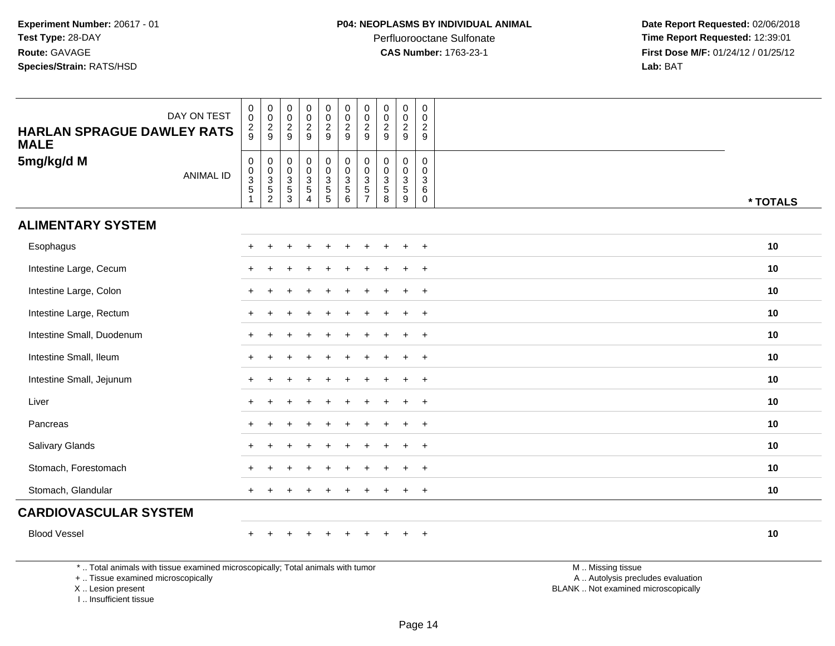**Date Report Requested:** 02/06/2018 **Time Report Requested:** 12:39:01 **First Dose M/F:** 01/24/12 / 01/25/12<br>**Lab:** BAT **Lab:** BAT

| <b>HARLAN SPRAGUE DAWLEY RATS</b>                                               | DAY ON TEST      | $\pmb{0}$<br>$\mathbf 0$<br>$\frac{2}{9}$    | 0<br>$\mathbf 0$<br>$\frac{2}{9}$    | $\boldsymbol{0}$<br>$\pmb{0}$<br>$\frac{2}{9}$               | $\begin{array}{c} 0 \\ 0 \\ 2 \\ 9 \end{array}$                   | 0<br>$\mathsf{O}\xspace$<br>$\frac{2}{9}$ | $\begin{smallmatrix} 0\\0 \end{smallmatrix}$<br>$\frac{2}{9}$ | 0<br>$\pmb{0}$<br>$\sqrt{2}$<br>$9\,$                          | $\pmb{0}$<br>$\pmb{0}$<br>$\sqrt{2}$<br>9                         | 0<br>$\pmb{0}$<br>$\overline{c}$<br>9                    | $\pmb{0}$<br>$\mathbf 0$<br>$\boldsymbol{2}$<br>9            |                   |          |
|---------------------------------------------------------------------------------|------------------|----------------------------------------------|--------------------------------------|--------------------------------------------------------------|-------------------------------------------------------------------|-------------------------------------------|---------------------------------------------------------------|----------------------------------------------------------------|-------------------------------------------------------------------|----------------------------------------------------------|--------------------------------------------------------------|-------------------|----------|
| <b>MALE</b><br>5mg/kg/d M                                                       | <b>ANIMAL ID</b> | $\mathbf 0$<br>$\frac{0}{3}$<br>$\mathbf{1}$ | 0<br>$\frac{0}{3}$<br>$\overline{2}$ | $\pmb{0}$<br>$\begin{array}{c} 0 \\ 3 \\ 5 \\ 3 \end{array}$ | $\begin{array}{c} 0 \\ 0 \\ 3 \\ 5 \end{array}$<br>$\overline{4}$ | 0<br>0<br>3<br>5<br>5                     | 0<br>0<br>0<br>5<br>6                                         | 0<br>$\mathbf 0$<br>$\sqrt{3}$<br>$\sqrt{5}$<br>$\overline{7}$ | $\pmb{0}$<br>$\mathbf 0$<br>$\overline{3}$<br>$\overline{5}$<br>8 | 0<br>$\mathsf{O}$<br>$\mathbf{3}$<br>$\overline{5}$<br>9 | $\mathbf 0$<br>$\mathbf 0$<br>$\sqrt{3}$<br>6<br>$\mathbf 0$ |                   | * TOTALS |
| <b>ALIMENTARY SYSTEM</b>                                                        |                  |                                              |                                      |                                                              |                                                                   |                                           |                                                               |                                                                |                                                                   |                                                          |                                                              |                   |          |
| Esophagus                                                                       |                  |                                              |                                      |                                                              |                                                                   |                                           |                                                               |                                                                |                                                                   |                                                          | $\div$                                                       |                   | 10       |
| Intestine Large, Cecum                                                          |                  |                                              |                                      |                                                              |                                                                   |                                           |                                                               |                                                                |                                                                   | $\ddot{}$                                                | $+$                                                          |                   | 10       |
| Intestine Large, Colon                                                          |                  |                                              |                                      |                                                              |                                                                   |                                           |                                                               |                                                                |                                                                   | $\ddot{}$                                                | $\overline{+}$                                               |                   | 10       |
| Intestine Large, Rectum                                                         |                  |                                              |                                      |                                                              |                                                                   |                                           |                                                               |                                                                |                                                                   | $\ddot{}$                                                | $+$                                                          |                   | 10       |
| Intestine Small, Duodenum                                                       |                  |                                              |                                      |                                                              |                                                                   |                                           |                                                               |                                                                |                                                                   |                                                          | $\ddot{}$                                                    |                   | 10       |
| Intestine Small, Ileum                                                          |                  |                                              |                                      |                                                              |                                                                   |                                           |                                                               |                                                                |                                                                   | $\ddot{}$                                                | $\ddot{}$                                                    |                   | 10       |
| Intestine Small, Jejunum                                                        |                  |                                              |                                      |                                                              |                                                                   |                                           |                                                               |                                                                |                                                                   | ÷                                                        | $\overline{+}$                                               |                   | 10       |
| Liver                                                                           |                  |                                              |                                      |                                                              |                                                                   |                                           |                                                               |                                                                |                                                                   | $\div$                                                   | $+$                                                          |                   | 10       |
| Pancreas                                                                        |                  |                                              |                                      |                                                              |                                                                   |                                           |                                                               |                                                                |                                                                   |                                                          | $\div$                                                       |                   | 10       |
| <b>Salivary Glands</b>                                                          |                  |                                              |                                      |                                                              |                                                                   |                                           |                                                               |                                                                |                                                                   |                                                          | $+$                                                          |                   | 10       |
| Stomach, Forestomach                                                            |                  |                                              |                                      |                                                              |                                                                   |                                           |                                                               |                                                                |                                                                   |                                                          | $\div$                                                       |                   | 10       |
| Stomach, Glandular                                                              |                  | $+$                                          |                                      |                                                              |                                                                   |                                           |                                                               |                                                                |                                                                   | $\ddot{}$                                                | $+$                                                          |                   | 10       |
| <b>CARDIOVASCULAR SYSTEM</b>                                                    |                  |                                              |                                      |                                                              |                                                                   |                                           |                                                               |                                                                |                                                                   |                                                          |                                                              |                   |          |
| <b>Blood Vessel</b>                                                             |                  | $\ddot{}$                                    |                                      |                                                              | $\div$                                                            | $\ddot{}$                                 |                                                               |                                                                |                                                                   |                                                          | $+$                                                          |                   | 10       |
| *  Total animals with tissue examined microscopically; Total animals with tumor |                  |                                              |                                      |                                                              |                                                                   |                                           |                                                               |                                                                |                                                                   |                                                          |                                                              | M  Missing tissue |          |

+ .. Tissue examined microscopically

X .. Lesion present

I .. Insufficient tissue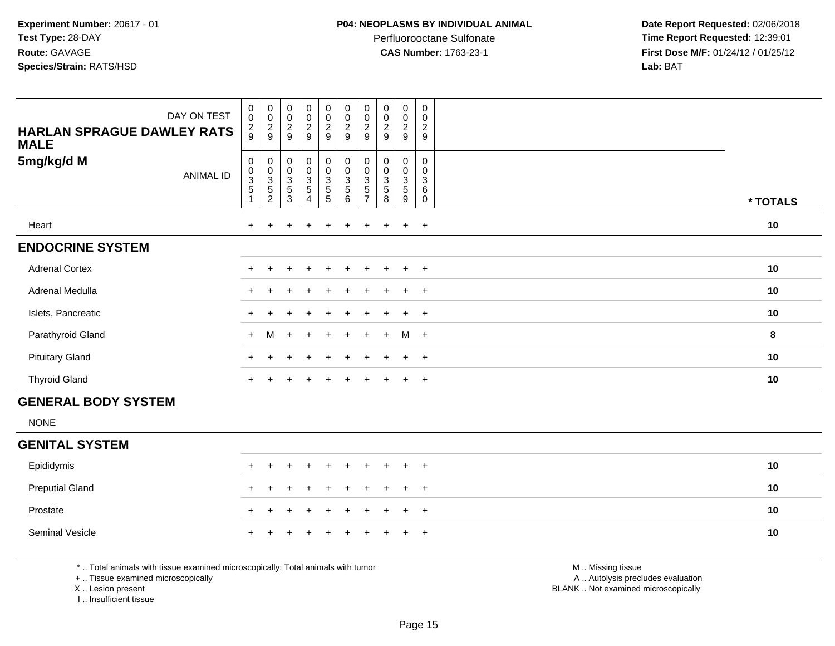Perfluorooctane Sulfonate<br>CAS Number: 1763-23-1

 **Date Report Requested:** 02/06/2018 **Time Report Requested:** 12:39:01 **First Dose M/F:** 01/24/12 / 01/25/12<br>**Lab:** BAT **Lab:** BAT

| DAY ON TEST<br><b>HARLAN SPRAGUE DAWLEY RATS</b><br><b>MALE</b> | $\pmb{0}$<br>$\mathbf 0$<br>$\frac{2}{9}$ | $\begin{smallmatrix}0\\0\end{smallmatrix}$<br>$\frac{2}{9}$    | $\,0\,$<br>$\mathbf 0$<br>$\frac{2}{9}$                      | $\begin{smallmatrix}0\0\0\end{smallmatrix}$<br>$\frac{2}{9}$ | $\begin{smallmatrix} 0\\0 \end{smallmatrix}$<br>$\frac{2}{9}$ |                                                             | $_{\rm 0}^{\rm 0}$<br>$\frac{2}{9}$                                  | $\begin{smallmatrix}0\\0\end{smallmatrix}$<br>$\overline{\mathbf{c}}$<br>9 | $\mathbf 0$<br>$\mathsf{O}\xspace$<br>$\overline{a}$<br>9 | $\pmb{0}$<br>$\pmb{0}$<br>$\overline{c}$<br>9 |          |
|-----------------------------------------------------------------|-------------------------------------------|----------------------------------------------------------------|--------------------------------------------------------------|--------------------------------------------------------------|---------------------------------------------------------------|-------------------------------------------------------------|----------------------------------------------------------------------|----------------------------------------------------------------------------|-----------------------------------------------------------|-----------------------------------------------|----------|
| 5mg/kg/d M<br><b>ANIMAL ID</b>                                  | 0<br>$_{3}^{\rm 0}$<br>$\sqrt{5}$         | $\mathbf 0$<br>$_{3}^{\rm 0}$<br>$\mathbf 5$<br>$\overline{c}$ | 0<br>$\boldsymbol{0}$<br>$\ensuremath{\mathsf{3}}$<br>5<br>3 | 0<br>0<br>3<br>5                                             | 0<br>0<br>3<br>$\sqrt{5}$<br>5                                | $\boldsymbol{0}$<br>$_{3}^{\rm 0}$<br>$\sqrt{5}$<br>$\,6\,$ | 0<br>0<br>$\ensuremath{\mathsf{3}}$<br>$\mathbf 5$<br>$\overline{ }$ | 0<br>0<br>3<br>5<br>8                                                      | 0<br>0<br>3<br>5<br>9                                     | 0<br>0<br>3<br>6<br>0                         | * TOTALS |
| Heart                                                           |                                           |                                                                |                                                              | $\ddot{}$                                                    | $\ddot{}$                                                     | $+$                                                         | $+$                                                                  | $+$                                                                        | $+$                                                       | $+$                                           | 10       |
| <b>ENDOCRINE SYSTEM</b>                                         |                                           |                                                                |                                                              |                                                              |                                                               |                                                             |                                                                      |                                                                            |                                                           |                                               |          |
| <b>Adrenal Cortex</b>                                           |                                           |                                                                |                                                              | $\ddot{}$                                                    | $\pm$                                                         | $+$                                                         | $\pm$                                                                | $+$                                                                        | $+$                                                       | $+$                                           | 10       |
| Adrenal Medulla                                                 | $+$                                       |                                                                |                                                              |                                                              | $\pm$                                                         |                                                             |                                                                      |                                                                            | $\ddot{}$                                                 | $+$                                           | 10       |
| Islets, Pancreatic                                              |                                           |                                                                |                                                              |                                                              |                                                               |                                                             |                                                                      |                                                                            |                                                           | $\ddot{}$                                     | 10       |
| Parathyroid Gland                                               | $+$                                       | M                                                              | $+$                                                          | $+$                                                          | $+$                                                           | $+$                                                         | $+$                                                                  | $+$                                                                        | $M +$                                                     |                                               | 8        |
| <b>Pituitary Gland</b>                                          | $+$                                       |                                                                |                                                              | $\div$                                                       | $+$                                                           |                                                             | $\pm$                                                                | $\pm$                                                                      | $\pm$                                                     | $+$                                           | 10       |
| <b>Thyroid Gland</b>                                            | $+$                                       |                                                                |                                                              | $\ddot{}$                                                    | $\ddot{}$                                                     | $\pm$                                                       | $\pm$                                                                | $+$                                                                        | $\pm$                                                     | $+$                                           | 10       |
| <b>GENERAL BODY SYSTEM</b>                                      |                                           |                                                                |                                                              |                                                              |                                                               |                                                             |                                                                      |                                                                            |                                                           |                                               |          |

NONE

#### **GENITAL SYSTEM**Epididymis <sup>+</sup> <sup>+</sup> <sup>+</sup> <sup>+</sup> <sup>+</sup> <sup>+</sup> <sup>+</sup> <sup>+</sup> <sup>+</sup> <sup>+</sup> **<sup>10</sup>** Preputial Glandd  $+$  <sup>+</sup> <sup>+</sup> <sup>+</sup> <sup>+</sup> <sup>+</sup> <sup>+</sup> <sup>+</sup> <sup>+</sup> <sup>+</sup> **<sup>10</sup>** Prostate $e$  + <sup>+</sup> <sup>+</sup> <sup>+</sup> <sup>+</sup> <sup>+</sup> <sup>+</sup> <sup>+</sup> <sup>+</sup> <sup>+</sup> **<sup>10</sup>** Seminal Vesicle $e$  + <sup>+</sup> <sup>+</sup> <sup>+</sup> <sup>+</sup> <sup>+</sup> <sup>+</sup> <sup>+</sup> <sup>+</sup> <sup>+</sup> **<sup>10</sup>**

\* .. Total animals with tissue examined microscopically; Total animals with tumor

+ .. Tissue examined microscopically

X .. Lesion present

I .. Insufficient tissue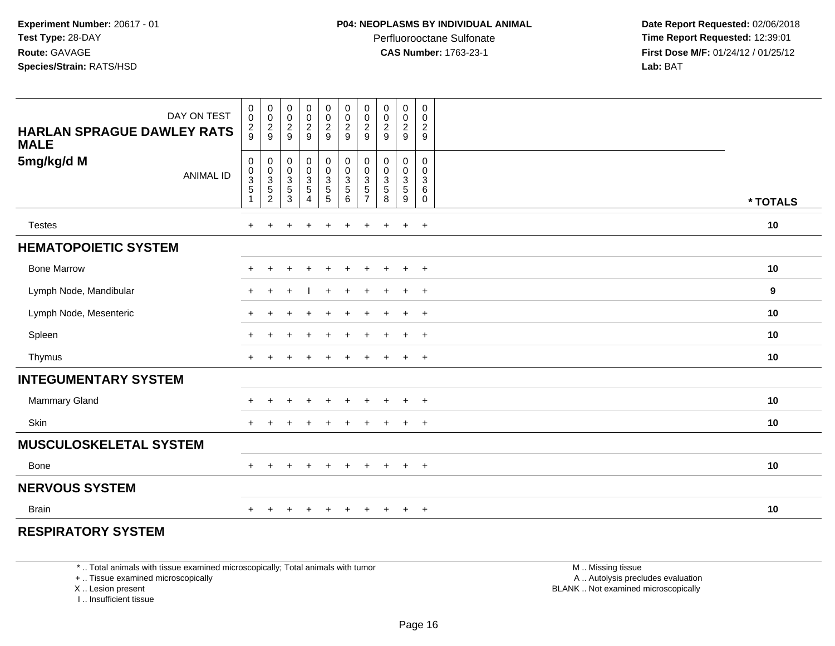**Date Report Requested:** 02/06/2018 **Time Report Requested:** 12:39:01 **First Dose M/F:** 01/24/12 / 01/25/12<br>**Lab:** BAT **Lab:** BAT

| DAY ON TEST<br><b>HARLAN SPRAGUE DAWLEY RATS</b><br><b>MALE</b> | $\boldsymbol{0}$<br>$\mathbf 0$<br>$\frac{2}{9}$             | $\begin{array}{c} 0 \\ 0 \\ 2 \\ 9 \end{array}$ | $_{\rm 0}^{\rm 0}$<br>$\frac{2}{9}$            | $\pmb{0}$<br>$\pmb{0}$<br>$\frac{2}{9}$                | $\boldsymbol{0}$<br>$\frac{0}{2}$ | 0<br>$\pmb{0}$<br>$\frac{2}{9}$                                                    | 0<br>$\pmb{0}$<br>$\boldsymbol{2}$<br>$9\,$          | $\begin{array}{c} 0 \\ 0 \\ 2 \\ 9 \end{array}$           | 0<br>$\pmb{0}$<br>$\sqrt{2}$<br>9                             | 0<br>0<br>$\overline{2}$<br>9                                  |          |
|-----------------------------------------------------------------|--------------------------------------------------------------|-------------------------------------------------|------------------------------------------------|--------------------------------------------------------|-----------------------------------|------------------------------------------------------------------------------------|------------------------------------------------------|-----------------------------------------------------------|---------------------------------------------------------------|----------------------------------------------------------------|----------|
| 5mg/kg/d M<br><b>ANIMAL ID</b>                                  | $\mathbf 0$<br>$\begin{smallmatrix}0\\3\\5\end{smallmatrix}$ | 0<br>0<br>3<br>5<br>2                           | $\pmb{0}$<br>$_{3}^{\rm 0}$<br>$\sqrt{5}$<br>3 | $\pmb{0}$<br>$\mathsf{O}\xspace$<br>$\frac{3}{5}$<br>4 | 0<br>0<br>3<br>5<br>5<br>5        | $\begin{smallmatrix} 0\\0 \end{smallmatrix}$<br>$\overline{3}$<br>$\,$ 5 $\,$<br>6 | 0<br>0<br>$\sqrt{3}$<br>$\sqrt{5}$<br>$\overline{7}$ | $\mathbf 0$<br>$\overline{0}$<br>3<br>$\overline{5}$<br>8 | 0<br>$\mathbf 0$<br>$\overline{3}$<br>$\overline{5}$<br>$9\,$ | $\mathbf 0$<br>$\mathbf 0$<br>$\mathbf{3}$<br>6<br>$\mathbf 0$ | * TOTALS |
| <b>Testes</b>                                                   | $+$                                                          | $+$                                             | $+$                                            | $\ddot{}$                                              | $+$                               | $\ddot{}$                                                                          | $+$                                                  | $\ddot{}$                                                 | $+$                                                           | $+$                                                            | 10       |
| <b>HEMATOPOIETIC SYSTEM</b>                                     |                                                              |                                                 |                                                |                                                        |                                   |                                                                                    |                                                      |                                                           |                                                               |                                                                |          |
| <b>Bone Marrow</b>                                              | $\ddot{}$                                                    |                                                 |                                                | $\ddot{}$                                              |                                   | $\ddot{}$                                                                          | $\pm$                                                | $\overline{+}$                                            | $+$                                                           | $+$                                                            | 10       |
| Lymph Node, Mandibular                                          | $+$                                                          | $\ddot{}$                                       | $\div$                                         |                                                        | $\ddot{}$                         | $\ddot{}$                                                                          | $\ddot{}$                                            | $\overline{+}$                                            | $+$                                                           | $+$                                                            | 9        |
| Lymph Node, Mesenteric                                          | $\ddot{}$                                                    |                                                 |                                                | $\div$                                                 | $\ddot{}$                         | $\ddot{}$                                                                          | $\ddot{}$                                            | $\overline{+}$                                            | $+$                                                           | $+$                                                            | 10       |
| Spleen                                                          | $\ddot{}$                                                    |                                                 |                                                | $\ddot{}$                                              |                                   | $\ddot{}$                                                                          | $\pm$                                                | $\overline{+}$                                            | $+$                                                           | $+$                                                            | 10       |
| Thymus                                                          | $\ddot{}$                                                    |                                                 |                                                |                                                        |                                   |                                                                                    |                                                      |                                                           | $\ddot{}$                                                     | $+$                                                            | 10       |
| <b>INTEGUMENTARY SYSTEM</b>                                     |                                                              |                                                 |                                                |                                                        |                                   |                                                                                    |                                                      |                                                           |                                                               |                                                                |          |
| Mammary Gland                                                   | $\pm$                                                        | $\div$                                          |                                                | $\div$                                                 | $\pm$                             | $\pm$                                                                              | $\div$                                               | $\pm$                                                     | $\ddot{}$                                                     | $+$                                                            | 10       |
| <b>Skin</b>                                                     | $+$                                                          | $\ddot{}$                                       |                                                |                                                        |                                   | $\ddot{}$                                                                          | $\pm$                                                | $\div$                                                    | $+$                                                           | $+$                                                            | 10       |
| <b>MUSCULOSKELETAL SYSTEM</b>                                   |                                                              |                                                 |                                                |                                                        |                                   |                                                                                    |                                                      |                                                           |                                                               |                                                                |          |
| <b>Bone</b>                                                     | $+$                                                          | $\pm$                                           | $\pm$                                          | $\ddot{}$                                              | $\ddot{}$                         | $+$                                                                                | $\ddot{}$                                            | $^{+}$                                                    | $+$                                                           | $+$                                                            | 10       |
| <b>NERVOUS SYSTEM</b>                                           |                                                              |                                                 |                                                |                                                        |                                   |                                                                                    |                                                      |                                                           |                                                               |                                                                |          |
| <b>Brain</b>                                                    | $\pm$                                                        |                                                 |                                                |                                                        |                                   |                                                                                    |                                                      |                                                           | $\ddot{}$                                                     | $+$                                                            | 10       |

### **RESPIRATORY SYSTEM**

\* .. Total animals with tissue examined microscopically; Total animals with tumor

+ .. Tissue examined microscopically

X .. Lesion present

I .. Insufficient tissue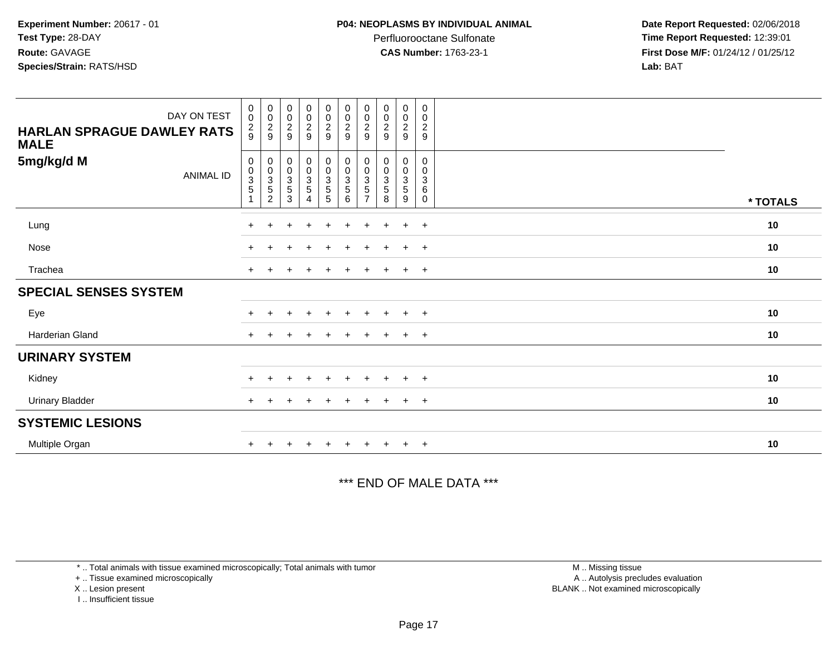Perfluorooctane Sulfonate<br>CAS Number: 1763-23-1

 **Date Report Requested:** 02/06/2018 **Time Report Requested:** 12:39:01 **First Dose M/F:** 01/24/12 / 01/25/12<br>**Lab:** BAT **Lab:** BAT

| DAY ON TEST<br><b>HARLAN SPRAGUE DAWLEY RATS</b><br><b>MALE</b> | $\begin{smallmatrix} 0\\0 \end{smallmatrix}$<br>$\frac{2}{9}$ | $_{\rm 0}^{\rm 0}$<br>$\frac{2}{9}$                  | $\boldsymbol{0}$<br>$\pmb{0}$<br>$\boldsymbol{2}$<br>9 | $_0^0$<br>$\frac{2}{9}$ | $\begin{smallmatrix} 0\\0 \end{smallmatrix}$<br>$\frac{2}{9}$ | 00029                                                      | $\begin{smallmatrix} 0\\0 \end{smallmatrix}$<br>$\frac{2}{9}$     | $\begin{smallmatrix} 0\\0 \end{smallmatrix}$<br>$\frac{2}{9}$ | $_0^0$<br>$\frac{2}{9}$                | 0<br>$\mathbf 0$<br>$\overline{c}$<br>9                           |          |
|-----------------------------------------------------------------|---------------------------------------------------------------|------------------------------------------------------|--------------------------------------------------------|-------------------------|---------------------------------------------------------------|------------------------------------------------------------|-------------------------------------------------------------------|---------------------------------------------------------------|----------------------------------------|-------------------------------------------------------------------|----------|
| 5mg/kg/d M<br>ANIMAL ID                                         | $\mathbf 0$<br>$\begin{array}{c} 0 \\ 3 \\ 5 \end{array}$     | 0<br>$_{3}^{\rm 0}$<br>$\,$ 5 $\,$<br>$\overline{c}$ | $\pmb{0}$<br>$_{3}^{\rm 0}$<br>5<br>3                  | 0<br>$\frac{0}{3}$<br>4 | $\begin{array}{c} 0 \\ 0 \\ 3 \\ 5 \end{array}$<br>5          | $\begin{array}{c} 0 \\ 0 \\ 3 \\ 5 \end{array}$<br>$\,6\,$ | $\begin{array}{c} 0 \\ 0 \\ 3 \\ 5 \end{array}$<br>$\overline{7}$ | 0<br>$\begin{array}{c} 0 \\ 3 \\ 5 \end{array}$<br>8          | 0<br>$\frac{0}{3}$<br>$\,$ 5 $\,$<br>9 | 0<br>$\mathbf 0$<br>$\ensuremath{\mathsf{3}}$<br>6<br>$\mathbf 0$ | * TOTALS |
| Lung                                                            | $\pm$                                                         |                                                      |                                                        | $\ddot{}$               | $\ddot{}$                                                     | $\ddot{}$                                                  |                                                                   | $\ddot{}$                                                     | $\ddot{}$                              | $+$                                                               | 10       |
| Nose                                                            |                                                               |                                                      |                                                        |                         |                                                               |                                                            |                                                                   |                                                               | $\ddot{}$                              | $+$                                                               | 10       |
| Trachea                                                         | $\pm$                                                         |                                                      |                                                        |                         | $+$                                                           | $\div$                                                     |                                                                   |                                                               | $\overline{+}$                         | $+$                                                               | $10$     |
| <b>SPECIAL SENSES SYSTEM</b>                                    |                                                               |                                                      |                                                        |                         |                                                               |                                                            |                                                                   |                                                               |                                        |                                                                   |          |
| Eye                                                             |                                                               |                                                      |                                                        |                         | ÷                                                             |                                                            |                                                                   |                                                               | $\div$                                 | $+$                                                               | $10$     |
| Harderian Gland                                                 | $+$                                                           |                                                      |                                                        | $\ddot{}$               | $+$                                                           | $+$                                                        | $+$                                                               | $+$                                                           | $+$                                    | $+$                                                               | 10       |
| <b>URINARY SYSTEM</b>                                           |                                                               |                                                      |                                                        |                         |                                                               |                                                            |                                                                   |                                                               |                                        |                                                                   |          |
| Kidney                                                          |                                                               |                                                      |                                                        |                         |                                                               |                                                            |                                                                   |                                                               |                                        | $\pm$                                                             | $10$     |
| <b>Urinary Bladder</b>                                          | $+$                                                           |                                                      |                                                        |                         | $\ddot{}$                                                     | $\div$                                                     |                                                                   |                                                               | $\ddot{}$                              | $+$                                                               | 10       |
| <b>SYSTEMIC LESIONS</b>                                         |                                                               |                                                      |                                                        |                         |                                                               |                                                            |                                                                   |                                                               |                                        |                                                                   |          |
| Multiple Organ                                                  |                                                               |                                                      |                                                        |                         |                                                               |                                                            |                                                                   |                                                               | $\ddot{}$                              | $+$                                                               | 10       |

#### \*\*\* END OF MALE DATA \*\*\*

\* .. Total animals with tissue examined microscopically; Total animals with tumor

+ .. Tissue examined microscopically

X .. Lesion present

I .. Insufficient tissue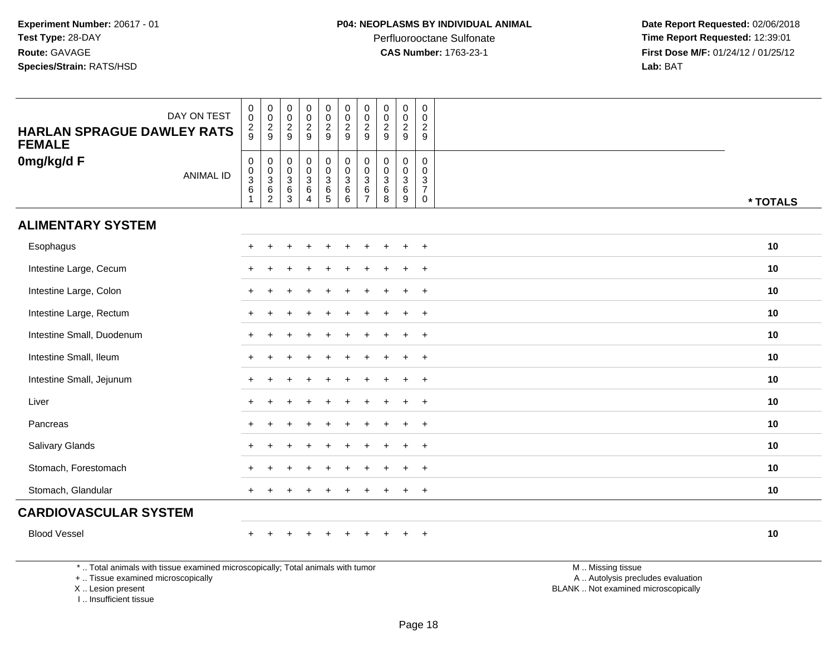**Date Report Requested:** 02/06/2018 **Time Report Requested:** 12:39:01 **First Dose M/F:** 01/24/12 / 01/25/12<br>**Lab:** BAT **Lab:** BAT

| DAY ON TEST<br><b>HARLAN SPRAGUE DAWLEY RATS</b><br><b>FEMALE</b>               | $\pmb{0}$<br>$\overline{0}$<br>$\frac{2}{9}$                           | $\begin{smallmatrix} 0\\0 \end{smallmatrix}$<br>$\frac{2}{9}$ | $\pmb{0}$<br>$\overline{0}$<br>$\overline{2}$<br>$\mathsf g$ | $\pmb{0}$<br>$\frac{0}{2}$                          | $\begin{smallmatrix}0\\0\end{smallmatrix}$<br>$\frac{2}{9}$ | $_{\rm 0}^{\rm 0}$<br>$\overline{2}$<br>9 | $\begin{smallmatrix} 0\\0 \end{smallmatrix}$<br>$\sqrt{2}$<br>9   | $\mathsf 0$<br>$\ddot{\mathbf{0}}$<br>$\frac{2}{9}$    | $\pmb{0}$<br>$\mathsf{O}\xspace$<br>$\overline{2}$<br>9 | $\pmb{0}$<br>$\ddot{\mathbf{0}}$<br>$\frac{2}{9}$                 |                   |          |
|---------------------------------------------------------------------------------|------------------------------------------------------------------------|---------------------------------------------------------------|--------------------------------------------------------------|-----------------------------------------------------|-------------------------------------------------------------|-------------------------------------------|-------------------------------------------------------------------|--------------------------------------------------------|---------------------------------------------------------|-------------------------------------------------------------------|-------------------|----------|
| 0mg/kg/d F<br><b>ANIMAL ID</b>                                                  | $\mathsf{O}\xspace$<br>$\begin{array}{c} 0 \\ 3 \\ 6 \end{array}$<br>1 | $\mathbf 0$<br>$_{3}^{\rm 0}$<br>$\,6\,$<br>$\overline{c}$    | $\pmb{0}$<br>0<br>3<br>6<br>3                                | $\begin{matrix} 0 \\ 0 \\ 3 \\ 6 \end{matrix}$<br>4 | 0<br>0<br>0<br>6<br>5                                       | $\pmb{0}$<br>$\frac{0}{3}$<br>$\,6$<br>6  | $\mathbf 0$<br>$\mathbf 0$<br>$\mathbf{3}$<br>6<br>$\overline{7}$ | $\mathbf 0$<br>$\mathbf 0$<br>$\overline{3}$<br>6<br>8 | 0<br>$\mathbf 0$<br>3<br>6<br>9                         | 0<br>$\mathbf 0$<br>$\mathbf{3}$<br>$\overline{7}$<br>$\mathbf 0$ |                   | * TOTALS |
| <b>ALIMENTARY SYSTEM</b>                                                        |                                                                        |                                                               |                                                              |                                                     |                                                             |                                           |                                                                   |                                                        |                                                         |                                                                   |                   |          |
| Esophagus                                                                       |                                                                        |                                                               |                                                              |                                                     |                                                             |                                           |                                                                   |                                                        |                                                         |                                                                   |                   | 10       |
| Intestine Large, Cecum                                                          |                                                                        |                                                               |                                                              |                                                     |                                                             |                                           |                                                                   |                                                        |                                                         | $\overline{+}$                                                    |                   | 10       |
| Intestine Large, Colon                                                          |                                                                        |                                                               |                                                              |                                                     |                                                             |                                           |                                                                   |                                                        |                                                         | $\ddot{}$                                                         |                   | 10       |
| Intestine Large, Rectum                                                         |                                                                        |                                                               |                                                              |                                                     |                                                             |                                           |                                                                   |                                                        |                                                         | $\overline{+}$                                                    |                   | 10       |
| Intestine Small, Duodenum                                                       |                                                                        |                                                               |                                                              |                                                     |                                                             |                                           |                                                                   |                                                        |                                                         | $\ddot{}$                                                         |                   | 10       |
| Intestine Small, Ileum                                                          |                                                                        |                                                               |                                                              |                                                     |                                                             |                                           |                                                                   |                                                        | $\ddot{}$                                               | $+$                                                               |                   | 10       |
| Intestine Small, Jejunum                                                        |                                                                        |                                                               |                                                              |                                                     |                                                             |                                           |                                                                   |                                                        |                                                         | $\ddot{}$                                                         |                   | 10       |
| Liver                                                                           |                                                                        |                                                               |                                                              |                                                     |                                                             |                                           |                                                                   |                                                        |                                                         | $+$                                                               |                   | 10       |
| Pancreas                                                                        |                                                                        |                                                               |                                                              |                                                     |                                                             |                                           |                                                                   |                                                        |                                                         | $\ddot{}$                                                         |                   | 10       |
| Salivary Glands                                                                 |                                                                        |                                                               |                                                              |                                                     |                                                             |                                           |                                                                   |                                                        | $\ddot{}$                                               | $\overline{+}$                                                    |                   | 10       |
| Stomach, Forestomach                                                            |                                                                        |                                                               |                                                              |                                                     |                                                             |                                           |                                                                   |                                                        |                                                         | $+$                                                               |                   | 10       |
| Stomach, Glandular                                                              | $\pm$                                                                  |                                                               |                                                              |                                                     |                                                             |                                           |                                                                   |                                                        | $\ddot{}$                                               | $+$                                                               |                   | 10       |
| <b>CARDIOVASCULAR SYSTEM</b>                                                    |                                                                        |                                                               |                                                              |                                                     |                                                             |                                           |                                                                   |                                                        |                                                         |                                                                   |                   |          |
| <b>Blood Vessel</b>                                                             |                                                                        |                                                               |                                                              |                                                     |                                                             |                                           |                                                                   |                                                        |                                                         | $\overline{+}$                                                    |                   | 10       |
| *  Total animals with tissue examined microscopically; Total animals with tumor |                                                                        |                                                               |                                                              |                                                     |                                                             |                                           |                                                                   |                                                        |                                                         |                                                                   | M  Missing tissue |          |

+ .. Tissue examined microscopically

X .. Lesion present

I .. Insufficient tissue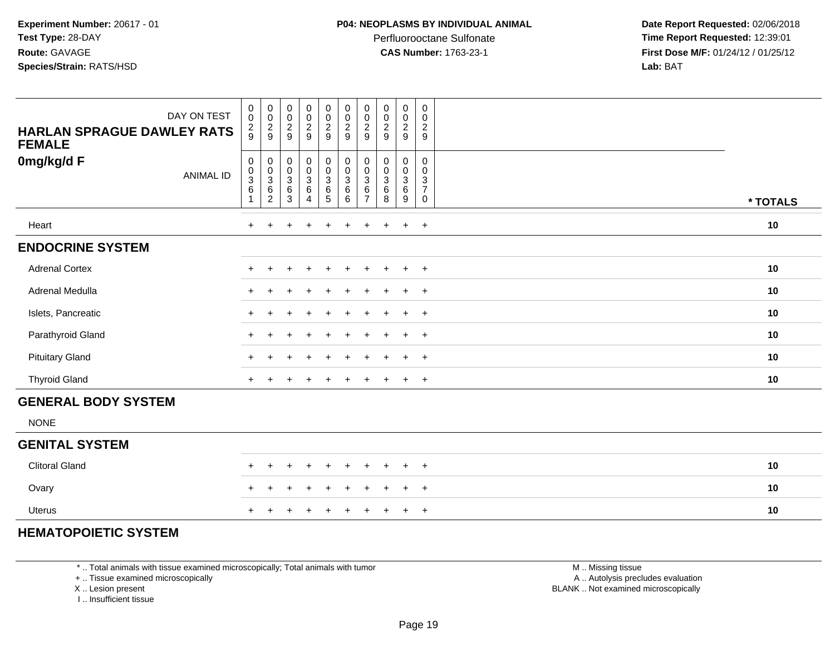Perfluorooctane Sulfonate<br>CAS Number: 1763-23-1

 **Date Report Requested:** 02/06/2018 **Time Report Requested:** 12:39:01 **First Dose M/F:** 01/24/12 / 01/25/12<br>**Lab:** BAT **Lab:** BAT

| DAY ON TEST<br><b>HARLAN SPRAGUE DAWLEY RATS</b><br><b>FEMALE</b> | $_{\rm 0}^{\rm 0}$<br>$\frac{2}{9}$       | $\begin{array}{c} 0 \\ 0 \\ 2 \\ 9 \end{array}$                      | 0<br>$\pmb{0}$<br>$\frac{2}{9}$                                        | $\begin{array}{c} 0 \\ 0 \\ 2 \\ 9 \end{array}$                  | $\begin{array}{c} 0 \\ 0 \\ 2 \\ 9 \end{array}$ | $\pmb{0}$<br>$\pmb{0}$<br>$\frac{2}{9}$                                       | 0<br>$\pmb{0}$<br>$\frac{2}{9}$            | $\mathbf 0$<br>0<br>$\frac{2}{9}$ | $\pmb{0}$<br>$\pmb{0}$<br>$\frac{2}{9}$                             | $\mathbf 0$<br>$\mathbf 0$<br>$\boldsymbol{2}$<br>$\boldsymbol{9}$          |          |
|-------------------------------------------------------------------|-------------------------------------------|----------------------------------------------------------------------|------------------------------------------------------------------------|------------------------------------------------------------------|-------------------------------------------------|-------------------------------------------------------------------------------|--------------------------------------------|-----------------------------------|---------------------------------------------------------------------|-----------------------------------------------------------------------------|----------|
| 0mg/kg/d F<br><b>ANIMAL ID</b>                                    | $\,0\,$<br>$_{3}^{\rm 0}$<br>$\,6\,$<br>1 | $\begin{smallmatrix}0\\0\\3\end{smallmatrix}$<br>6<br>$\overline{2}$ | 0<br>$\pmb{0}$<br>$\ensuremath{\mathsf{3}}$<br>$\,6\,$<br>$\mathbf{3}$ | $\begin{matrix} 0 \\ 0 \\ 3 \\ 6 \end{matrix}$<br>$\overline{4}$ | $_0^0$<br>$\overline{3}$<br>$\frac{6}{5}$       | $\overline{0}$<br>$\ddot{\mathbf{0}}$<br>$\overline{3}$<br>$\,6\,$<br>$\,6\,$ | $\pmb{0}$<br>0<br>3<br>6<br>$\overline{7}$ | 0<br>0<br>3<br>$\,6$<br>8         | $\pmb{0}$<br>$\pmb{0}$<br>$\ensuremath{\mathsf{3}}$<br>$\,6\,$<br>9 | $\mathbf 0$<br>$\mathbf 0$<br>$\mathbf{3}$<br>$\overline{7}$<br>$\mathbf 0$ | * TOTALS |
| Heart                                                             |                                           |                                                                      |                                                                        |                                                                  | $\div$                                          |                                                                               |                                            | $\pm$                             | $\ddot{}$                                                           | $+$                                                                         | 10       |
| <b>ENDOCRINE SYSTEM</b>                                           |                                           |                                                                      |                                                                        |                                                                  |                                                 |                                                                               |                                            |                                   |                                                                     |                                                                             |          |
| <b>Adrenal Cortex</b>                                             |                                           | $\div$                                                               | $\ddot{}$                                                              | $\ddot{}$                                                        | $\ddot{}$                                       | $\ddot{}$                                                                     | $\ddot{}$                                  | $\pm$                             | $\ddot{}$                                                           | $+$                                                                         | 10       |
| Adrenal Medulla                                                   |                                           |                                                                      |                                                                        |                                                                  | ÷                                               |                                                                               |                                            |                                   | $\pm$                                                               | $+$                                                                         | 10       |
| Islets, Pancreatic                                                |                                           |                                                                      |                                                                        |                                                                  | ÷                                               |                                                                               |                                            |                                   | $\pm$                                                               | $+$                                                                         | 10       |
| Parathyroid Gland                                                 |                                           |                                                                      |                                                                        |                                                                  | ÷.                                              | ÷                                                                             |                                            |                                   | $+$                                                                 | $+$                                                                         | 10       |
| <b>Pituitary Gland</b>                                            |                                           |                                                                      |                                                                        |                                                                  | $\ddot{}$                                       |                                                                               |                                            |                                   | $+$                                                                 | $+$                                                                         | 10       |
| <b>Thyroid Gland</b>                                              |                                           | ÷                                                                    | +                                                                      |                                                                  | $\ddot{}$                                       | $\ddot{}$                                                                     | $\div$                                     |                                   | $\ddot{}$                                                           | $+$                                                                         | 10       |
| <b>GENERAL BODY SYSTEM</b>                                        |                                           |                                                                      |                                                                        |                                                                  |                                                 |                                                                               |                                            |                                   |                                                                     |                                                                             |          |
| <b>NONE</b>                                                       |                                           |                                                                      |                                                                        |                                                                  |                                                 |                                                                               |                                            |                                   |                                                                     |                                                                             |          |
| <b>GENITAL SYSTEM</b>                                             |                                           |                                                                      |                                                                        |                                                                  |                                                 |                                                                               |                                            |                                   |                                                                     |                                                                             |          |
| <b>Clitoral Gland</b>                                             |                                           | $\div$                                                               |                                                                        |                                                                  | $\ddot{}$                                       |                                                                               |                                            | $\pm$                             | $\pm$                                                               | $+$                                                                         | 10       |
| Ovary                                                             |                                           |                                                                      |                                                                        |                                                                  |                                                 |                                                                               |                                            | $\pm$                             | $\ddot{}$                                                           | $+$                                                                         | 10       |
| <b>Uterus</b>                                                     | $+$                                       | $+$                                                                  | $+$                                                                    | $\overline{+}$                                                   | $\ddot{}$                                       | $\ddot{}$                                                                     | $\pm$                                      | $+$                               | $+$                                                                 | $+$                                                                         | 10       |

#### **HEMATOPOIETIC SYSTEM**

\* .. Total animals with tissue examined microscopically; Total animals with tumor

┰

+ .. Tissue examined microscopically

<sup>+</sup>

X .. Lesion present

I .. Insufficient tissue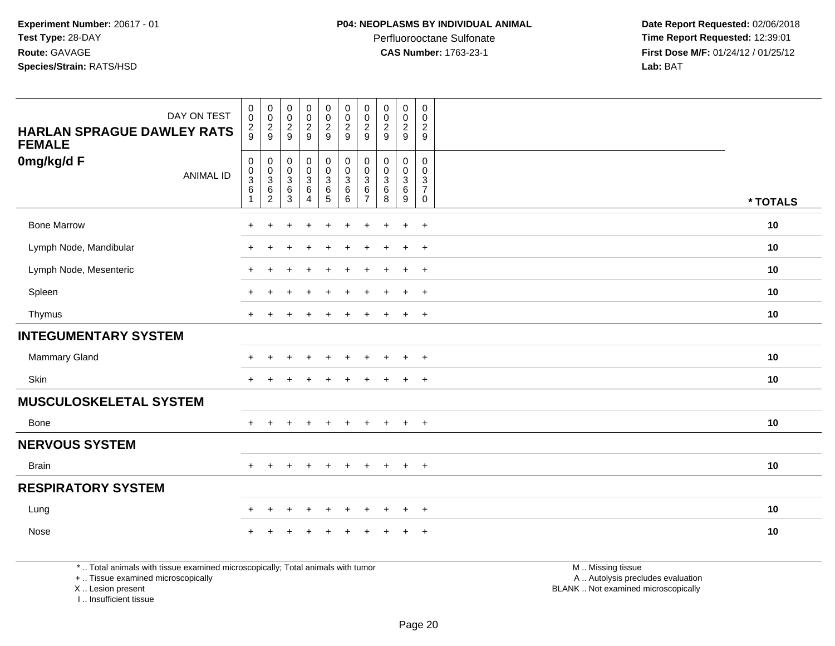Perfluorooctane Sulfonate<br>CAS Number: 1763-23-1

 **Date Report Requested:** 02/06/2018 **Time Report Requested:** 12:39:01 **First Dose M/F:** 01/24/12 / 01/25/12<br>**Lab:** BAT **Lab:** BAT

| DAY ON TEST<br><b>HARLAN SPRAGUE DAWLEY RATS</b><br><b>FEMALE</b> | $_{\rm 0}^{\rm 0}$<br>$\frac{2}{9}$     | $\begin{matrix} 0 \\ 0 \\ 2 \\ 9 \end{matrix}$                 | $\begin{smallmatrix} 0\\0 \end{smallmatrix}$<br>$\frac{2}{9}$          | $_{\rm 0}^{\rm 0}$<br>$\frac{2}{9}$                                                | $\begin{smallmatrix} 0\\0 \end{smallmatrix}$<br>$\frac{2}{9}$                   | $\begin{smallmatrix} 0\\0 \end{smallmatrix}$<br>$\overline{2}$<br>9 | $\pmb{0}$<br>$\mathbf 0$<br>$\boldsymbol{2}$<br>9  | $\begin{smallmatrix} 0\\0 \end{smallmatrix}$<br>$\frac{2}{9}$ | $\pmb{0}$<br>$\mathsf{O}\xspace$<br>$\overline{2}$<br>9           | $\pmb{0}$<br>$\mathbf 0$<br>$\overline{2}$<br>9            |          |
|-------------------------------------------------------------------|-----------------------------------------|----------------------------------------------------------------|------------------------------------------------------------------------|------------------------------------------------------------------------------------|---------------------------------------------------------------------------------|---------------------------------------------------------------------|----------------------------------------------------|---------------------------------------------------------------|-------------------------------------------------------------------|------------------------------------------------------------|----------|
| 0mg/kg/d F<br><b>ANIMAL ID</b>                                    | 0<br>$\pmb{0}$<br>$\sqrt{3}$<br>$\,6\,$ | $\mathbf 0$<br>$\begin{array}{c} 0 \\ 3 \\ 6 \\ 2 \end{array}$ | 0<br>$\pmb{0}$<br>$\ensuremath{\mathsf{3}}$<br>$\,6\,$<br>$\mathbf{3}$ | 0<br>$\ddot{\mathbf{0}}$<br>$\ensuremath{\mathsf{3}}$<br>$\,6\,$<br>$\overline{4}$ | $\begin{smallmatrix} 0\\0 \end{smallmatrix}$<br>$\frac{3}{6}$<br>$\overline{5}$ | 0<br>$\mathbf 0$<br>$\mathbf{3}$<br>$\,6\,$<br>6                    | 0<br>$\mathbf 0$<br>3<br>$\,6\,$<br>$\overline{7}$ | 0<br>$\mathbf 0$<br>$\ensuremath{\mathsf{3}}$<br>$\,6\,$<br>8 | 0<br>$\mathbf 0$<br>$\ensuremath{\mathsf{3}}$<br>$\,6\,$<br>$9\,$ | $\mathbf 0$<br>$\mathbf 0$<br>$\frac{3}{7}$<br>$\mathbf 0$ | * TOTALS |
| <b>Bone Marrow</b>                                                | $\ddot{}$                               |                                                                |                                                                        |                                                                                    |                                                                                 |                                                                     |                                                    |                                                               | $\ddot{}$                                                         | $\overline{+}$                                             | 10       |
| Lymph Node, Mandibular                                            | $\ddot{}$                               |                                                                |                                                                        |                                                                                    |                                                                                 |                                                                     |                                                    |                                                               | $\pm$                                                             | $+$                                                        | 10       |
| Lymph Node, Mesenteric                                            | $\ddot{}$                               |                                                                |                                                                        | $\ddot{}$                                                                          | $\div$                                                                          | $\ddot{}$                                                           | $\pm$                                              | $\pm$                                                         | $+$                                                               | $+$                                                        | 10       |
| Spleen                                                            | $\ddot{}$                               | $\pm$                                                          | ÷                                                                      | $\ddot{}$                                                                          | ÷                                                                               | $\ddot{}$                                                           | $\ddot{}$                                          | $\overline{ }$                                                | $+$                                                               | $+$                                                        | 10       |
| Thymus                                                            | $+$                                     |                                                                |                                                                        | $\ddot{}$                                                                          |                                                                                 | $\div$                                                              | $\div$                                             | $\overline{ }$                                                | $\ddot{}$                                                         | $+$                                                        | 10       |
| <b>INTEGUMENTARY SYSTEM</b>                                       |                                         |                                                                |                                                                        |                                                                                    |                                                                                 |                                                                     |                                                    |                                                               |                                                                   |                                                            |          |
| Mammary Gland                                                     |                                         |                                                                |                                                                        |                                                                                    |                                                                                 |                                                                     |                                                    |                                                               | ÷                                                                 | $+$                                                        | 10       |
| Skin                                                              | $\pm$                                   |                                                                |                                                                        |                                                                                    |                                                                                 |                                                                     |                                                    |                                                               | $\pm$                                                             | $+$                                                        | 10       |
| <b>MUSCULOSKELETAL SYSTEM</b>                                     |                                         |                                                                |                                                                        |                                                                                    |                                                                                 |                                                                     |                                                    |                                                               |                                                                   |                                                            |          |
| Bone                                                              | $+$                                     |                                                                |                                                                        | $\ddot{}$                                                                          |                                                                                 | $\ddot{}$                                                           | $\pm$                                              | $\overline{+}$                                                | $\ddot{}$                                                         | $+$                                                        | 10       |
| <b>NERVOUS SYSTEM</b>                                             |                                         |                                                                |                                                                        |                                                                                    |                                                                                 |                                                                     |                                                    |                                                               |                                                                   |                                                            |          |
| <b>Brain</b>                                                      | $+$                                     | $\pm$                                                          |                                                                        | $\ddot{}$                                                                          |                                                                                 | $\ddot{}$                                                           | $\pm$                                              | $\overline{+}$                                                | $+$                                                               | $+$                                                        | 10       |
| <b>RESPIRATORY SYSTEM</b>                                         |                                         |                                                                |                                                                        |                                                                                    |                                                                                 |                                                                     |                                                    |                                                               |                                                                   |                                                            |          |
| Lung                                                              | $+$                                     | $\ddot{}$                                                      | ÷                                                                      | $\ddot{}$                                                                          | $\div$                                                                          | $\pm$                                                               | $\pm$                                              | $\pm$                                                         | $+$                                                               | $+$                                                        | 10       |
| Nose                                                              |                                         |                                                                |                                                                        |                                                                                    |                                                                                 |                                                                     |                                                    |                                                               |                                                                   | $\ddot{}$                                                  | 10       |

\* .. Total animals with tissue examined microscopically; Total animals with tumor

+ .. Tissue examined microscopically

X .. Lesion present

I .. Insufficient tissue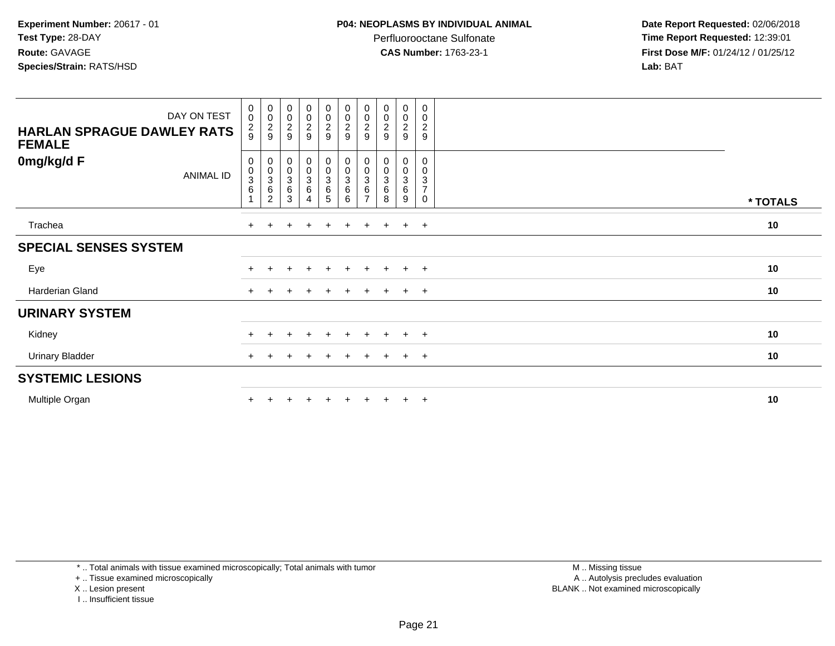Perfluorooctane Sulfonate<br>CAS Number: 1763-23-1

 **Date Report Requested:** 02/06/2018 **Time Report Requested:** 12:39:01 **First Dose M/F:** 01/24/12 / 01/25/12<br>**Lab:** BAT **Lab:** BAT

| <b>HARLAN SPRAGUE DAWLEY RATS</b><br><b>FEMALE</b> | DAY ON TEST      | $_{\rm 0}^{\rm 0}$<br>$\frac{2}{9}$              | $_{\rm 0}^{\rm 0}$<br>$\frac{2}{9}$              | 00029                                                              | $\begin{array}{c} 0 \\ 0 \\ 2 \\ 9 \end{array}$           | $\begin{array}{c} 0 \\ 0 \\ 2 \\ 9 \end{array}$ | $\begin{array}{c} 0 \\ 0 \\ 2 \\ 9 \end{array}$                             | $\begin{smallmatrix} 0\\0 \end{smallmatrix}$<br>$\overline{\mathbf{c}}$<br>9 | 00029                     | $_{\rm 0}^{\rm 0}$<br>$\overline{c}$<br>9 | 0<br>0<br>$\overline{c}$<br>$\boldsymbol{9}$          |          |
|----------------------------------------------------|------------------|--------------------------------------------------|--------------------------------------------------|--------------------------------------------------------------------|-----------------------------------------------------------|-------------------------------------------------|-----------------------------------------------------------------------------|------------------------------------------------------------------------------|---------------------------|-------------------------------------------|-------------------------------------------------------|----------|
| 0mg/kg/d F                                         | <b>ANIMAL ID</b> | 0<br>$_{3}^{\rm 0}$<br>$\,6\,$<br>$\overline{1}$ | 0<br>$_{3}^{\rm 0}$<br>$\,6\,$<br>$\overline{c}$ | $\pmb{0}$<br>$\begin{matrix}0\\3\\6\end{matrix}$<br>$\overline{3}$ | $\begin{smallmatrix} 0\\0\\3 \end{smallmatrix}$<br>6<br>4 | 0<br>$_{3}^{\rm 0}$<br>$\frac{6}{5}$            | $\begin{smallmatrix}0\\0\\3\end{smallmatrix}$<br>$\,6\,$<br>$6\overline{6}$ | 0<br>$\pmb{0}$<br>3<br>$\,6$<br>$\overline{ }$                               | 0<br>$_3^0$<br>$\,6$<br>8 | 0<br>$\pmb{0}$<br>$\mathbf{3}$<br>6<br>9  | 0<br>0<br>$\sqrt{3}$<br>$\overline{\mathcal{I}}$<br>0 | * TOTALS |
| Trachea                                            |                  | $+$                                              | $\pm$                                            | $+$                                                                | $+$                                                       | $+$                                             | $+$                                                                         | $+$                                                                          | $+$                       | $+$                                       | $+$                                                   | 10       |
| <b>SPECIAL SENSES SYSTEM</b>                       |                  |                                                  |                                                  |                                                                    |                                                           |                                                 |                                                                             |                                                                              |                           |                                           |                                                       |          |
| Eye                                                |                  |                                                  |                                                  |                                                                    | $\ddot{}$                                                 | $\pm$                                           | $\ddot{}$                                                                   |                                                                              | $\pm$                     | $+$                                       | $+$                                                   | 10       |
| Harderian Gland                                    |                  | $+$                                              |                                                  |                                                                    | $\pm$                                                     | $\pm$                                           | $\pm$                                                                       |                                                                              |                           | $\pm$                                     | $+$                                                   | 10       |
| <b>URINARY SYSTEM</b>                              |                  |                                                  |                                                  |                                                                    |                                                           |                                                 |                                                                             |                                                                              |                           |                                           |                                                       |          |
| Kidney                                             |                  | $\div$                                           |                                                  |                                                                    | $\ddot{}$                                                 | $+$                                             | $\div$                                                                      | $\div$                                                                       | ÷                         | $\pm$                                     | $+$                                                   | 10       |
| <b>Urinary Bladder</b>                             |                  |                                                  |                                                  |                                                                    |                                                           |                                                 |                                                                             |                                                                              |                           | $+$                                       | $+$                                                   | 10       |
| <b>SYSTEMIC LESIONS</b>                            |                  |                                                  |                                                  |                                                                    |                                                           |                                                 |                                                                             |                                                                              |                           |                                           |                                                       |          |
| Multiple Organ                                     |                  |                                                  |                                                  |                                                                    |                                                           |                                                 |                                                                             |                                                                              |                           | $+$                                       | $+$                                                   | 10       |

\* .. Total animals with tissue examined microscopically; Total animals with tumor

+ .. Tissue examined microscopically

X .. Lesion present

I .. Insufficient tissue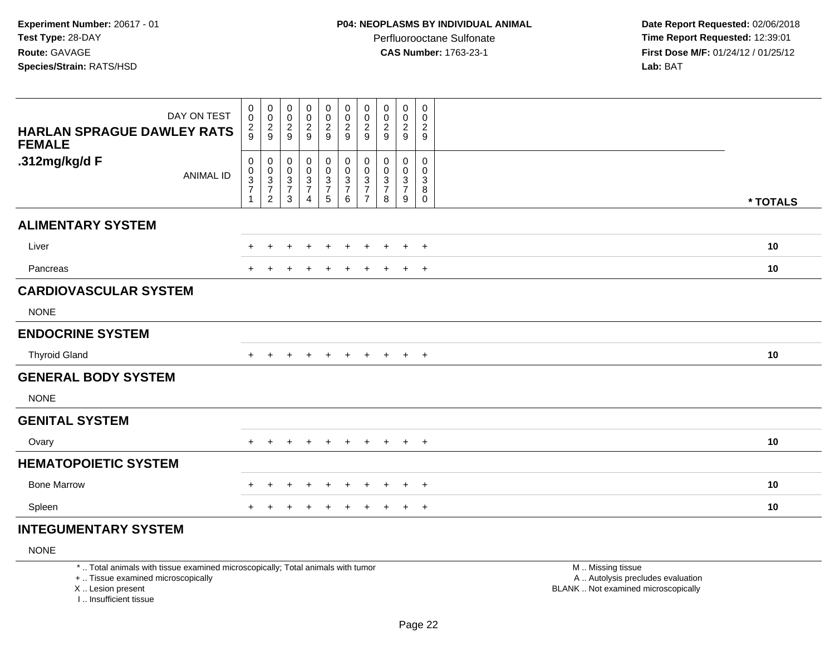**Date Report Requested:** 02/06/2018 **Time Report Requested:** 12:39:01 **First Dose M/F:** 01/24/12 / 01/25/12<br>**Lab:** BAT **Lab:** BAT

| DAY ON TEST<br><b>HARLAN SPRAGUE DAWLEY RATS</b><br><b>FEMALE</b> | $\begin{smallmatrix}0\0\0\end{smallmatrix}$<br>$\frac{2}{9}$ | 00029                                                                     | $_{\rm 0}^{\rm 0}$<br>$\frac{2}{9}$                                          | $_{\rm 0}^{\rm 0}$<br>$\frac{2}{9}$               | $\mathbf 0$<br>$\pmb{0}$<br>$\frac{2}{9}$                         | 0<br>$\pmb{0}$<br>$\frac{2}{9}$                                              | 0<br>$\pmb{0}$<br>$\overline{\mathbf{c}}$<br>9                                          | $\mathbf 0$<br>0<br>$\boldsymbol{2}$<br>9    | $\pmb{0}$<br>$\pmb{0}$<br>$\frac{2}{9}$                                    | $\mathbf 0$<br>$\mathbf 0$<br>$\overline{\mathbf{c}}$<br>9 |          |
|-------------------------------------------------------------------|--------------------------------------------------------------|---------------------------------------------------------------------------|------------------------------------------------------------------------------|---------------------------------------------------|-------------------------------------------------------------------|------------------------------------------------------------------------------|-----------------------------------------------------------------------------------------|----------------------------------------------|----------------------------------------------------------------------------|------------------------------------------------------------|----------|
| .312mg/kg/d F<br><b>ANIMAL ID</b>                                 | 0<br>$\mathbf 0$<br>$\frac{3}{7}$<br>$\mathbf{1}$            | $\pmb{0}$<br>$\begin{array}{c} 0 \\ 3 \\ 7 \end{array}$<br>$\overline{c}$ | $\mathbf 0$<br>$\pmb{0}$<br>$\ensuremath{\mathsf{3}}$<br>$\overline{7}$<br>3 | $\pmb{0}$<br>$\frac{0}{3}$<br>$\overline{7}$<br>4 | 0<br>$\begin{array}{c} 0 \\ 3 \\ 7 \end{array}$<br>$\overline{5}$ | $\pmb{0}$<br>$\mathbf 0$<br>$\ensuremath{\mathsf{3}}$<br>$\overline{7}$<br>6 | $\pmb{0}$<br>$\pmb{0}$<br>$\ensuremath{\mathsf{3}}$<br>$\overline{7}$<br>$\overline{7}$ | $\mathbf 0$<br>0<br>3<br>$\overline{7}$<br>8 | $\pmb{0}$<br>$\pmb{0}$<br>$\ensuremath{\mathsf{3}}$<br>$\overline{7}$<br>9 | 0<br>0<br>3<br>8<br>0                                      | * TOTALS |
| <b>ALIMENTARY SYSTEM</b>                                          |                                                              |                                                                           |                                                                              |                                                   |                                                                   |                                                                              |                                                                                         |                                              |                                                                            |                                                            |          |
| Liver                                                             | $+$                                                          | $\pm$                                                                     | +                                                                            | $\div$                                            | $\overline{+}$                                                    | $\ddot{}$                                                                    | $\div$                                                                                  | $\pm$                                        | $+$                                                                        | $+$                                                        | 10       |
| Pancreas                                                          | $+$                                                          |                                                                           | +                                                                            | $\ddot{}$                                         | $\overline{+}$                                                    | $\ddot{}$                                                                    | $\pm$                                                                                   | $\pm$                                        | $+$                                                                        | $+$                                                        | 10       |
| <b>CARDIOVASCULAR SYSTEM</b>                                      |                                                              |                                                                           |                                                                              |                                                   |                                                                   |                                                                              |                                                                                         |                                              |                                                                            |                                                            |          |
| <b>NONE</b>                                                       |                                                              |                                                                           |                                                                              |                                                   |                                                                   |                                                                              |                                                                                         |                                              |                                                                            |                                                            |          |
| <b>ENDOCRINE SYSTEM</b>                                           |                                                              |                                                                           |                                                                              |                                                   |                                                                   |                                                                              |                                                                                         |                                              |                                                                            |                                                            |          |
| <b>Thyroid Gland</b>                                              | $+$                                                          | $+$                                                                       | $+$                                                                          | $\pm$                                             | $+$                                                               | $+$                                                                          | $+$                                                                                     | $+$                                          | $+$ $+$                                                                    |                                                            | 10       |
| <b>GENERAL BODY SYSTEM</b>                                        |                                                              |                                                                           |                                                                              |                                                   |                                                                   |                                                                              |                                                                                         |                                              |                                                                            |                                                            |          |
| <b>NONE</b>                                                       |                                                              |                                                                           |                                                                              |                                                   |                                                                   |                                                                              |                                                                                         |                                              |                                                                            |                                                            |          |
| <b>GENITAL SYSTEM</b>                                             |                                                              |                                                                           |                                                                              |                                                   |                                                                   |                                                                              |                                                                                         |                                              |                                                                            |                                                            |          |
| Ovary                                                             | $+$                                                          | $\ddot{}$                                                                 |                                                                              |                                                   | $\pm$                                                             |                                                                              |                                                                                         | $\pm$                                        | $+$                                                                        | $+$                                                        | 10       |
| <b>HEMATOPOIETIC SYSTEM</b>                                       |                                                              |                                                                           |                                                                              |                                                   |                                                                   |                                                                              |                                                                                         |                                              |                                                                            |                                                            |          |
| <b>Bone Marrow</b>                                                |                                                              | $\div$                                                                    | +                                                                            | $\div$                                            | $+$                                                               | $\div$                                                                       | $\pm$                                                                                   | $\pm$                                        | $\pm$                                                                      | $+$                                                        | 10       |
| Spleen                                                            |                                                              |                                                                           |                                                                              |                                                   | $\pm$                                                             |                                                                              |                                                                                         |                                              | $\ddot{}$                                                                  | $+$                                                        | 10       |

# **INTEGUMENTARY SYSTEM**

NONE

\* .. Total animals with tissue examined microscopically; Total animals with tumor

+ .. Tissue examined microscopically

X .. Lesion present

I .. Insufficient tissue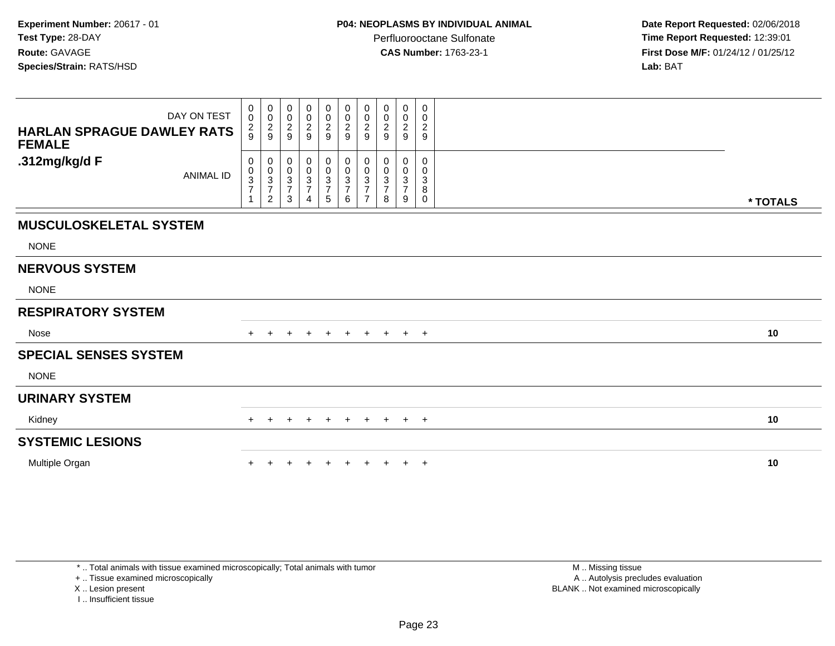**Date Report Requested:** 02/06/2018 **Time Report Requested:** 12:39:01 **First Dose M/F:** 01/24/12 / 01/25/12<br>**Lab:** BAT

| DAY ON TEST<br><b>HARLAN SPRAGUE DAWLEY RATS</b><br><b>FEMALE</b> | 0<br>$\mathbf 0$<br>$\frac{2}{9}$                         | 0<br>$\mathbf 0$<br>$\frac{2}{9}$                                 | 0<br>$\pmb{0}$<br>$\boldsymbol{2}$<br>9                                       | $\begin{smallmatrix} 0\\0 \end{smallmatrix}$<br>$\frac{2}{9}$ | $\begin{smallmatrix}0\0\end{smallmatrix}$<br>$\frac{2}{9}$ | 0<br>$\pmb{0}$<br>$\overline{2}$<br>9                         | 0<br>$\mathbf 0$<br>$\overline{c}$<br>9         | 0<br>0<br>$\overline{c}$<br>9      | 0<br>$\pmb{0}$<br>$\overline{c}$<br>9       | 0<br>$\mathbf 0$<br>$\boldsymbol{2}$<br>9          |          |  |
|-------------------------------------------------------------------|-----------------------------------------------------------|-------------------------------------------------------------------|-------------------------------------------------------------------------------|---------------------------------------------------------------|------------------------------------------------------------|---------------------------------------------------------------|-------------------------------------------------|------------------------------------|---------------------------------------------|----------------------------------------------------|----------|--|
| .312mg/kg/d F<br><b>ANIMAL ID</b>                                 | $\mathbf 0$<br>$\pmb{0}$<br>$\frac{3}{7}$<br>$\mathbf{1}$ | 0<br>$\begin{array}{c} 0 \\ 3 \\ 7 \end{array}$<br>$\overline{2}$ | 0<br>$\pmb{0}$<br>$\ensuremath{\mathsf{3}}$<br>$\overline{7}$<br>$\mathbf{3}$ | $\mathbf 0$<br>$\frac{0}{3}$<br>$\overline{4}$                | 0<br>0<br>$\frac{3}{7}$<br>5                               | $\pmb{0}$<br>$\pmb{0}$<br>$\sqrt{3}$<br>$\boldsymbol{7}$<br>6 | 0<br>0<br>3<br>$\overline{7}$<br>$\overline{ }$ | 0<br>0<br>3<br>$\overline{7}$<br>8 | 0<br>0<br>$\sqrt{3}$<br>$\overline{7}$<br>9 | $\mathbf 0$<br>0<br>$\sqrt{3}$<br>8<br>$\mathbf 0$ | * TOTALS |  |
| <b>MUSCULOSKELETAL SYSTEM</b>                                     |                                                           |                                                                   |                                                                               |                                                               |                                                            |                                                               |                                                 |                                    |                                             |                                                    |          |  |
| <b>NONE</b>                                                       |                                                           |                                                                   |                                                                               |                                                               |                                                            |                                                               |                                                 |                                    |                                             |                                                    |          |  |
| <b>NERVOUS SYSTEM</b>                                             |                                                           |                                                                   |                                                                               |                                                               |                                                            |                                                               |                                                 |                                    |                                             |                                                    |          |  |
| <b>NONE</b>                                                       |                                                           |                                                                   |                                                                               |                                                               |                                                            |                                                               |                                                 |                                    |                                             |                                                    |          |  |
| <b>RESPIRATORY SYSTEM</b>                                         |                                                           |                                                                   |                                                                               |                                                               |                                                            |                                                               |                                                 |                                    |                                             |                                                    |          |  |
| Nose                                                              |                                                           | $\pm$                                                             | $\pm$                                                                         | $\pm$                                                         | $+$                                                        | $+$                                                           | $+$                                             | $+$                                | $+$                                         | $+$                                                | 10       |  |
| <b>SPECIAL SENSES SYSTEM</b>                                      |                                                           |                                                                   |                                                                               |                                                               |                                                            |                                                               |                                                 |                                    |                                             |                                                    |          |  |
| <b>NONE</b>                                                       |                                                           |                                                                   |                                                                               |                                                               |                                                            |                                                               |                                                 |                                    |                                             |                                                    |          |  |
| <b>URINARY SYSTEM</b>                                             |                                                           |                                                                   |                                                                               |                                                               |                                                            |                                                               |                                                 |                                    |                                             |                                                    |          |  |
| Kidney                                                            | $+$                                                       | $\pm$                                                             | $\pm$                                                                         | $\pm$                                                         | $+$                                                        | $+$                                                           | $+$                                             | $+$                                | $+$ $+$                                     |                                                    | 10       |  |
| <b>SYSTEMIC LESIONS</b>                                           |                                                           |                                                                   |                                                                               |                                                               |                                                            |                                                               |                                                 |                                    |                                             |                                                    |          |  |
| Multiple Organ                                                    |                                                           |                                                                   |                                                                               | $\pm$                                                         | $+$                                                        | $+$                                                           | $+$                                             | $+$                                | $+$                                         | $+$                                                | 10       |  |

\* .. Total animals with tissue examined microscopically; Total animals with tumor

+ .. Tissue examined microscopically

X .. Lesion present

I .. Insufficient tissue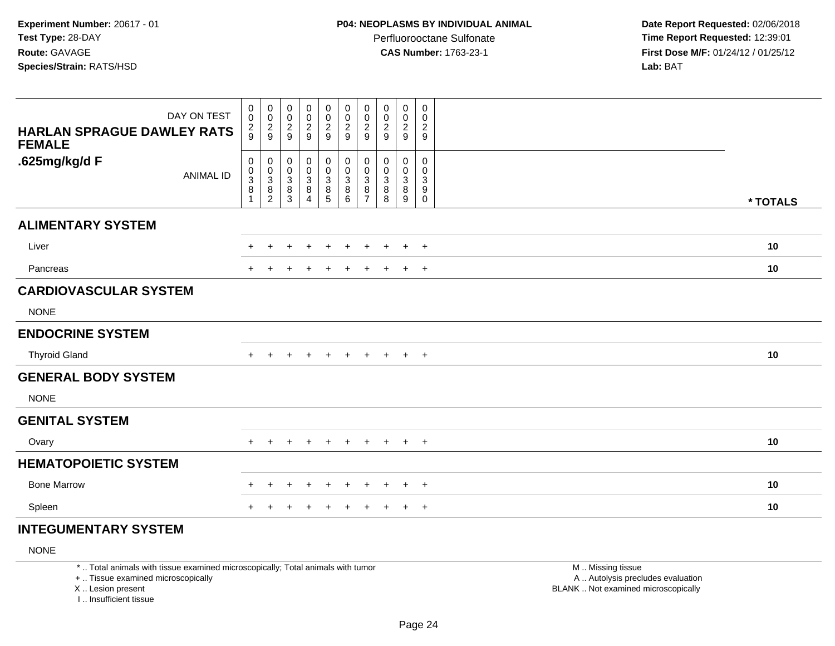**Date Report Requested:** 02/06/2018 **Time Report Requested:** 12:39:01 **First Dose M/F:** 01/24/12 / 01/25/12<br>**Lab:** BAT **Lab:** BAT

| DAY ON TEST<br><b>HARLAN SPRAGUE DAWLEY RATS</b><br><b>FEMALE</b> | $_{\rm 0}^{\rm 0}$<br>$\frac{2}{9}$                       | $\begin{array}{c} 0 \\ 0 \\ 2 \\ 9 \end{array}$                                  | 0<br>$\mathbf 0$<br>$\frac{2}{9}$                       | 00029                                                           | $\pmb{0}$<br>$\begin{smallmatrix} 0\\2\\9 \end{smallmatrix}$ | $\pmb{0}$<br>$\overline{0}$<br>$\overline{2}$<br>$\boldsymbol{9}$ | $\pmb{0}$<br>$\pmb{0}$<br>$\boldsymbol{2}$<br>$\boldsymbol{9}$ | $\pmb{0}$<br>0<br>$\overline{c}$<br>9 | $\pmb{0}$<br>0<br>$\overline{2}$<br>$\boldsymbol{9}$ | $\mathbf 0$<br>$\mathbf 0$<br>$\overline{c}$<br>$\mathsf g$                |          |
|-------------------------------------------------------------------|-----------------------------------------------------------|----------------------------------------------------------------------------------|---------------------------------------------------------|-----------------------------------------------------------------|--------------------------------------------------------------|-------------------------------------------------------------------|----------------------------------------------------------------|---------------------------------------|------------------------------------------------------|----------------------------------------------------------------------------|----------|
| .625mg/kg/d F<br><b>ANIMAL ID</b>                                 | $\pmb{0}$<br>$\pmb{0}$<br>$\frac{3}{8}$<br>$\overline{1}$ | $\boldsymbol{0}$<br>$\begin{array}{c} 0 \\ 3 \\ 8 \end{array}$<br>$\overline{2}$ | 0<br>0<br>$\mathsf 3$<br>$\overline{8}$<br>$\mathbf{3}$ | $\pmb{0}$<br>$_{3}^{\rm 0}$<br>$\overline{8}$<br>$\overline{4}$ | 0<br>$\pmb{0}$<br>$\overline{3}$<br>$\overline{8}$<br>5      | $\mathbf 0$<br>$\mathbf 0$<br>$\overline{3}$<br>8<br>$\,6\,$      | 0<br>$\mathbf 0$<br>$\sqrt{3}$<br>8<br>$\overline{7}$          | 0<br>0<br>3<br>8<br>8                 | 0<br>0<br>$\sqrt{3}$<br>$\bf 8$<br>$9\,$             | $\mathbf 0$<br>$\mathbf 0$<br>3<br>$\boldsymbol{9}$<br>$\mathsf{O}\xspace$ | * TOTALS |
| <b>ALIMENTARY SYSTEM</b>                                          |                                                           |                                                                                  |                                                         |                                                                 |                                                              |                                                                   |                                                                |                                       |                                                      |                                                                            |          |
| Liver                                                             | $+$                                                       | $\pm$                                                                            | +                                                       | $\ddot{}$                                                       | $\ddot{}$                                                    | $\ddot{}$                                                         | $\ddot{}$                                                      | $+$                                   | $+$                                                  | $+$                                                                        | 10       |
| Pancreas                                                          |                                                           |                                                                                  |                                                         |                                                                 | $\ddot{}$                                                    | ÷                                                                 |                                                                | ÷.                                    | $+$                                                  | $+$                                                                        | 10       |
| <b>CARDIOVASCULAR SYSTEM</b>                                      |                                                           |                                                                                  |                                                         |                                                                 |                                                              |                                                                   |                                                                |                                       |                                                      |                                                                            |          |
| <b>NONE</b>                                                       |                                                           |                                                                                  |                                                         |                                                                 |                                                              |                                                                   |                                                                |                                       |                                                      |                                                                            |          |
| <b>ENDOCRINE SYSTEM</b>                                           |                                                           |                                                                                  |                                                         |                                                                 |                                                              |                                                                   |                                                                |                                       |                                                      |                                                                            |          |
| <b>Thyroid Gland</b>                                              | $+$                                                       | $\pm$                                                                            | $\div$                                                  | $\ddot{}$                                                       | $+$                                                          | $+$                                                               | $+$                                                            | $+$                                   | $+$ $+$                                              |                                                                            | 10       |
| <b>GENERAL BODY SYSTEM</b>                                        |                                                           |                                                                                  |                                                         |                                                                 |                                                              |                                                                   |                                                                |                                       |                                                      |                                                                            |          |
| <b>NONE</b>                                                       |                                                           |                                                                                  |                                                         |                                                                 |                                                              |                                                                   |                                                                |                                       |                                                      |                                                                            |          |
| <b>GENITAL SYSTEM</b>                                             |                                                           |                                                                                  |                                                         |                                                                 |                                                              |                                                                   |                                                                |                                       |                                                      |                                                                            |          |
| Ovary                                                             |                                                           | $\pm$                                                                            | $\pm$                                                   | $\pm$                                                           | $\overline{+}$                                               | $\ddot{}$                                                         | $\ddot{}$                                                      | $+$                                   | $+$                                                  | $+$                                                                        | 10       |
| <b>HEMATOPOIETIC SYSTEM</b>                                       |                                                           |                                                                                  |                                                         |                                                                 |                                                              |                                                                   |                                                                |                                       |                                                      |                                                                            |          |
| <b>Bone Marrow</b>                                                | $+$                                                       | $\ddot{}$                                                                        | +                                                       | $\pm$                                                           | $\overline{+}$                                               | $\ddot{}$                                                         | $\ddot{}$                                                      | $+$                                   | $+$                                                  | $+$                                                                        | 10       |
| Spleen                                                            |                                                           |                                                                                  |                                                         |                                                                 | ٠                                                            |                                                                   |                                                                | $\pm$                                 | $\ddot{}$                                            | $+$                                                                        | 10       |

# **INTEGUMENTARY SYSTEM**

NONE

\* .. Total animals with tissue examined microscopically; Total animals with tumor

+ .. Tissue examined microscopically

X .. Lesion present

I .. Insufficient tissue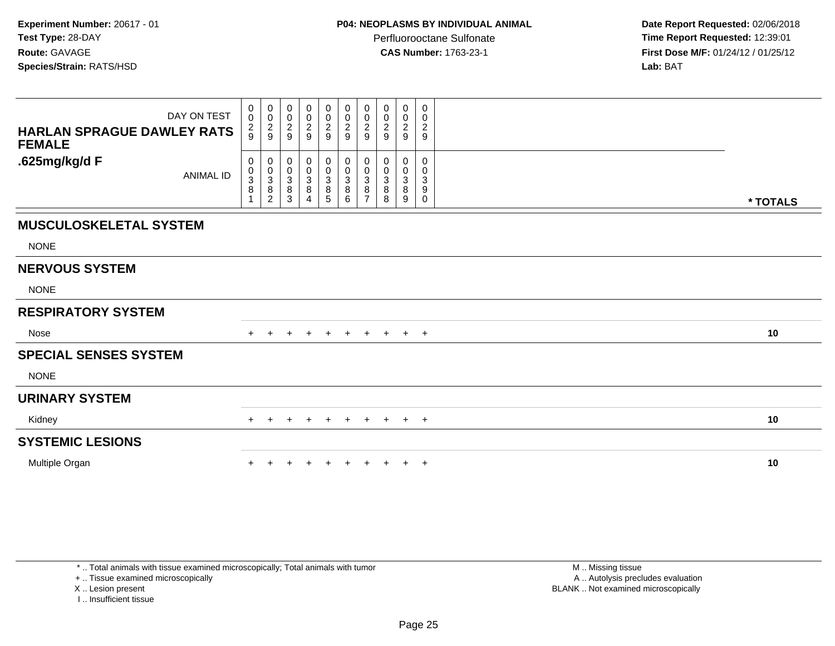**Date Report Requested:** 02/06/2018 **Time Report Requested:** 12:39:01 **First Dose M/F:** 01/24/12 / 01/25/12<br>**Lab:** BAT

| DAY ON TEST<br><b>HARLAN SPRAGUE DAWLEY RATS</b><br><b>FEMALE</b> | 0<br>$\mathsf 0$<br>$\frac{2}{9}$            | $\mathbf 0$<br>$\mathbf 0$<br>$\frac{2}{9}$ | $\pmb{0}$<br>$\pmb{0}$<br>$\frac{2}{9}$      | $_{\rm 0}^{\rm 0}$<br>$\frac{2}{9}$                  | $\begin{smallmatrix} 0\\0 \end{smallmatrix}$<br>$\frac{2}{9}$                                         | $\begin{smallmatrix}0\\0\end{smallmatrix}$<br>$\overline{c}$<br>$\overline{9}$ | 0<br>$\mathbf 0$<br>$\boldsymbol{2}$<br>9 | 0<br>0<br>$\overline{\mathbf{c}}$<br>9 | $\pmb{0}$<br>$\pmb{0}$<br>$\sqrt{2}$<br>9                   | 0<br>0<br>$\boldsymbol{2}$<br>9            |          |
|-------------------------------------------------------------------|----------------------------------------------|---------------------------------------------|----------------------------------------------|------------------------------------------------------|-------------------------------------------------------------------------------------------------------|--------------------------------------------------------------------------------|-------------------------------------------|----------------------------------------|-------------------------------------------------------------|--------------------------------------------|----------|
| .625mg/kg/d F<br><b>ANIMAL ID</b>                                 | 0<br>$\mathbf 0$<br>3<br>8<br>$\overline{1}$ | 0<br>$_{3}^{\rm 0}$<br>8<br>$\overline{c}$  | 0<br>$\,0\,$<br>$\frac{3}{8}$<br>$\mathsf 3$ | $\begin{array}{c} 0 \\ 0 \\ 3 \\ 8 \end{array}$<br>4 | $\begin{smallmatrix}0\0\0\end{smallmatrix}$<br>$\ensuremath{\mathsf{3}}$<br>$\bf 8$<br>$\overline{5}$ | $\begin{smallmatrix}0\\0\\3\end{smallmatrix}$<br>$\overline{8}$<br>6           | 0<br>0<br>3<br>8<br>$\overline{ }$        | 0<br>3<br>8<br>8                       | 0<br>$\pmb{0}$<br>$\ensuremath{\mathsf{3}}$<br>$\bf 8$<br>9 | 0<br>0<br>$\mathbf{3}$<br>9<br>$\mathbf 0$ | * TOTALS |
| <b>MUSCULOSKELETAL SYSTEM</b>                                     |                                              |                                             |                                              |                                                      |                                                                                                       |                                                                                |                                           |                                        |                                                             |                                            |          |
| <b>NONE</b>                                                       |                                              |                                             |                                              |                                                      |                                                                                                       |                                                                                |                                           |                                        |                                                             |                                            |          |
| <b>NERVOUS SYSTEM</b>                                             |                                              |                                             |                                              |                                                      |                                                                                                       |                                                                                |                                           |                                        |                                                             |                                            |          |
| <b>NONE</b>                                                       |                                              |                                             |                                              |                                                      |                                                                                                       |                                                                                |                                           |                                        |                                                             |                                            |          |
| <b>RESPIRATORY SYSTEM</b>                                         |                                              |                                             |                                              |                                                      |                                                                                                       |                                                                                |                                           |                                        |                                                             |                                            |          |
| Nose                                                              |                                              | $\pm$                                       | $+$                                          | $+$                                                  | $+$                                                                                                   | $+$                                                                            | $+$                                       | $+$                                    | $+$                                                         | $+$                                        | 10       |
| <b>SPECIAL SENSES SYSTEM</b>                                      |                                              |                                             |                                              |                                                      |                                                                                                       |                                                                                |                                           |                                        |                                                             |                                            |          |
| <b>NONE</b>                                                       |                                              |                                             |                                              |                                                      |                                                                                                       |                                                                                |                                           |                                        |                                                             |                                            |          |
| <b>URINARY SYSTEM</b>                                             |                                              |                                             |                                              |                                                      |                                                                                                       |                                                                                |                                           |                                        |                                                             |                                            |          |
| Kidney                                                            | $+$                                          | $\pm$                                       | $\pm$                                        | $\ddot{}$                                            | $+$                                                                                                   | $+$                                                                            | $+$                                       | $+$                                    | $+$ $+$                                                     |                                            | 10       |
| <b>SYSTEMIC LESIONS</b>                                           |                                              |                                             |                                              |                                                      |                                                                                                       |                                                                                |                                           |                                        |                                                             |                                            |          |
| Multiple Organ                                                    |                                              |                                             |                                              | $\div$                                               | $+$                                                                                                   | $+$                                                                            | $\pm$                                     |                                        | $+$                                                         | $+$                                        | 10       |

\* .. Total animals with tissue examined microscopically; Total animals with tumor

+ .. Tissue examined microscopically

X .. Lesion present

I .. Insufficient tissue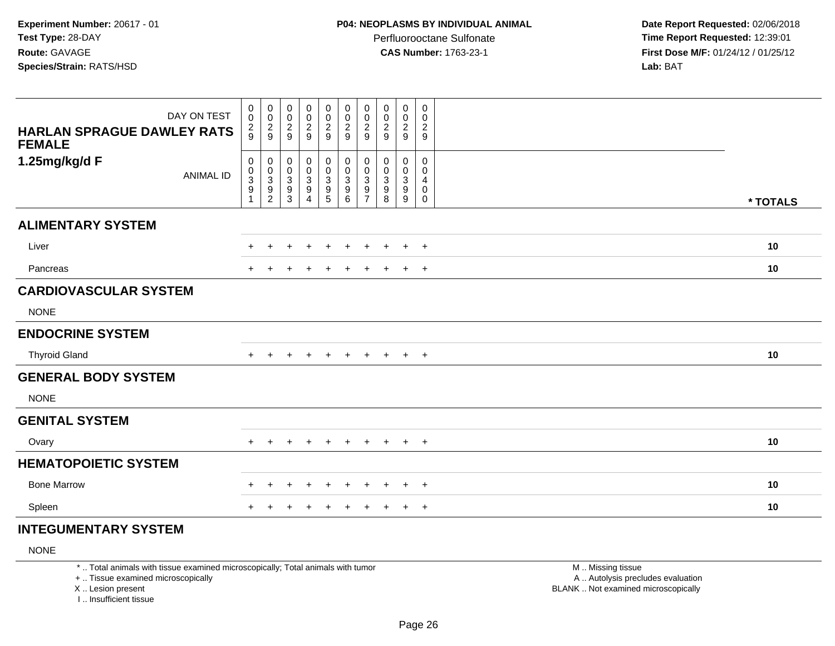**Date Report Requested:** 02/06/2018 **Time Report Requested:** 12:39:01 **First Dose M/F:** 01/24/12 / 01/25/12<br>**Lab:** BAT **Lab:** BAT

| DAY ON TEST<br><b>HARLAN SPRAGUE DAWLEY RATS</b><br><b>FEMALE</b> | 0<br>$\pmb{0}$<br>$\frac{2}{9}$                                    | $\pmb{0}$<br>$\pmb{0}$<br>$\frac{2}{9}$                             | 0<br>$\mathbf 0$<br>$\frac{2}{9}$              | 00029                                                                     | 0<br>$\pmb{0}$<br>$\frac{2}{9}$                                    | $\pmb{0}$<br>$\mathbf 0$<br>$\overline{c}$<br>$\boldsymbol{9}$                 | 0<br>$\pmb{0}$<br>$\overline{c}$<br>$\boldsymbol{9}$                              | $\mathbf 0$<br>$\pmb{0}$<br>$\overline{c}$<br>9 | 0<br>$\pmb{0}$<br>$\overline{c}$<br>$\boldsymbol{9}$      | $\mathbf 0$<br>$\mathbf 0$<br>$\overline{2}$<br>9                          |          |
|-------------------------------------------------------------------|--------------------------------------------------------------------|---------------------------------------------------------------------|------------------------------------------------|---------------------------------------------------------------------------|--------------------------------------------------------------------|--------------------------------------------------------------------------------|-----------------------------------------------------------------------------------|-------------------------------------------------|-----------------------------------------------------------|----------------------------------------------------------------------------|----------|
| 1.25mg/kg/d F<br><b>ANIMAL ID</b>                                 | 0<br>$\begin{smallmatrix}0\3\9\end{smallmatrix}$<br>$\overline{1}$ | $\boldsymbol{0}$<br>$\begin{array}{c} 0 \\ 3 \\ 9 \\ 2 \end{array}$ | 0<br>0<br>$\mathsf 3$<br>$\boldsymbol{9}$<br>3 | $\pmb{0}$<br>$\begin{array}{c} 0 \\ 3 \\ 9 \end{array}$<br>$\overline{4}$ | 0<br>$\pmb{0}$<br>$\ensuremath{\mathsf{3}}$<br>$\overline{9}$<br>5 | $\mathbf 0$<br>$\pmb{0}$<br>$\ensuremath{\mathsf{3}}$<br>$\boldsymbol{9}$<br>6 | 0<br>$\pmb{0}$<br>$\ensuremath{\mathsf{3}}$<br>$\boldsymbol{9}$<br>$\overline{7}$ | 0<br>0<br>$\ensuremath{\mathsf{3}}$<br>9<br>8   | 0<br>$\pmb{0}$<br>$\sqrt{3}$<br>$\boldsymbol{9}$<br>$9\,$ | $\mathbf 0$<br>$\mathbf 0$<br>$\overline{4}$<br>$\mathbf 0$<br>$\mathbf 0$ | * TOTALS |
| <b>ALIMENTARY SYSTEM</b>                                          |                                                                    |                                                                     |                                                |                                                                           |                                                                    |                                                                                |                                                                                   |                                                 |                                                           |                                                                            |          |
| Liver                                                             |                                                                    | $\pm$                                                               | +                                              |                                                                           | $\ddot{}$                                                          | $\div$                                                                         | $\div$                                                                            | $\pm$                                           | $+$                                                       | $+$                                                                        | 10       |
| Pancreas                                                          |                                                                    |                                                                     |                                                |                                                                           | $\ddot{}$                                                          | $\div$                                                                         | $\pm$                                                                             | $\ddot{}$                                       | $+$                                                       | $+$                                                                        | 10       |
| <b>CARDIOVASCULAR SYSTEM</b>                                      |                                                                    |                                                                     |                                                |                                                                           |                                                                    |                                                                                |                                                                                   |                                                 |                                                           |                                                                            |          |
| <b>NONE</b>                                                       |                                                                    |                                                                     |                                                |                                                                           |                                                                    |                                                                                |                                                                                   |                                                 |                                                           |                                                                            |          |
| <b>ENDOCRINE SYSTEM</b>                                           |                                                                    |                                                                     |                                                |                                                                           |                                                                    |                                                                                |                                                                                   |                                                 |                                                           |                                                                            |          |
| <b>Thyroid Gland</b>                                              | $+$                                                                | $\ddot{}$                                                           | $\ddot{}$                                      | $\ddot{}$                                                                 | $+$                                                                | $+$                                                                            | $+$                                                                               | $+$                                             | $+$ $+$                                                   |                                                                            | 10       |
| <b>GENERAL BODY SYSTEM</b>                                        |                                                                    |                                                                     |                                                |                                                                           |                                                                    |                                                                                |                                                                                   |                                                 |                                                           |                                                                            |          |
| <b>NONE</b>                                                       |                                                                    |                                                                     |                                                |                                                                           |                                                                    |                                                                                |                                                                                   |                                                 |                                                           |                                                                            |          |
| <b>GENITAL SYSTEM</b>                                             |                                                                    |                                                                     |                                                |                                                                           |                                                                    |                                                                                |                                                                                   |                                                 |                                                           |                                                                            |          |
| Ovary                                                             |                                                                    | $\div$                                                              | ÷                                              | $\div$                                                                    | $+$                                                                | $\pm$                                                                          | $+$                                                                               | $+$                                             | $+$                                                       | $+$                                                                        | 10       |
| <b>HEMATOPOIETIC SYSTEM</b>                                       |                                                                    |                                                                     |                                                |                                                                           |                                                                    |                                                                                |                                                                                   |                                                 |                                                           |                                                                            |          |
| <b>Bone Marrow</b>                                                | $+$                                                                | $\ddot{}$                                                           | +                                              | $\div$                                                                    | $\ddot{}$                                                          | $\pm$                                                                          | $\ddot{}$                                                                         | $\pm$                                           | $+$                                                       | $+$                                                                        | 10       |
| Spleen                                                            |                                                                    |                                                                     |                                                |                                                                           | $\pm$                                                              |                                                                                |                                                                                   | $\pm$                                           | $\ddot{}$                                                 | $^{+}$                                                                     | 10       |

# **INTEGUMENTARY SYSTEM**

NONE

\* .. Total animals with tissue examined microscopically; Total animals with tumor

+ .. Tissue examined microscopically

X .. Lesion present

I .. Insufficient tissue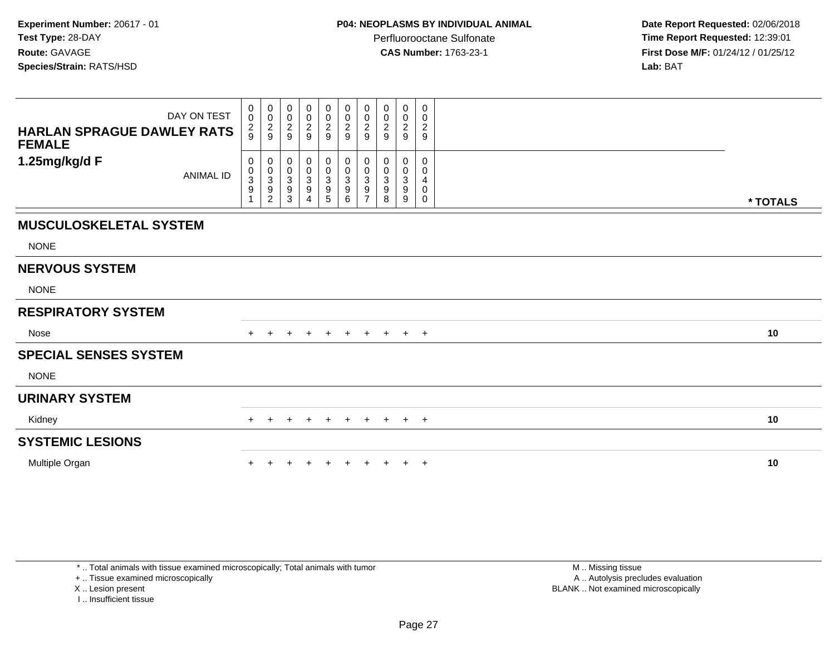**Date Report Requested:** 02/06/2018 **Time Report Requested:** 12:39:01 **First Dose M/F:** 01/24/12 / 01/25/12<br>**Lab:** BAT

| DAY ON TEST<br><b>HARLAN SPRAGUE DAWLEY RATS</b><br><b>FEMALE</b> | $\pmb{0}$<br>$\pmb{0}$<br>$\frac{2}{9}$ | $\pmb{0}$<br>$\pmb{0}$<br>$\frac{2}{9}$                   | 0<br>$\mathbf 0$<br>$\overline{c}$<br>9 | $\mathbf 0$<br>$\pmb{0}$<br>$\boldsymbol{2}$<br>9 | $\mathbf 0$<br>$\pmb{0}$<br>$\boldsymbol{2}$<br>$\boldsymbol{9}$ | $\boldsymbol{0}$<br>$\pmb{0}$<br>$\overline{a}$<br>$\boldsymbol{9}$ | 0<br>$\pmb{0}$<br>$\overline{c}$<br>9                  | 0<br>0<br>2<br>9      | $\mathbf 0$<br>$\pmb{0}$<br>$\overline{c}$<br>9 | 0<br>0<br>$\overline{c}$<br>9 |          |  |
|-------------------------------------------------------------------|-----------------------------------------|-----------------------------------------------------------|-----------------------------------------|---------------------------------------------------|------------------------------------------------------------------|---------------------------------------------------------------------|--------------------------------------------------------|-----------------------|-------------------------------------------------|-------------------------------|----------|--|
| 1.25mg/kg/d F<br><b>ANIMAL ID</b>                                 | 0<br>$_{3}^{\rm 0}$<br>9                | $\boldsymbol{0}$<br>$_{3}^{\rm 0}$<br>9<br>$\overline{c}$ | 0<br>$\mathbf 0$<br>3<br>9<br>3         | 0<br>$\mathbf 0$<br>$\sqrt{3}$<br>9<br>4          | 0<br>0<br>3<br>9<br>5                                            | $\pmb{0}$<br>$\mathbf 0$<br>$\overline{3}$<br>$\boldsymbol{9}$<br>6 | 0<br>$\mathbf 0$<br>3<br>9<br>$\overline{\phantom{a}}$ | ი<br>0<br>3<br>9<br>8 | $\mathbf 0$<br>0<br>$\mathbf{3}$<br>9<br>9      | 0<br>0<br>4<br>0<br>0         | * TOTALS |  |
| <b>MUSCULOSKELETAL SYSTEM</b>                                     |                                         |                                                           |                                         |                                                   |                                                                  |                                                                     |                                                        |                       |                                                 |                               |          |  |
| <b>NONE</b>                                                       |                                         |                                                           |                                         |                                                   |                                                                  |                                                                     |                                                        |                       |                                                 |                               |          |  |
| <b>NERVOUS SYSTEM</b>                                             |                                         |                                                           |                                         |                                                   |                                                                  |                                                                     |                                                        |                       |                                                 |                               |          |  |
| <b>NONE</b>                                                       |                                         |                                                           |                                         |                                                   |                                                                  |                                                                     |                                                        |                       |                                                 |                               |          |  |
| <b>RESPIRATORY SYSTEM</b>                                         |                                         |                                                           |                                         |                                                   |                                                                  |                                                                     |                                                        |                       |                                                 |                               |          |  |
| Nose                                                              |                                         | $\div$                                                    | +                                       | $\pm$                                             | $+$                                                              | $+$                                                                 | $+$                                                    | $+$                   |                                                 | $+$ $+$                       | 10       |  |
| <b>SPECIAL SENSES SYSTEM</b>                                      |                                         |                                                           |                                         |                                                   |                                                                  |                                                                     |                                                        |                       |                                                 |                               |          |  |
| <b>NONE</b>                                                       |                                         |                                                           |                                         |                                                   |                                                                  |                                                                     |                                                        |                       |                                                 |                               |          |  |
| <b>URINARY SYSTEM</b>                                             |                                         |                                                           |                                         |                                                   |                                                                  |                                                                     |                                                        |                       |                                                 |                               |          |  |
| Kidney                                                            | $+$                                     | $\pm$                                                     | $\pm$                                   | $\ddot{}$                                         | $+$                                                              | $+$                                                                 | $+$                                                    | $+$                   |                                                 | $+$ $+$                       | 10       |  |
| <b>SYSTEMIC LESIONS</b>                                           |                                         |                                                           |                                         |                                                   |                                                                  |                                                                     |                                                        |                       |                                                 |                               |          |  |
| Multiple Organ                                                    |                                         |                                                           |                                         |                                                   |                                                                  |                                                                     | $+$                                                    | $\pm$                 | $+$                                             | $+$                           | 10       |  |

\* .. Total animals with tissue examined microscopically; Total animals with tumor

+ .. Tissue examined microscopically

X .. Lesion present

I .. Insufficient tissue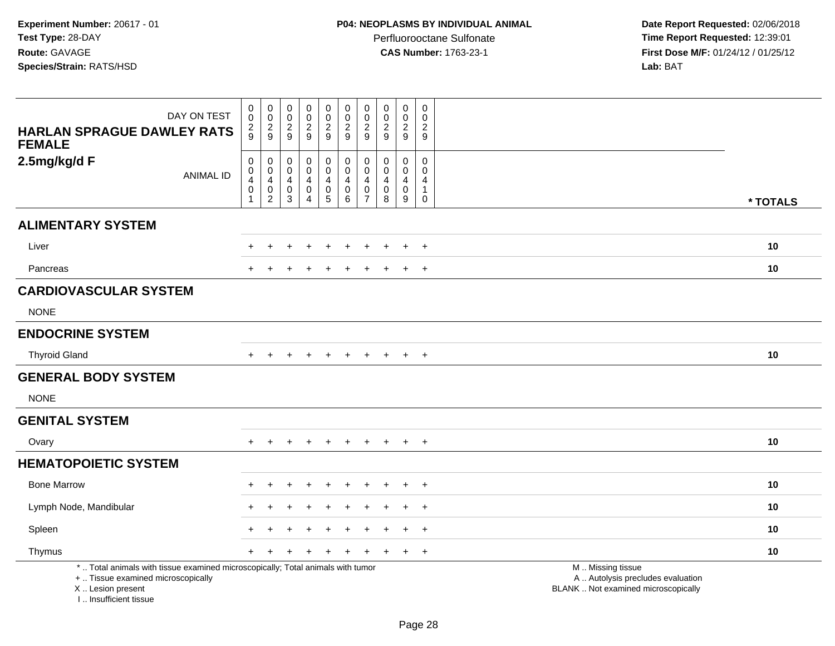**Date Report Requested:** 02/06/2018 **Time Report Requested:** 12:39:01 **First Dose M/F:** 01/24/12 / 01/25/12<br>**Lab:** BAT **Lab:** BAT

| DAY ON TEST<br><b>HARLAN SPRAGUE DAWLEY RATS</b><br><b>FEMALE</b>                                                                                                   | $\pmb{0}$<br>$\ddot{\mathbf{0}}$<br>$\frac{2}{9}$                   | $\begin{smallmatrix} 0\\0 \end{smallmatrix}$<br>$\frac{2}{9}$ | $\begin{smallmatrix}0\\0\end{smallmatrix}$<br>$\frac{2}{9}$ | $_{\rm 0}^{\rm 0}$<br>$\frac{2}{9}$                                     | $\mathbf 0$<br>$\overline{0}$<br>$\frac{2}{9}$                    | $_{\rm 0}^{\rm 0}$<br>$\frac{2}{9}$                                   | $\pmb{0}$<br>$\mathbf 0$<br>$\frac{2}{9}$                                  | $\pmb{0}$<br>$\overline{0}$<br>$\frac{2}{9}$                 | $\mathbf 0$<br>$\mathsf{O}\xspace$<br>$\frac{2}{9}$ | $\mathbf 0$<br>$\mathbf 0$<br>$\frac{2}{9}$                                      |                                                                                               |          |
|---------------------------------------------------------------------------------------------------------------------------------------------------------------------|---------------------------------------------------------------------|---------------------------------------------------------------|-------------------------------------------------------------|-------------------------------------------------------------------------|-------------------------------------------------------------------|-----------------------------------------------------------------------|----------------------------------------------------------------------------|--------------------------------------------------------------|-----------------------------------------------------|----------------------------------------------------------------------------------|-----------------------------------------------------------------------------------------------|----------|
| 2.5mg/kg/d F<br><b>ANIMAL ID</b>                                                                                                                                    | $\boldsymbol{0}$<br>$\pmb{0}$<br>$\overline{4}$<br>$\mathsf 0$<br>1 | 0<br>$\pmb{0}$<br>4<br>$\pmb{0}$<br>$\overline{c}$            | 0<br>$\mathbf 0$<br>4<br>0<br>3                             | 0<br>$\pmb{0}$<br>$\overline{4}$<br>$\pmb{0}$<br>$\boldsymbol{\Lambda}$ | 0<br>$\ddot{\mathbf{0}}$<br>4<br>$\begin{matrix}0\\5\end{matrix}$ | $\mathbf 0$<br>$\mathbf 0$<br>$\overline{4}$<br>$\boldsymbol{0}$<br>6 | $\pmb{0}$<br>$\mathbf{0}$<br>$\overline{4}$<br>$\pmb{0}$<br>$\overline{7}$ | $\pmb{0}$<br>$\mathbf 0$<br>$\overline{4}$<br>$\pmb{0}$<br>8 | $\mathbf 0$<br>$\mathbf 0$<br>4<br>$\mathbf 0$<br>9 | $\mathsf{O}\xspace$<br>$\Omega$<br>$\overline{4}$<br>$\mathbf{1}$<br>$\mathbf 0$ |                                                                                               | * TOTALS |
| <b>ALIMENTARY SYSTEM</b>                                                                                                                                            |                                                                     |                                                               |                                                             |                                                                         |                                                                   |                                                                       |                                                                            |                                                              |                                                     |                                                                                  |                                                                                               |          |
| Liver                                                                                                                                                               |                                                                     |                                                               |                                                             |                                                                         |                                                                   |                                                                       |                                                                            |                                                              |                                                     | $\overline{+}$                                                                   |                                                                                               | 10       |
| Pancreas                                                                                                                                                            |                                                                     |                                                               |                                                             |                                                                         |                                                                   |                                                                       |                                                                            |                                                              | $\pm$                                               | $+$                                                                              |                                                                                               | 10       |
| <b>CARDIOVASCULAR SYSTEM</b><br><b>NONE</b>                                                                                                                         |                                                                     |                                                               |                                                             |                                                                         |                                                                   |                                                                       |                                                                            |                                                              |                                                     |                                                                                  |                                                                                               |          |
| <b>ENDOCRINE SYSTEM</b>                                                                                                                                             |                                                                     |                                                               |                                                             |                                                                         |                                                                   |                                                                       |                                                                            |                                                              |                                                     |                                                                                  |                                                                                               |          |
| <b>Thyroid Gland</b>                                                                                                                                                |                                                                     | $\div$                                                        |                                                             | $\div$                                                                  | $\pm$                                                             | $\ddot{}$                                                             | $\ddot{}$                                                                  | $\div$                                                       | $+$                                                 | $+$                                                                              |                                                                                               | 10       |
| <b>GENERAL BODY SYSTEM</b>                                                                                                                                          |                                                                     |                                                               |                                                             |                                                                         |                                                                   |                                                                       |                                                                            |                                                              |                                                     |                                                                                  |                                                                                               |          |
| <b>NONE</b>                                                                                                                                                         |                                                                     |                                                               |                                                             |                                                                         |                                                                   |                                                                       |                                                                            |                                                              |                                                     |                                                                                  |                                                                                               |          |
| <b>GENITAL SYSTEM</b>                                                                                                                                               |                                                                     |                                                               |                                                             |                                                                         |                                                                   |                                                                       |                                                                            |                                                              |                                                     |                                                                                  |                                                                                               |          |
| Ovary                                                                                                                                                               |                                                                     |                                                               |                                                             |                                                                         |                                                                   |                                                                       |                                                                            |                                                              | $\ddot{}$                                           | $+$                                                                              |                                                                                               | 10       |
| <b>HEMATOPOIETIC SYSTEM</b>                                                                                                                                         |                                                                     |                                                               |                                                             |                                                                         |                                                                   |                                                                       |                                                                            |                                                              |                                                     |                                                                                  |                                                                                               |          |
| <b>Bone Marrow</b>                                                                                                                                                  |                                                                     |                                                               |                                                             |                                                                         |                                                                   |                                                                       |                                                                            |                                                              |                                                     | $\ddot{}$                                                                        |                                                                                               | 10       |
| Lymph Node, Mandibular                                                                                                                                              |                                                                     |                                                               |                                                             |                                                                         |                                                                   |                                                                       |                                                                            |                                                              | $\ddot{}$                                           | $+$                                                                              |                                                                                               | 10       |
| Spleen                                                                                                                                                              |                                                                     |                                                               |                                                             |                                                                         |                                                                   |                                                                       |                                                                            |                                                              |                                                     | $\ddot{}$                                                                        |                                                                                               | 10       |
| Thymus                                                                                                                                                              | $+$                                                                 |                                                               |                                                             |                                                                         |                                                                   |                                                                       |                                                                            |                                                              | $\ddot{}$                                           | $+$                                                                              |                                                                                               | 10       |
| *  Total animals with tissue examined microscopically; Total animals with tumor<br>+  Tissue examined microscopically<br>X  Lesion present<br>I Insufficient tissue |                                                                     |                                                               |                                                             |                                                                         |                                                                   |                                                                       |                                                                            |                                                              |                                                     |                                                                                  | M  Missing tissue<br>A  Autolysis precludes evaluation<br>BLANK  Not examined microscopically |          |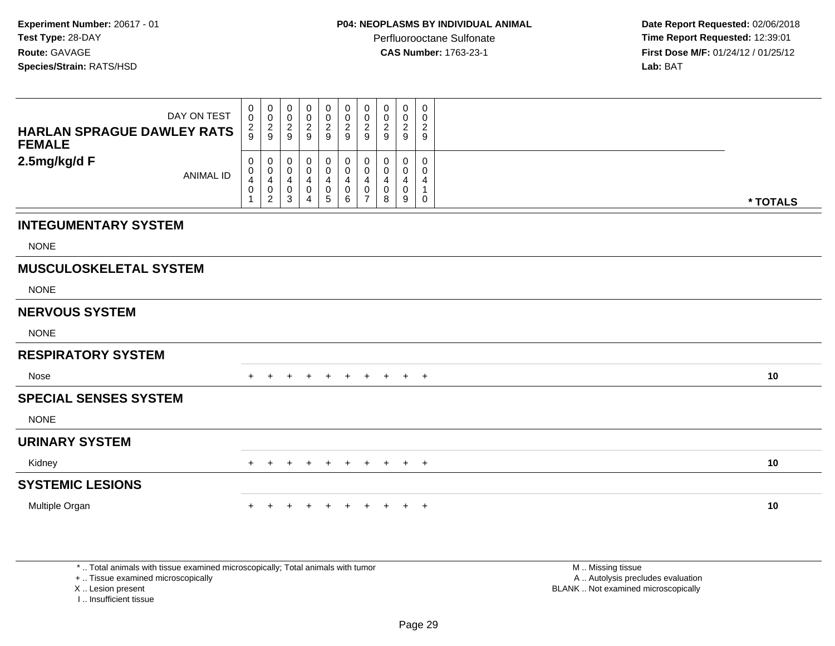**Date Report Requested:** 02/06/2018 **Time Report Requested:** 12:39:01 **First Dose M/F:** 01/24/12 / 01/25/12<br>**Lab:** BAT **Lab:** BAT

| <b>HARLAN SPRAGUE DAWLEY RATS</b><br><b>FEMALE</b> | DAY ON TEST      | $_0^0$<br>$\frac{2}{9}$                                                          | 0<br>$\frac{0}{2}$                                              | $\begin{matrix} 0 \\ 0 \\ 2 \\ 9 \end{matrix}$                   | $\pmb{0}$<br>$\pmb{0}$<br>$\overline{2}$<br>$\boldsymbol{9}$ | 0<br>$_2^0$<br>$\boldsymbol{9}$ | $\pmb{0}$<br>$\frac{0}{2}$                                | 0<br>$\mathsf 0$<br>$\overline{c}$<br>$\boldsymbol{9}$ | 0<br>0<br>$\overline{c}$<br>$\boldsymbol{9}$ | $\pmb{0}$<br>$\frac{0}{2}$                                   | 0<br>$\mathbf 0$<br>$\overline{c}$<br>9   |          |
|----------------------------------------------------|------------------|----------------------------------------------------------------------------------|-----------------------------------------------------------------|------------------------------------------------------------------|--------------------------------------------------------------|---------------------------------|-----------------------------------------------------------|--------------------------------------------------------|----------------------------------------------|--------------------------------------------------------------|-------------------------------------------|----------|
| 2.5mg/kg/d F                                       | <b>ANIMAL ID</b> | 0<br>$\pmb{0}$<br>$\overline{\mathbf{4}}$<br>$\ddot{\mathbf{0}}$<br>$\mathbf{1}$ | 0<br>$\pmb{0}$<br>$\overline{4}$<br>$\pmb{0}$<br>$\overline{c}$ | 0<br>$\boldsymbol{0}$<br>$\overline{4}$<br>$\boldsymbol{0}$<br>3 | $\pmb{0}$<br>$\mathbf 0$<br>$\overline{4}$<br>$\pmb{0}$<br>4 | 0<br>$\mathbf 0$<br>4<br>0<br>5 | 0<br>$\boldsymbol{0}$<br>$\overline{4}$<br>$\pmb{0}$<br>6 | 0<br>$\mathbf 0$<br>4<br>0<br>$\overline{7}$           | 0<br>0<br>4<br>0<br>8                        | $\mathbf 0$<br>$\pmb{0}$<br>$\overline{a}$<br>$\pmb{0}$<br>9 | 0<br>$\mathbf 0$<br>4<br>1<br>$\mathbf 0$ | * TOTALS |
| <b>INTEGUMENTARY SYSTEM</b>                        |                  |                                                                                  |                                                                 |                                                                  |                                                              |                                 |                                                           |                                                        |                                              |                                                              |                                           |          |
| <b>NONE</b>                                        |                  |                                                                                  |                                                                 |                                                                  |                                                              |                                 |                                                           |                                                        |                                              |                                                              |                                           |          |
| <b>MUSCULOSKELETAL SYSTEM</b>                      |                  |                                                                                  |                                                                 |                                                                  |                                                              |                                 |                                                           |                                                        |                                              |                                                              |                                           |          |
| <b>NONE</b>                                        |                  |                                                                                  |                                                                 |                                                                  |                                                              |                                 |                                                           |                                                        |                                              |                                                              |                                           |          |
| <b>NERVOUS SYSTEM</b>                              |                  |                                                                                  |                                                                 |                                                                  |                                                              |                                 |                                                           |                                                        |                                              |                                                              |                                           |          |
| <b>NONE</b>                                        |                  |                                                                                  |                                                                 |                                                                  |                                                              |                                 |                                                           |                                                        |                                              |                                                              |                                           |          |
| <b>RESPIRATORY SYSTEM</b>                          |                  |                                                                                  |                                                                 |                                                                  |                                                              |                                 |                                                           |                                                        |                                              |                                                              |                                           |          |
| Nose                                               |                  | $+$                                                                              | $+$                                                             | $+$                                                              | $+$                                                          | $+$                             | $+$                                                       | $+$                                                    |                                              | $+$ $+$ $+$                                                  |                                           | 10       |
| <b>SPECIAL SENSES SYSTEM</b>                       |                  |                                                                                  |                                                                 |                                                                  |                                                              |                                 |                                                           |                                                        |                                              |                                                              |                                           |          |
| <b>NONE</b>                                        |                  |                                                                                  |                                                                 |                                                                  |                                                              |                                 |                                                           |                                                        |                                              |                                                              |                                           |          |
| <b>URINARY SYSTEM</b>                              |                  |                                                                                  |                                                                 |                                                                  |                                                              |                                 |                                                           |                                                        |                                              |                                                              |                                           |          |
| Kidney                                             |                  | $+$                                                                              | $+$                                                             | $\pm$                                                            | $\pm$                                                        | $+$                             | $+$                                                       | $+$                                                    | $+$                                          | $+$                                                          | $+$                                       | 10       |
| <b>SYSTEMIC LESIONS</b>                            |                  |                                                                                  |                                                                 |                                                                  |                                                              |                                 |                                                           |                                                        |                                              |                                                              |                                           |          |
| Multiple Organ                                     |                  |                                                                                  |                                                                 |                                                                  |                                                              |                                 |                                                           | ÷                                                      | ÷.                                           |                                                              | $\overline{+}$                            | 10       |
|                                                    |                  |                                                                                  |                                                                 |                                                                  |                                                              |                                 |                                                           |                                                        |                                              |                                                              |                                           |          |

\* .. Total animals with tissue examined microscopically; Total animals with tumor

+ .. Tissue examined microscopically

X .. Lesion present

I .. Insufficient tissue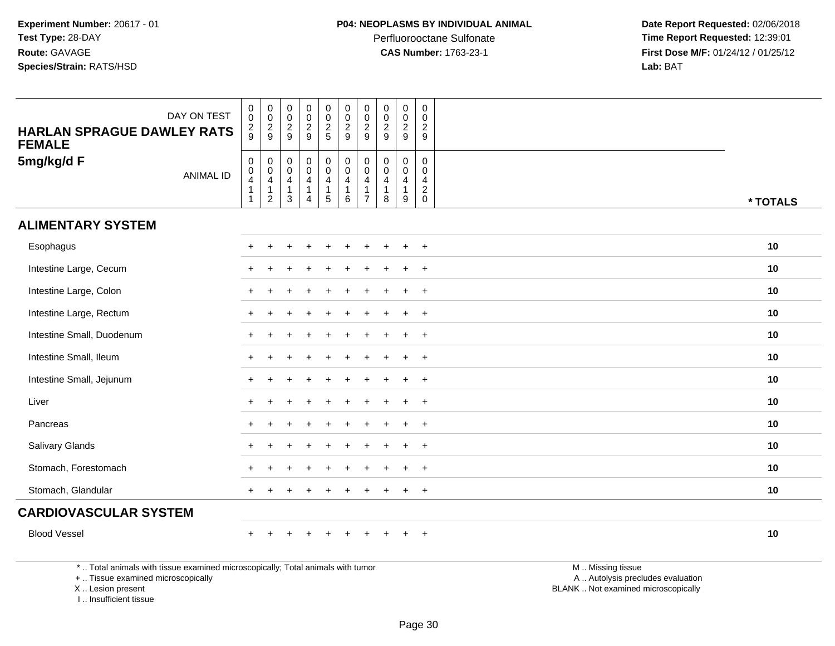**Date Report Requested:** 02/06/2018 **Time Report Requested:** 12:39:01 **First Dose M/F:** 01/24/12 / 01/25/12<br>**Lab:** BAT **Lab:** BAT

| DAY ON TEST<br><b>HARLAN SPRAGUE DAWLEY RATS</b>                                | $_{\rm 0}^{\rm 0}$<br>$\frac{2}{9}$                               | $\begin{smallmatrix} 0\\0 \end{smallmatrix}$<br>$\frac{2}{9}$     | $\pmb{0}$<br>$\mathbf 0$<br>$\frac{2}{9}$  | $\begin{array}{c} 0 \\ 0 \\ 2 \\ 9 \end{array}$                        | $\begin{smallmatrix} 0\\0 \end{smallmatrix}$<br>$\frac{2}{5}$ | $_{\rm 0}^{\rm 0}$<br>$\overline{2}$<br>$\boldsymbol{9}$     | $\begin{smallmatrix} 0\\0 \end{smallmatrix}$<br>$\frac{2}{9}$                    | $\begin{smallmatrix} 0\\0 \end{smallmatrix}$<br>$\frac{2}{9}$                | $\pmb{0}$<br>$\mathsf 0$<br>$\overline{a}$<br>9 | $\,0\,$<br>$\pmb{0}$<br>$\overline{c}$<br>9                  |                                                                                                                                                                                                                                                     |          |
|---------------------------------------------------------------------------------|-------------------------------------------------------------------|-------------------------------------------------------------------|--------------------------------------------|------------------------------------------------------------------------|---------------------------------------------------------------|--------------------------------------------------------------|----------------------------------------------------------------------------------|------------------------------------------------------------------------------|-------------------------------------------------|--------------------------------------------------------------|-----------------------------------------------------------------------------------------------------------------------------------------------------------------------------------------------------------------------------------------------------|----------|
| <b>FEMALE</b><br>5mg/kg/d F<br><b>ANIMAL ID</b>                                 | $\mathbf 0$<br>$\pmb{0}$<br>$\overline{4}$<br>$\overline{1}$<br>1 | $\mathbf 0$<br>$\mathbf 0$<br>$\overline{4}$<br>$\mathbf{1}$<br>2 | 0<br>$\mathbf 0$<br>4<br>$\mathbf{1}$<br>3 | $\begin{smallmatrix} 0\\0 \end{smallmatrix}$<br>4<br>$\mathbf{1}$<br>4 | $\begin{array}{c} 0 \\ 0 \\ 4 \\ 1 \end{array}$<br>$\sqrt{5}$ | $\mathsf 0$<br>$\ddot{\mathbf{0}}$<br>4<br>$\mathbf{1}$<br>6 | $\mathbf 0$<br>$\mathbf 0$<br>$\overline{4}$<br>$\overline{1}$<br>$\overline{7}$ | $\mathbf 0$<br>$\mathbf 0$<br>$\overline{\mathbf{4}}$<br>$\overline{1}$<br>8 | 0<br>$\mathbf{0}$<br>$\overline{4}$<br>9        | 0<br>$\Omega$<br>$\overline{4}$<br>$\sqrt{2}$<br>$\mathbf 0$ |                                                                                                                                                                                                                                                     | * TOTALS |
| <b>ALIMENTARY SYSTEM</b>                                                        |                                                                   |                                                                   |                                            |                                                                        |                                                               |                                                              |                                                                                  |                                                                              |                                                 |                                                              |                                                                                                                                                                                                                                                     |          |
| Esophagus                                                                       |                                                                   |                                                                   |                                            |                                                                        |                                                               |                                                              |                                                                                  |                                                                              |                                                 |                                                              |                                                                                                                                                                                                                                                     | 10       |
| Intestine Large, Cecum                                                          |                                                                   |                                                                   |                                            |                                                                        |                                                               |                                                              |                                                                                  |                                                                              | $\overline{1}$                                  | $\overline{+}$                                               |                                                                                                                                                                                                                                                     | 10       |
| Intestine Large, Colon                                                          |                                                                   |                                                                   |                                            |                                                                        |                                                               |                                                              |                                                                                  |                                                                              |                                                 | $\ddot{}$                                                    |                                                                                                                                                                                                                                                     | 10       |
| Intestine Large, Rectum                                                         |                                                                   |                                                                   |                                            |                                                                        |                                                               |                                                              |                                                                                  |                                                                              | $\ddot{}$                                       | $^{+}$                                                       |                                                                                                                                                                                                                                                     | 10       |
| Intestine Small, Duodenum                                                       |                                                                   |                                                                   |                                            |                                                                        |                                                               |                                                              |                                                                                  |                                                                              |                                                 | $\ddot{}$                                                    |                                                                                                                                                                                                                                                     | 10       |
| Intestine Small, Ileum                                                          |                                                                   |                                                                   |                                            |                                                                        |                                                               |                                                              |                                                                                  |                                                                              | $\ddot{}$                                       | $^{+}$                                                       |                                                                                                                                                                                                                                                     | 10       |
| Intestine Small, Jejunum                                                        |                                                                   |                                                                   |                                            |                                                                        |                                                               |                                                              |                                                                                  |                                                                              |                                                 | $\overline{+}$                                               |                                                                                                                                                                                                                                                     | 10       |
| Liver                                                                           |                                                                   |                                                                   |                                            |                                                                        |                                                               |                                                              |                                                                                  |                                                                              | ÷.                                              | $+$                                                          |                                                                                                                                                                                                                                                     | 10       |
| Pancreas                                                                        |                                                                   |                                                                   |                                            |                                                                        |                                                               |                                                              |                                                                                  |                                                                              |                                                 | $\overline{+}$                                               |                                                                                                                                                                                                                                                     | 10       |
| Salivary Glands                                                                 |                                                                   |                                                                   |                                            |                                                                        |                                                               |                                                              |                                                                                  |                                                                              | $\ddot{}$                                       | $^{+}$                                                       |                                                                                                                                                                                                                                                     | 10       |
| Stomach, Forestomach                                                            |                                                                   |                                                                   |                                            |                                                                        |                                                               |                                                              |                                                                                  |                                                                              |                                                 | $\ddot{}$                                                    |                                                                                                                                                                                                                                                     | 10       |
| Stomach, Glandular                                                              | $\pm$                                                             |                                                                   |                                            |                                                                        |                                                               |                                                              |                                                                                  |                                                                              | $\ddot{}$                                       | $^{+}$                                                       |                                                                                                                                                                                                                                                     | 10       |
| <b>CARDIOVASCULAR SYSTEM</b>                                                    |                                                                   |                                                                   |                                            |                                                                        |                                                               |                                                              |                                                                                  |                                                                              |                                                 |                                                              |                                                                                                                                                                                                                                                     |          |
| <b>Blood Vessel</b>                                                             |                                                                   |                                                                   |                                            |                                                                        |                                                               |                                                              |                                                                                  |                                                                              |                                                 | $\ddot{}$                                                    |                                                                                                                                                                                                                                                     | 10       |
| *  Total animals with tissue examined microscopically; Total animals with tumor |                                                                   |                                                                   |                                            |                                                                        |                                                               |                                                              |                                                                                  |                                                                              |                                                 |                                                              | M  Missing tissue<br>and the contract of the contract of the contract of the contract of the contract of the contract of the contract of the contract of the contract of the contract of the contract of the contract of the contract of the contra |          |

+ .. Tissue examined microscopically

X .. Lesion present

I .. Insufficient tissue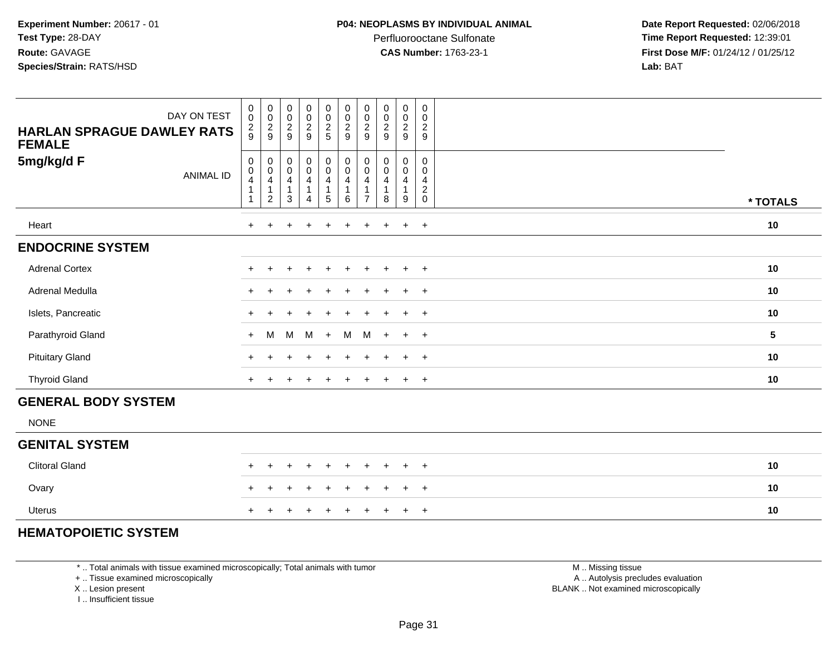Perfluorooctane Sulfonate<br>CAS Number: 1763-23-1

J

 **Date Report Requested:** 02/06/2018 **Time Report Requested:** 12:39:01 **First Dose M/F:** 01/24/12 / 01/25/12<br>**Lab:** BAT **Lab:** BAT

| DAY ON TEST<br><b>HARLAN SPRAGUE DAWLEY RATS</b><br><b>FEMALE</b> | $\begin{matrix} 0 \\ 0 \end{matrix}$                                         | $_{\rm 0}^{\rm 0}$<br>$\frac{2}{9}$<br>$\frac{2}{9}$              |                | $_{\rm 0}^{\rm 0}$<br>$\boldsymbol{0}$<br>$\ddot{\mathbf{0}}$<br>$\frac{2}{9}$ | $\frac{2}{9}$                                 | $\begin{smallmatrix}0\0\end{smallmatrix}$<br>0<br>$\begin{array}{c} 0 \\ 2 \\ 5 \end{array}$<br>$\frac{2}{9}$ |     | $\pmb{0}$<br>$\pmb{0}$<br>$\overline{c}$<br>$9\,$ | $\pmb{0}$<br>0<br>$\overline{c}$<br>$\boldsymbol{9}$ | 0<br>$\mathbf 0$<br>$\overline{2}$<br>$\boldsymbol{9}$ | 0<br>$\mathbf 0$<br>$\overline{2}$<br>$9\,$         |                 |
|-------------------------------------------------------------------|------------------------------------------------------------------------------|-------------------------------------------------------------------|----------------|--------------------------------------------------------------------------------|-----------------------------------------------|---------------------------------------------------------------------------------------------------------------|-----|---------------------------------------------------|------------------------------------------------------|--------------------------------------------------------|-----------------------------------------------------|-----------------|
| 5mg/kg/d F<br><b>ANIMAL ID</b>                                    | $\pmb{0}$<br>$\pmb{0}$<br>$\overline{4}$<br>$\overline{1}$<br>$\overline{1}$ | 0<br>$\mathsf{O}\xspace$<br>$\overline{4}$<br>1<br>$\overline{2}$ | $\overline{1}$ | 0<br>$\pmb{0}$<br>$\mathbf 0$<br>$\overline{\mathbf{4}}$<br>4<br>1<br>3<br>4   | $\pmb{0}$<br>$\overline{4}$<br>$\overline{5}$ | $_{\rm 0}^{\rm 0}$<br>0<br>$\overline{0}$<br>$\overline{\mathbf{4}}$<br>$\overline{1}$<br>6                   |     | 0<br>$\mathbf 0$<br>4<br>1<br>$\overline{7}$      | 0<br>$\mathbf 0$<br>4<br>8                           | 0<br>$\mathbf 0$<br>4<br>$\mathbf{1}$<br>9             | $\Omega$<br>0<br>4<br>$\overline{c}$<br>$\mathbf 0$ | * TOTALS        |
| Heart                                                             |                                                                              |                                                                   |                | $\ddot{}$                                                                      | $\ddot{}$                                     | $\ddot{}$                                                                                                     |     | $\ddot{}$                                         | $\pm$                                                | $+$                                                    | $+$                                                 | 10              |
| <b>ENDOCRINE SYSTEM</b>                                           |                                                                              |                                                                   |                |                                                                                |                                               |                                                                                                               |     |                                                   |                                                      |                                                        |                                                     |                 |
| <b>Adrenal Cortex</b>                                             |                                                                              | +                                                                 |                | $\overline{+}$                                                                 | $\ddot{}$                                     | $\ddot{}$                                                                                                     |     | $\ddot{}$                                         | $\ddot{}$                                            | $+$                                                    | $+$                                                 | 10              |
| Adrenal Medulla                                                   |                                                                              |                                                                   |                |                                                                                | ÷                                             | $\pm$                                                                                                         |     | $\ddot{}$                                         | $\pm$                                                | $+$                                                    | $+$                                                 | 10              |
| Islets, Pancreatic                                                |                                                                              |                                                                   |                |                                                                                |                                               |                                                                                                               |     |                                                   |                                                      | $+$                                                    | $+$                                                 | 10              |
| Parathyroid Gland                                                 |                                                                              | M<br>$+$                                                          |                | M<br>M                                                                         | $+$                                           | M                                                                                                             |     | M                                                 | $+$                                                  | $+$ $+$                                                |                                                     | $5\phantom{.0}$ |
| <b>Pituitary Gland</b>                                            |                                                                              |                                                                   |                |                                                                                |                                               |                                                                                                               |     |                                                   |                                                      | $\pm$                                                  | $+$                                                 | 10              |
| <b>Thyroid Gland</b>                                              |                                                                              | $+$                                                               |                | $\overline{ }$                                                                 | $\pm$                                         | $\pm$                                                                                                         |     | $\ddot{}$                                         | $\ddot{}$                                            | $+$                                                    | $+$                                                 | 10              |
| <b>GENERAL BODY SYSTEM</b>                                        |                                                                              |                                                                   |                |                                                                                |                                               |                                                                                                               |     |                                                   |                                                      |                                                        |                                                     |                 |
| <b>NONE</b>                                                       |                                                                              |                                                                   |                |                                                                                |                                               |                                                                                                               |     |                                                   |                                                      |                                                        |                                                     |                 |
| <b>GENITAL SYSTEM</b>                                             |                                                                              |                                                                   |                |                                                                                |                                               |                                                                                                               |     |                                                   |                                                      |                                                        |                                                     |                 |
| <b>Clitoral Gland</b>                                             |                                                                              | $\div$                                                            |                | $\ddot{}$<br>$\overline{+}$                                                    | $+$                                           | $+$                                                                                                           |     | $+$                                               | $\pm$                                                | $+$                                                    | $+$                                                 | 10              |
| Ovary                                                             |                                                                              |                                                                   |                |                                                                                |                                               |                                                                                                               |     |                                                   |                                                      | $+$                                                    | $+$                                                 | 10              |
| <b>Uterus</b>                                                     |                                                                              | $\pm$                                                             |                | $+$<br>$^+$                                                                    | $^{+}$                                        |                                                                                                               | $+$ | $+$                                               | $+$                                                  | $+$                                                    | $+$                                                 | 10              |

#### **HEMATOPOIETIC SYSTEM**

\* .. Total animals with tissue examined microscopically; Total animals with tumor

Т ┰ Т T. T  $\top$ T a Tingga T T

┱

+ .. Tissue examined microscopically

<sup>+</sup>

X .. Lesion present

I .. Insufficient tissue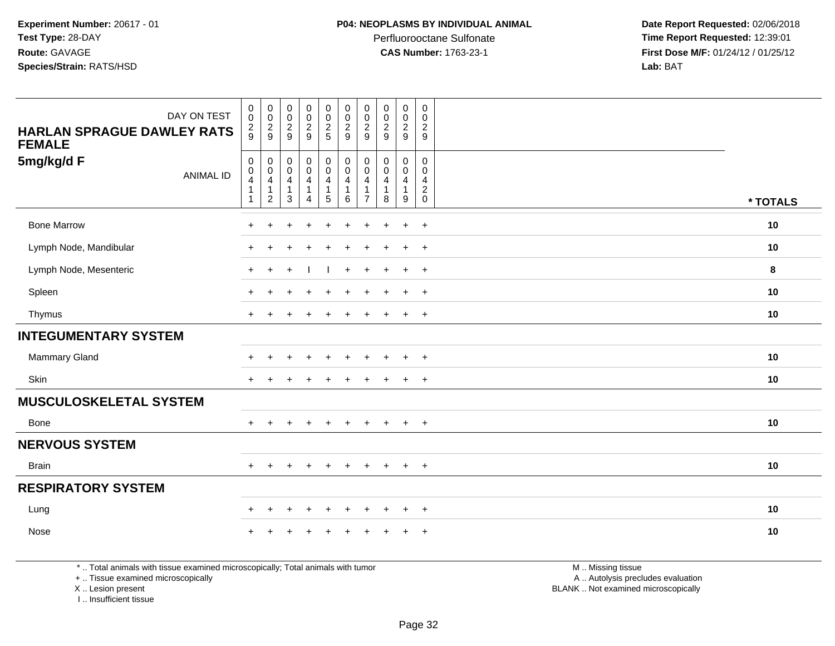Perfluorooctane Sulfonate<br>CAS Number: 1763-23-1

 **Date Report Requested:** 02/06/2018 **Time Report Requested:** 12:39:01 **First Dose M/F:** 01/24/12 / 01/25/12<br>**Lab:** BAT **Lab:** BAT

| DAY ON TEST<br><b>HARLAN SPRAGUE DAWLEY RATS</b><br><b>FEMALE</b><br>5mg/kg/d F<br><b>ANIMAL ID</b> | $\mathbf 0$<br>$\ddot{\mathbf{0}}$<br>$\frac{2}{9}$<br>$\mathbf 0$<br>0<br>4<br>$\mathbf{1}$<br>$\mathbf{1}$ | $\begin{smallmatrix} 0\\0 \end{smallmatrix}$<br>$\frac{2}{9}$<br>0<br>$\pmb{0}$<br>$\overline{4}$<br>$\mathbf{1}$<br>$\overline{c}$ | $_{\rm 0}^{\rm 0}$<br>$\frac{2}{9}$<br>0<br>$\ddot{\mathbf{0}}$<br>$\overline{4}$<br>$\mathbf{1}$<br>3 | $\pmb{0}$<br>$\ddot{\mathbf{0}}$<br>$\overline{2}$<br>9<br>0<br>$\overline{0}$<br>$\overline{\mathbf{4}}$<br>$\mathbf{1}$<br>4 | $\begin{smallmatrix}0\\0\end{smallmatrix}$<br>$\frac{2}{5}$<br>$\mathbf 0$<br>$\overline{0}$<br>$\overline{4}$<br>$\mathbf{1}$<br>5 | 0<br>$\pmb{0}$<br>$\overline{c}$<br>9<br>0<br>$\mathbf 0$<br>4<br>$\mathbf{1}$<br>6 | $\pmb{0}$<br>$\mathbf 0$<br>$\overline{c}$<br>9<br>$\Omega$<br>$\Omega$<br>4<br>$\mathbf{1}$<br>$\overline{7}$ | $_{\rm 0}^{\rm 0}$<br>$\frac{2}{9}$<br>0<br>$\mathbf 0$<br>$\overline{4}$<br>$\mathbf{1}$<br>8 | $\mathbf 0$<br>$\mathbf 0$<br>$\mathbf{2}$<br>9<br>0<br>$\mathbf 0$<br>$\overline{4}$<br>$\mathbf{1}$<br>9 | $\mathbf 0$<br>$\mathbf 0$<br>$\sqrt{2}$<br>9<br>$\mathbf 0$<br>$\mathbf 0$<br>$\overline{4}$<br>$\boldsymbol{2}$<br>$\Omega$ | * TOTALS |
|-----------------------------------------------------------------------------------------------------|--------------------------------------------------------------------------------------------------------------|-------------------------------------------------------------------------------------------------------------------------------------|--------------------------------------------------------------------------------------------------------|--------------------------------------------------------------------------------------------------------------------------------|-------------------------------------------------------------------------------------------------------------------------------------|-------------------------------------------------------------------------------------|----------------------------------------------------------------------------------------------------------------|------------------------------------------------------------------------------------------------|------------------------------------------------------------------------------------------------------------|-------------------------------------------------------------------------------------------------------------------------------|----------|
| <b>Bone Marrow</b>                                                                                  | $\ddot{}$                                                                                                    |                                                                                                                                     |                                                                                                        |                                                                                                                                |                                                                                                                                     |                                                                                     |                                                                                                                |                                                                                                | $\ddot{}$                                                                                                  | $\ddot{}$                                                                                                                     | 10       |
| Lymph Node, Mandibular                                                                              | $\ddot{}$                                                                                                    |                                                                                                                                     |                                                                                                        |                                                                                                                                |                                                                                                                                     |                                                                                     |                                                                                                                |                                                                                                | $\ddot{}$                                                                                                  | $+$                                                                                                                           | 10       |
| Lymph Node, Mesenteric                                                                              | $+$                                                                                                          | $+$                                                                                                                                 | $\overline{+}$                                                                                         |                                                                                                                                |                                                                                                                                     | $\ddot{}$                                                                           | $\pm$                                                                                                          | $\overline{+}$                                                                                 | $+$                                                                                                        | $+$                                                                                                                           | 8        |
| Spleen                                                                                              | $\ddot{}$                                                                                                    | $\ddot{}$                                                                                                                           |                                                                                                        | $\ddot{}$                                                                                                                      | $\ddot{}$                                                                                                                           | +                                                                                   | $\ddot{}$                                                                                                      | $\ddot{}$                                                                                      | $\ddot{}$                                                                                                  | $+$                                                                                                                           | 10       |
| Thymus                                                                                              | $\ddot{}$                                                                                                    | $\pm$                                                                                                                               |                                                                                                        |                                                                                                                                |                                                                                                                                     | ÷                                                                                   |                                                                                                                | $\mathbf +$                                                                                    | $_{+}$                                                                                                     | $+$                                                                                                                           | 10       |
| <b>INTEGUMENTARY SYSTEM</b>                                                                         |                                                                                                              |                                                                                                                                     |                                                                                                        |                                                                                                                                |                                                                                                                                     |                                                                                     |                                                                                                                |                                                                                                |                                                                                                            |                                                                                                                               |          |
| Mammary Gland                                                                                       | $\ddot{}$                                                                                                    |                                                                                                                                     |                                                                                                        |                                                                                                                                |                                                                                                                                     |                                                                                     |                                                                                                                |                                                                                                | $\ddot{}$                                                                                                  | $+$                                                                                                                           | 10       |
| Skin                                                                                                | $\ddot{}$                                                                                                    | ٠                                                                                                                                   |                                                                                                        |                                                                                                                                |                                                                                                                                     |                                                                                     |                                                                                                                |                                                                                                | $\ddot{}$                                                                                                  | $+$                                                                                                                           | 10       |
| <b>MUSCULOSKELETAL SYSTEM</b>                                                                       |                                                                                                              |                                                                                                                                     |                                                                                                        |                                                                                                                                |                                                                                                                                     |                                                                                     |                                                                                                                |                                                                                                |                                                                                                            |                                                                                                                               |          |
| Bone                                                                                                | $+$                                                                                                          | $\pm$                                                                                                                               |                                                                                                        | $\pm$                                                                                                                          | $\ddot{}$                                                                                                                           | ÷                                                                                   |                                                                                                                | $\ddot{}$                                                                                      | $\ddot{}$                                                                                                  | $+$                                                                                                                           | 10       |
| <b>NERVOUS SYSTEM</b>                                                                               |                                                                                                              |                                                                                                                                     |                                                                                                        |                                                                                                                                |                                                                                                                                     |                                                                                     |                                                                                                                |                                                                                                |                                                                                                            |                                                                                                                               |          |
| <b>Brain</b>                                                                                        | $+$                                                                                                          | $\pm$                                                                                                                               |                                                                                                        | $\pm$                                                                                                                          |                                                                                                                                     | ÷                                                                                   | $\pm$                                                                                                          | $\ddot{}$                                                                                      | $+$                                                                                                        | $+$                                                                                                                           | 10       |
| <b>RESPIRATORY SYSTEM</b>                                                                           |                                                                                                              |                                                                                                                                     |                                                                                                        |                                                                                                                                |                                                                                                                                     |                                                                                     |                                                                                                                |                                                                                                |                                                                                                            |                                                                                                                               |          |
| Lung                                                                                                | $+$                                                                                                          | $+$                                                                                                                                 | $\div$                                                                                                 | $\ddot{}$                                                                                                                      | $\ddot{}$                                                                                                                           | ÷                                                                                   | $\div$                                                                                                         | $\pm$                                                                                          | $\pm$                                                                                                      | $+$                                                                                                                           | 10       |
| Nose                                                                                                |                                                                                                              |                                                                                                                                     |                                                                                                        |                                                                                                                                |                                                                                                                                     |                                                                                     |                                                                                                                |                                                                                                |                                                                                                            | $\ddot{}$                                                                                                                     | 10       |

\* .. Total animals with tissue examined microscopically; Total animals with tumor

+ .. Tissue examined microscopically

X .. Lesion present

I .. Insufficient tissue